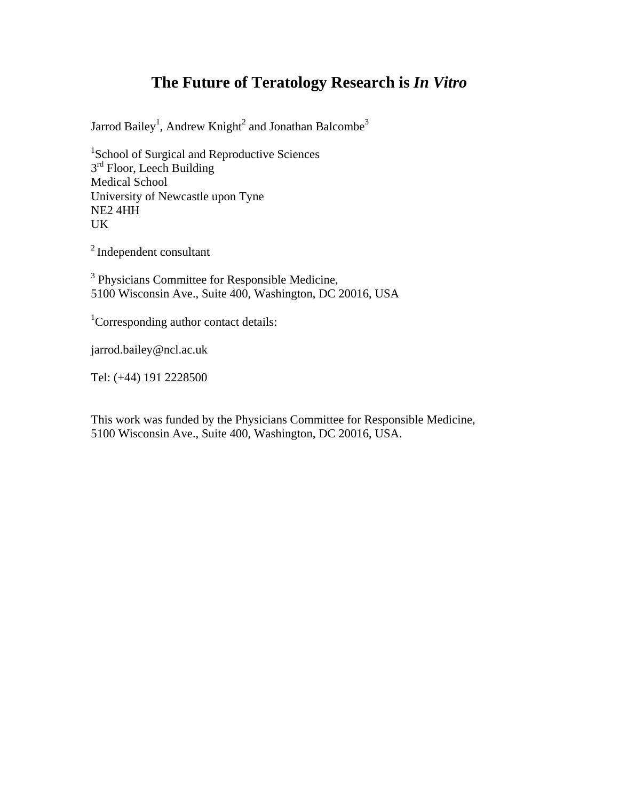# **The Future of Teratology Research is** *In Vitro*

Jarrod Bailey<sup>1</sup>, Andrew Knight<sup>2</sup> and Jonathan Balcombe<sup>3</sup>

<sup>1</sup>School of Surgical and Reproductive Sciences  $3<sup>rd</sup>$  Floor, Leech Building Medical School University of Newcastle upon Tyne NE2 4HH UK

2 Independent consultant

<sup>3</sup> Physicians Committee for Responsible Medicine, 5100 Wisconsin Ave., Suite 400, Washington, DC 20016, USA

<sup>1</sup>Corresponding author contact details:

jarrod.bailey@ncl.ac.uk

Tel: (+44) 191 2228500

This work was funded by the Physicians Committee for Responsible Medicine, 5100 Wisconsin Ave., Suite 400, Washington, DC 20016, USA.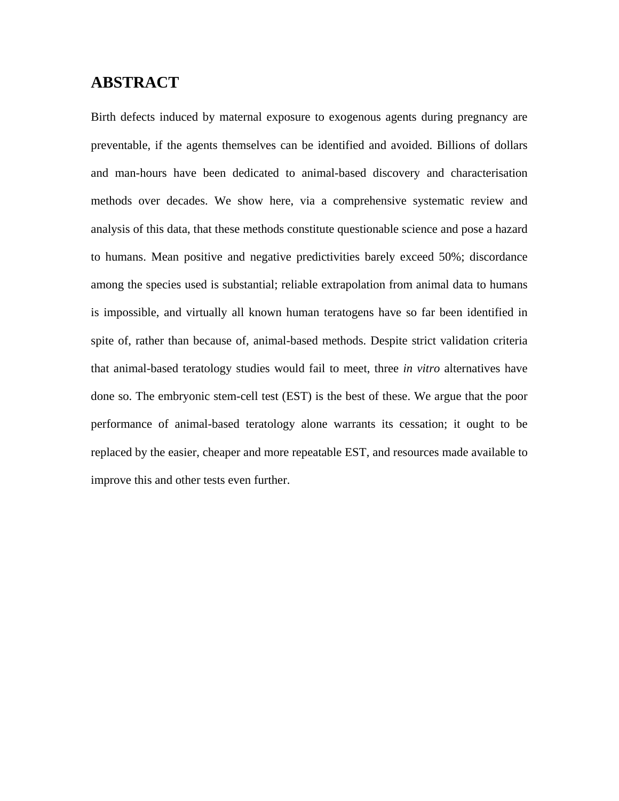# **ABSTRACT**

Birth defects induced by maternal exposure to exogenous agents during pregnancy are preventable, if the agents themselves can be identified and avoided. Billions of dollars and man-hours have been dedicated to animal-based discovery and characterisation methods over decades. We show here, via a comprehensive systematic review and analysis of this data, that these methods constitute questionable science and pose a hazard to humans. Mean positive and negative predictivities barely exceed 50%; discordance among the species used is substantial; reliable extrapolation from animal data to humans is impossible, and virtually all known human teratogens have so far been identified in spite of, rather than because of, animal-based methods. Despite strict validation criteria that animal-based teratology studies would fail to meet, three *in vitro* alternatives have done so. The embryonic stem-cell test (EST) is the best of these. We argue that the poor performance of animal-based teratology alone warrants its cessation; it ought to be replaced by the easier, cheaper and more repeatable EST, and resources made available to improve this and other tests even further.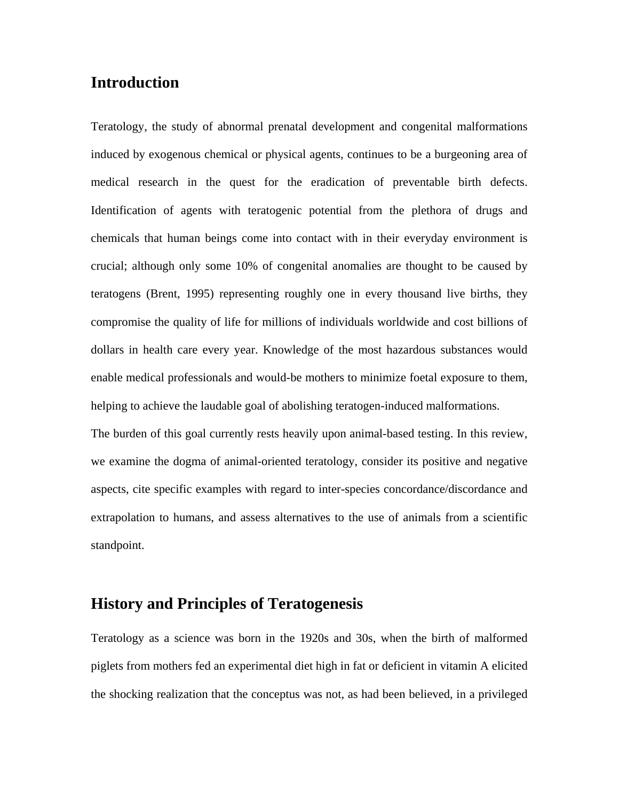# **Introduction**

Teratology, the study of abnormal prenatal development and congenital malformations induced by exogenous chemical or physical agents, continues to be a burgeoning area of medical research in the quest for the eradication of preventable birth defects. Identification of agents with teratogenic potential from the plethora of drugs and chemicals that human beings come into contact with in their everyday environment is crucial; although only some 10% of congenital anomalies are thought to be caused by teratogens (Brent, 1995) representing roughly one in every thousand live births, they compromise the quality of life for millions of individuals worldwide and cost billions of dollars in health care every year. Knowledge of the most hazardous substances would enable medical professionals and would-be mothers to minimize foetal exposure to them, helping to achieve the laudable goal of abolishing teratogen-induced malformations.

The burden of this goal currently rests heavily upon animal-based testing. In this review, we examine the dogma of animal-oriented teratology, consider its positive and negative aspects, cite specific examples with regard to inter-species concordance/discordance and extrapolation to humans, and assess alternatives to the use of animals from a scientific standpoint.

# **History and Principles of Teratogenesis**

Teratology as a science was born in the 1920s and 30s, when the birth of malformed piglets from mothers fed an experimental diet high in fat or deficient in vitamin A elicited the shocking realization that the conceptus was not, as had been believed, in a privileged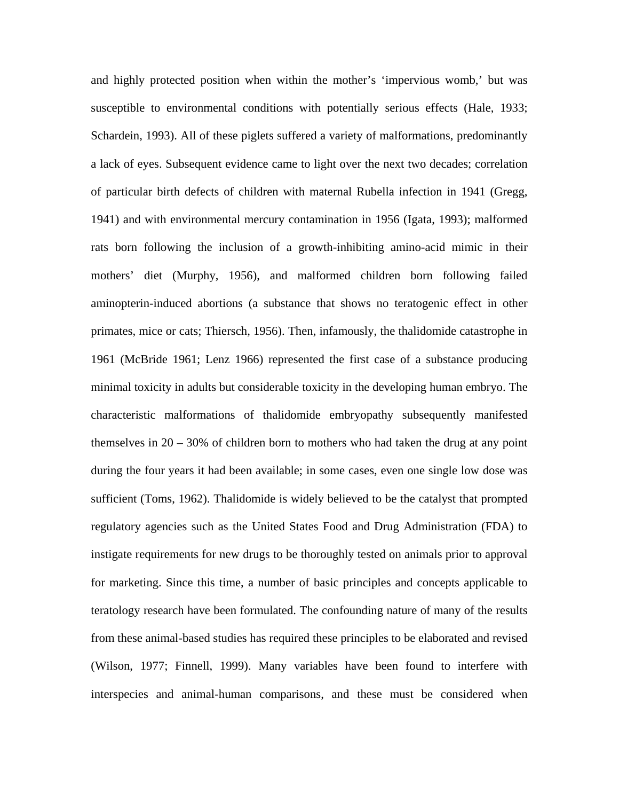and highly protected position when within the mother's 'impervious womb,' but was susceptible to environmental conditions with potentially serious effects (Hale, 1933; Schardein, 1993). All of these piglets suffered a variety of malformations, predominantly a lack of eyes. Subsequent evidence came to light over the next two decades; correlation of particular birth defects of children with maternal Rubella infection in 1941 (Gregg, 1941) and with environmental mercury contamination in 1956 (Igata, 1993); malformed rats born following the inclusion of a growth-inhibiting amino-acid mimic in their mothers' diet (Murphy, 1956), and malformed children born following failed aminopterin-induced abortions (a substance that shows no teratogenic effect in other primates, mice or cats; Thiersch, 1956). Then, infamously, the thalidomide catastrophe in 1961 (McBride 1961; Lenz 1966) represented the first case of a substance producing minimal toxicity in adults but considerable toxicity in the developing human embryo. The characteristic malformations of thalidomide embryopathy subsequently manifested themselves in  $20 - 30\%$  of children born to mothers who had taken the drug at any point during the four years it had been available; in some cases, even one single low dose was sufficient (Toms, 1962). Thalidomide is widely believed to be the catalyst that prompted regulatory agencies such as the United States Food and Drug Administration (FDA) to instigate requirements for new drugs to be thoroughly tested on animals prior to approval for marketing. Since this time, a number of basic principles and concepts applicable to teratology research have been formulated. The confounding nature of many of the results from these animal-based studies has required these principles to be elaborated and revised (Wilson, 1977; Finnell, 1999). Many variables have been found to interfere with interspecies and animal-human comparisons, and these must be considered when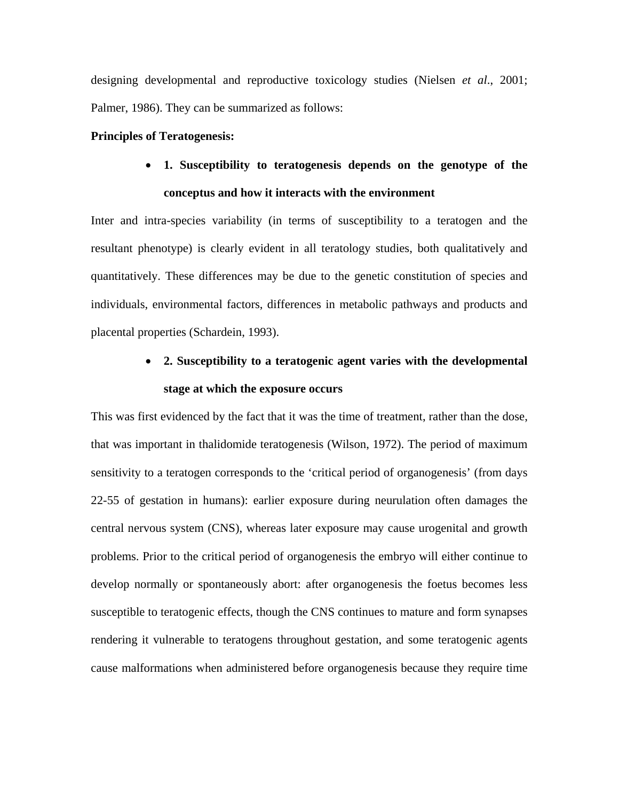designing developmental and reproductive toxicology studies (Nielsen *et al*., 2001; Palmer, 1986). They can be summarized as follows:

#### **Principles of Teratogenesis:**

# • **1. Susceptibility to teratogenesis depends on the genotype of the conceptus and how it interacts with the environment**

Inter and intra-species variability (in terms of susceptibility to a teratogen and the resultant phenotype) is clearly evident in all teratology studies, both qualitatively and quantitatively. These differences may be due to the genetic constitution of species and individuals, environmental factors, differences in metabolic pathways and products and placental properties (Schardein, 1993).

# • **2. Susceptibility to a teratogenic agent varies with the developmental stage at which the exposure occurs**

This was first evidenced by the fact that it was the time of treatment, rather than the dose, that was important in thalidomide teratogenesis (Wilson, 1972). The period of maximum sensitivity to a teratogen corresponds to the 'critical period of organogenesis' (from days 22-55 of gestation in humans): earlier exposure during neurulation often damages the central nervous system (CNS), whereas later exposure may cause urogenital and growth problems. Prior to the critical period of organogenesis the embryo will either continue to develop normally or spontaneously abort: after organogenesis the foetus becomes less susceptible to teratogenic effects, though the CNS continues to mature and form synapses rendering it vulnerable to teratogens throughout gestation, and some teratogenic agents cause malformations when administered before organogenesis because they require time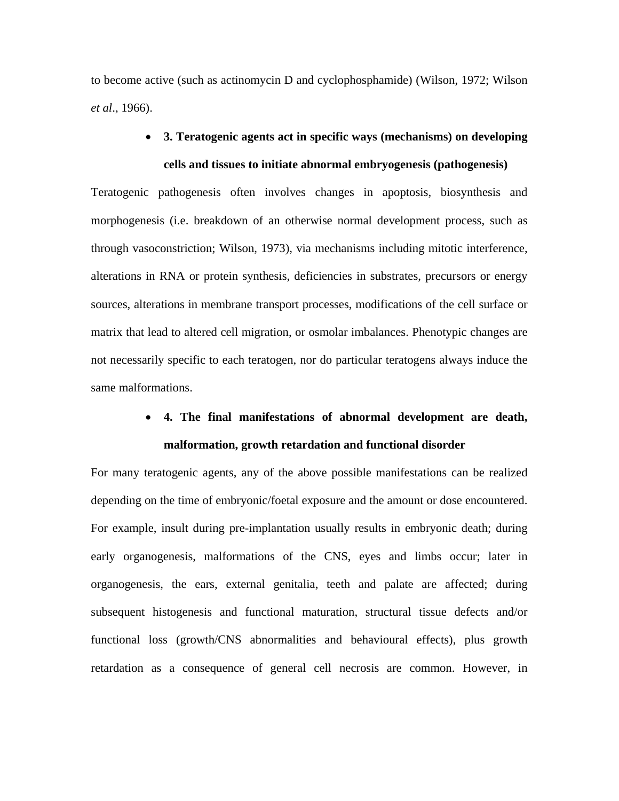to become active (such as actinomycin D and cyclophosphamide) (Wilson, 1972; Wilson *et al*., 1966).

# • **3. Teratogenic agents act in specific ways (mechanisms) on developing cells and tissues to initiate abnormal embryogenesis (pathogenesis)**

Teratogenic pathogenesis often involves changes in apoptosis, biosynthesis and morphogenesis (i.e. breakdown of an otherwise normal development process, such as through vasoconstriction; Wilson, 1973), via mechanisms including mitotic interference, alterations in RNA or protein synthesis, deficiencies in substrates, precursors or energy sources, alterations in membrane transport processes, modifications of the cell surface or matrix that lead to altered cell migration, or osmolar imbalances. Phenotypic changes are not necessarily specific to each teratogen, nor do particular teratogens always induce the same malformations.

# • **4. The final manifestations of abnormal development are death, malformation, growth retardation and functional disorder**

For many teratogenic agents, any of the above possible manifestations can be realized depending on the time of embryonic/foetal exposure and the amount or dose encountered. For example, insult during pre-implantation usually results in embryonic death; during early organogenesis, malformations of the CNS, eyes and limbs occur; later in organogenesis, the ears, external genitalia, teeth and palate are affected; during subsequent histogenesis and functional maturation, structural tissue defects and/or functional loss (growth/CNS abnormalities and behavioural effects), plus growth retardation as a consequence of general cell necrosis are common. However, in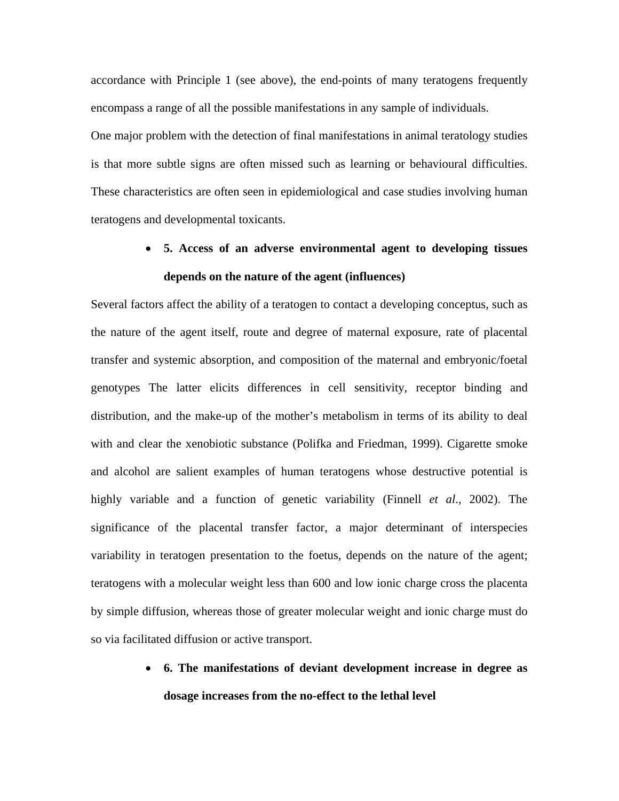accordance with Principle 1 (see above), the end-points of many teratogens frequently encompass a range of all the possible manifestations in any sample of individuals. One major problem with the detection of final manifestations in animal teratology studies is that more subtle signs are often missed such as learning or behavioural difficulties. These characteristics are often seen in epidemiological and case studies involving human teratogens and developmental toxicants.

# • **5. Access of an adverse environmental agent to developing tissues depends on the nature of the agent (influences)**

Several factors affect the ability of a teratogen to contact a developing conceptus, such as the nature of the agent itself, route and degree of maternal exposure, rate of placental transfer and systemic absorption, and composition of the maternal and embryonic/foetal genotypes The latter elicits differences in cell sensitivity, receptor binding and distribution, and the make-up of the mother's metabolism in terms of its ability to deal with and clear the xenobiotic substance (Polifka and Friedman, 1999). Cigarette smoke and alcohol are salient examples of human teratogens whose destructive potential is highly variable and a function of genetic variability (Finnell *et al*., 2002). The significance of the placental transfer factor, a major determinant of interspecies variability in teratogen presentation to the foetus, depends on the nature of the agent; teratogens with a molecular weight less than 600 and low ionic charge cross the placenta by simple diffusion, whereas those of greater molecular weight and ionic charge must do so via facilitated diffusion or active transport.

> • **6. The manifestations of deviant development increase in degree as dosage increases from the no-effect to the lethal level**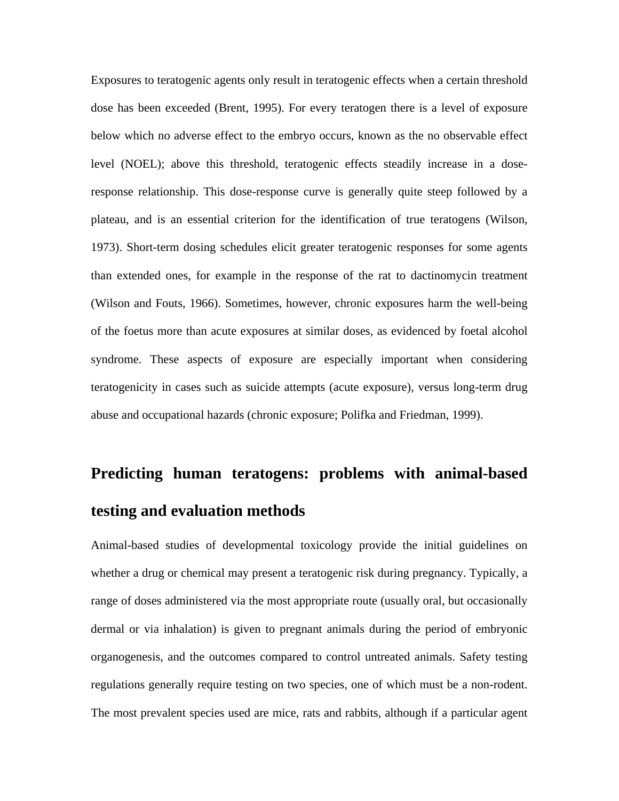Exposures to teratogenic agents only result in teratogenic effects when a certain threshold dose has been exceeded (Brent, 1995). For every teratogen there is a level of exposure below which no adverse effect to the embryo occurs, known as the no observable effect level (NOEL); above this threshold, teratogenic effects steadily increase in a doseresponse relationship. This dose-response curve is generally quite steep followed by a plateau, and is an essential criterion for the identification of true teratogens (Wilson, 1973). Short-term dosing schedules elicit greater teratogenic responses for some agents than extended ones, for example in the response of the rat to dactinomycin treatment (Wilson and Fouts, 1966). Sometimes, however, chronic exposures harm the well-being of the foetus more than acute exposures at similar doses, as evidenced by foetal alcohol syndrome. These aspects of exposure are especially important when considering teratogenicity in cases such as suicide attempts (acute exposure), versus long-term drug abuse and occupational hazards (chronic exposure; Polifka and Friedman, 1999).

# **Predicting human teratogens: problems with animal-based testing and evaluation methods**

Animal-based studies of developmental toxicology provide the initial guidelines on whether a drug or chemical may present a teratogenic risk during pregnancy. Typically, a range of doses administered via the most appropriate route (usually oral, but occasionally dermal or via inhalation) is given to pregnant animals during the period of embryonic organogenesis, and the outcomes compared to control untreated animals. Safety testing regulations generally require testing on two species, one of which must be a non-rodent. The most prevalent species used are mice, rats and rabbits, although if a particular agent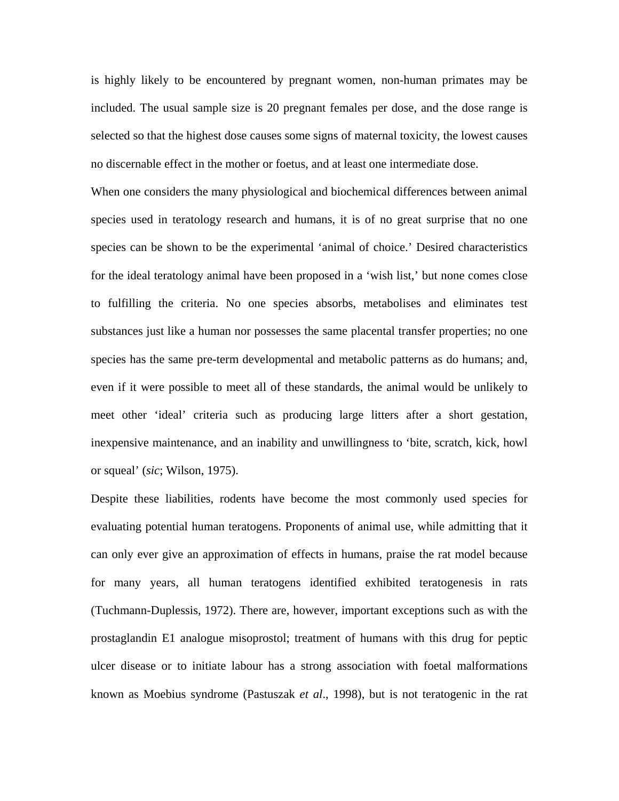is highly likely to be encountered by pregnant women, non-human primates may be included. The usual sample size is 20 pregnant females per dose, and the dose range is selected so that the highest dose causes some signs of maternal toxicity, the lowest causes no discernable effect in the mother or foetus, and at least one intermediate dose.

When one considers the many physiological and biochemical differences between animal species used in teratology research and humans, it is of no great surprise that no one species can be shown to be the experimental 'animal of choice.' Desired characteristics for the ideal teratology animal have been proposed in a 'wish list,' but none comes close to fulfilling the criteria. No one species absorbs, metabolises and eliminates test substances just like a human nor possesses the same placental transfer properties; no one species has the same pre-term developmental and metabolic patterns as do humans; and, even if it were possible to meet all of these standards, the animal would be unlikely to meet other 'ideal' criteria such as producing large litters after a short gestation, inexpensive maintenance, and an inability and unwillingness to 'bite, scratch, kick, howl or squeal' (*sic*; Wilson, 1975).

Despite these liabilities, rodents have become the most commonly used species for evaluating potential human teratogens. Proponents of animal use, while admitting that it can only ever give an approximation of effects in humans, praise the rat model because for many years, all human teratogens identified exhibited teratogenesis in rats (Tuchmann-Duplessis, 1972). There are, however, important exceptions such as with the prostaglandin E1 analogue misoprostol; treatment of humans with this drug for peptic ulcer disease or to initiate labour has a strong association with foetal malformations known as Moebius syndrome (Pastuszak *et al*., 1998), but is not teratogenic in the rat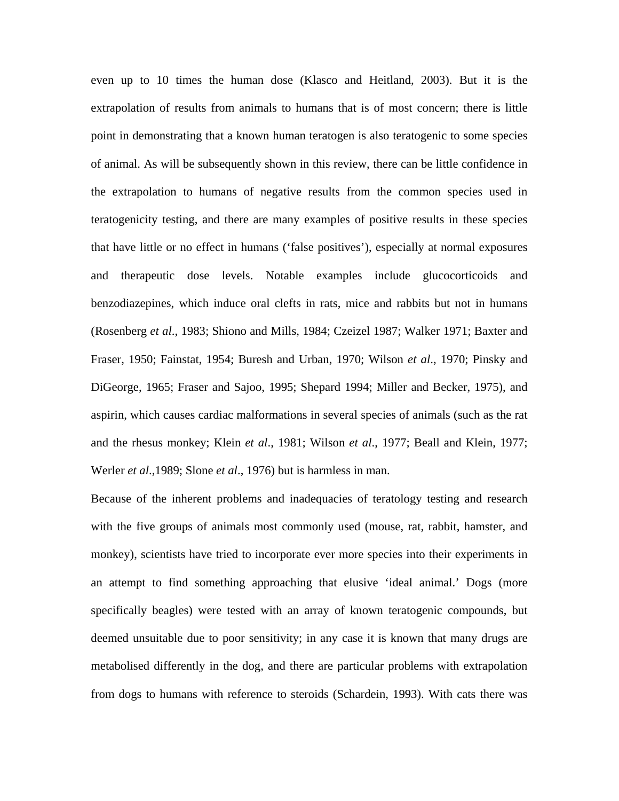even up to 10 times the human dose (Klasco and Heitland, 2003). But it is the extrapolation of results from animals to humans that is of most concern; there is little point in demonstrating that a known human teratogen is also teratogenic to some species of animal. As will be subsequently shown in this review, there can be little confidence in the extrapolation to humans of negative results from the common species used in teratogenicity testing, and there are many examples of positive results in these species that have little or no effect in humans ('false positives'), especially at normal exposures and therapeutic dose levels. Notable examples include glucocorticoids and benzodiazepines, which induce oral clefts in rats, mice and rabbits but not in humans (Rosenberg *et al*., 1983; Shiono and Mills, 1984; Czeizel 1987; Walker 1971; Baxter and Fraser, 1950; Fainstat, 1954; Buresh and Urban, 1970; Wilson *et al*., 1970; Pinsky and DiGeorge, 1965; Fraser and Sajoo, 1995; Shepard 1994; Miller and Becker, 1975), and aspirin, which causes cardiac malformations in several species of animals (such as the rat and the rhesus monkey; Klein *et al*., 1981; Wilson *et al*., 1977; Beall and Klein, 1977; Werler *et al*.,1989; Slone *et al*., 1976) but is harmless in man.

Because of the inherent problems and inadequacies of teratology testing and research with the five groups of animals most commonly used (mouse, rat, rabbit, hamster, and monkey), scientists have tried to incorporate ever more species into their experiments in an attempt to find something approaching that elusive 'ideal animal.' Dogs (more specifically beagles) were tested with an array of known teratogenic compounds, but deemed unsuitable due to poor sensitivity; in any case it is known that many drugs are metabolised differently in the dog, and there are particular problems with extrapolation from dogs to humans with reference to steroids (Schardein, 1993). With cats there was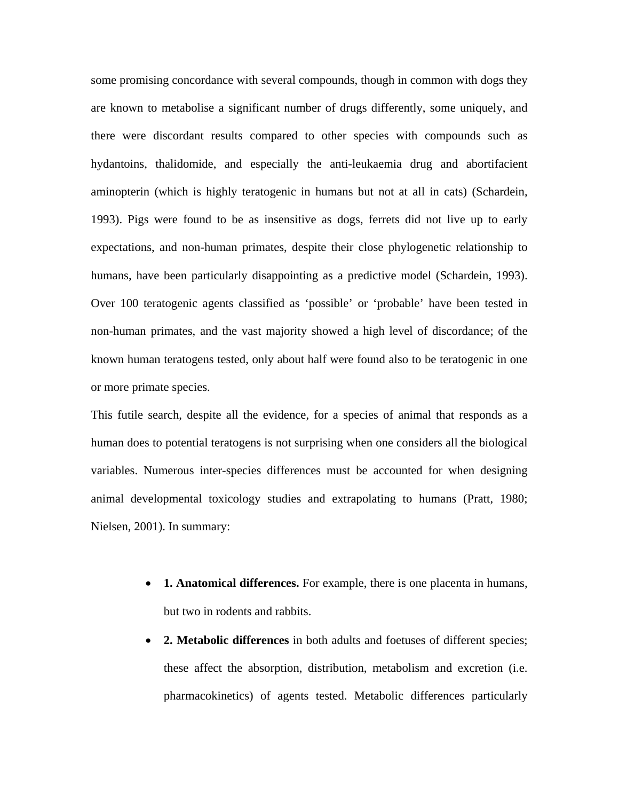some promising concordance with several compounds, though in common with dogs they are known to metabolise a significant number of drugs differently, some uniquely, and there were discordant results compared to other species with compounds such as hydantoins, thalidomide, and especially the anti-leukaemia drug and abortifacient aminopterin (which is highly teratogenic in humans but not at all in cats) (Schardein, 1993). Pigs were found to be as insensitive as dogs, ferrets did not live up to early expectations, and non-human primates, despite their close phylogenetic relationship to humans, have been particularly disappointing as a predictive model (Schardein, 1993). Over 100 teratogenic agents classified as 'possible' or 'probable' have been tested in non-human primates, and the vast majority showed a high level of discordance; of the known human teratogens tested, only about half were found also to be teratogenic in one or more primate species.

This futile search, despite all the evidence, for a species of animal that responds as a human does to potential teratogens is not surprising when one considers all the biological variables. Numerous inter-species differences must be accounted for when designing animal developmental toxicology studies and extrapolating to humans (Pratt, 1980; Nielsen, 2001). In summary:

- **1. Anatomical differences.** For example, there is one placenta in humans, but two in rodents and rabbits.
- **2. Metabolic differences** in both adults and foetuses of different species; these affect the absorption, distribution, metabolism and excretion (i.e. pharmacokinetics) of agents tested. Metabolic differences particularly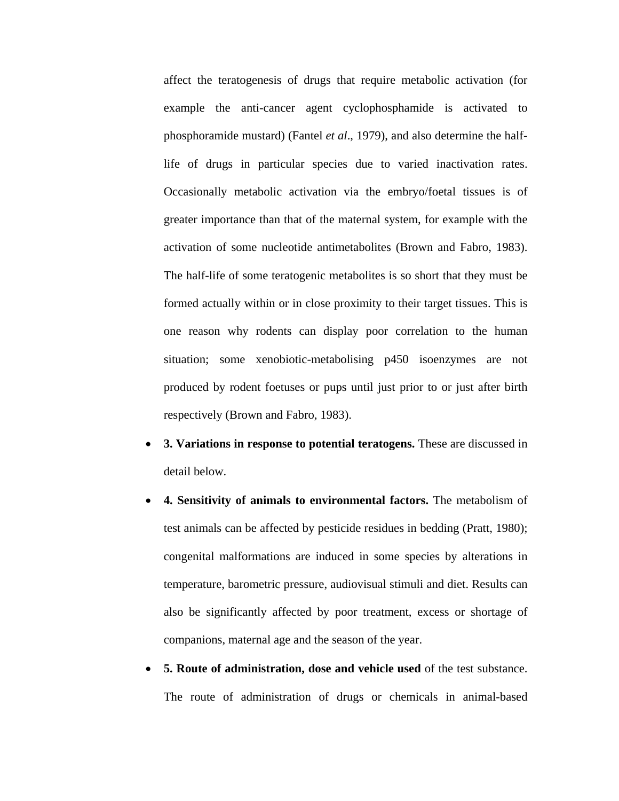affect the teratogenesis of drugs that require metabolic activation (for example the anti-cancer agent cyclophosphamide is activated to phosphoramide mustard) (Fantel *et al*., 1979), and also determine the halflife of drugs in particular species due to varied inactivation rates. Occasionally metabolic activation via the embryo/foetal tissues is of greater importance than that of the maternal system, for example with the activation of some nucleotide antimetabolites (Brown and Fabro, 1983). The half-life of some teratogenic metabolites is so short that they must be formed actually within or in close proximity to their target tissues. This is one reason why rodents can display poor correlation to the human situation; some xenobiotic-metabolising p450 isoenzymes are not produced by rodent foetuses or pups until just prior to or just after birth respectively (Brown and Fabro, 1983).

- **3. Variations in response to potential teratogens.** These are discussed in detail below.
- **4. Sensitivity of animals to environmental factors.** The metabolism of test animals can be affected by pesticide residues in bedding (Pratt, 1980); congenital malformations are induced in some species by alterations in temperature, barometric pressure, audiovisual stimuli and diet. Results can also be significantly affected by poor treatment, excess or shortage of companions, maternal age and the season of the year.
- **5. Route of administration, dose and vehicle used** of the test substance. The route of administration of drugs or chemicals in animal-based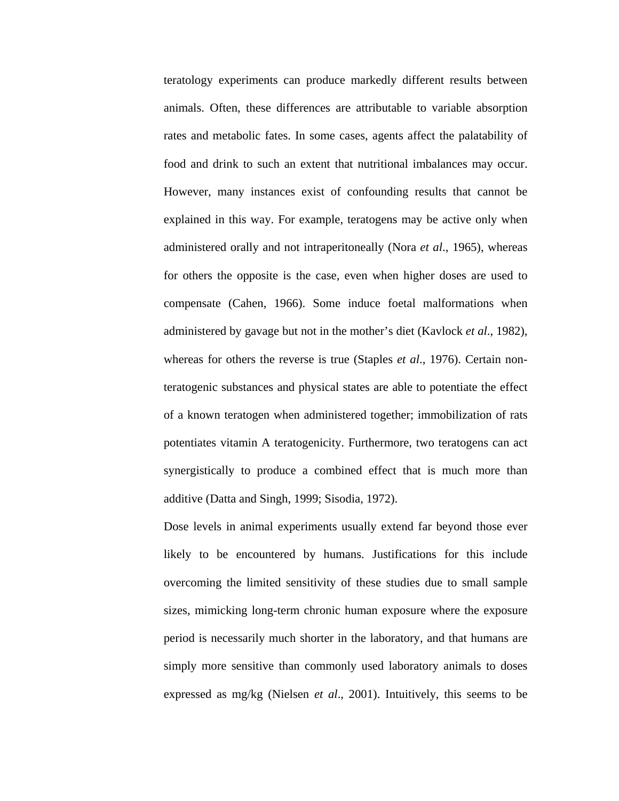teratology experiments can produce markedly different results between animals. Often, these differences are attributable to variable absorption rates and metabolic fates. In some cases, agents affect the palatability of food and drink to such an extent that nutritional imbalances may occur. However, many instances exist of confounding results that cannot be explained in this way. For example, teratogens may be active only when administered orally and not intraperitoneally (Nora *et al*., 1965), whereas for others the opposite is the case, even when higher doses are used to compensate (Cahen, 1966). Some induce foetal malformations when administered by gavage but not in the mother's diet (Kavlock *et al*., 1982), whereas for others the reverse is true (Staples *et al*., 1976). Certain nonteratogenic substances and physical states are able to potentiate the effect of a known teratogen when administered together; immobilization of rats potentiates vitamin A teratogenicity. Furthermore, two teratogens can act synergistically to produce a combined effect that is much more than additive (Datta and Singh, 1999; Sisodia, 1972).

Dose levels in animal experiments usually extend far beyond those ever likely to be encountered by humans. Justifications for this include overcoming the limited sensitivity of these studies due to small sample sizes, mimicking long-term chronic human exposure where the exposure period is necessarily much shorter in the laboratory, and that humans are simply more sensitive than commonly used laboratory animals to doses expressed as mg/kg (Nielsen *et al*., 2001). Intuitively, this seems to be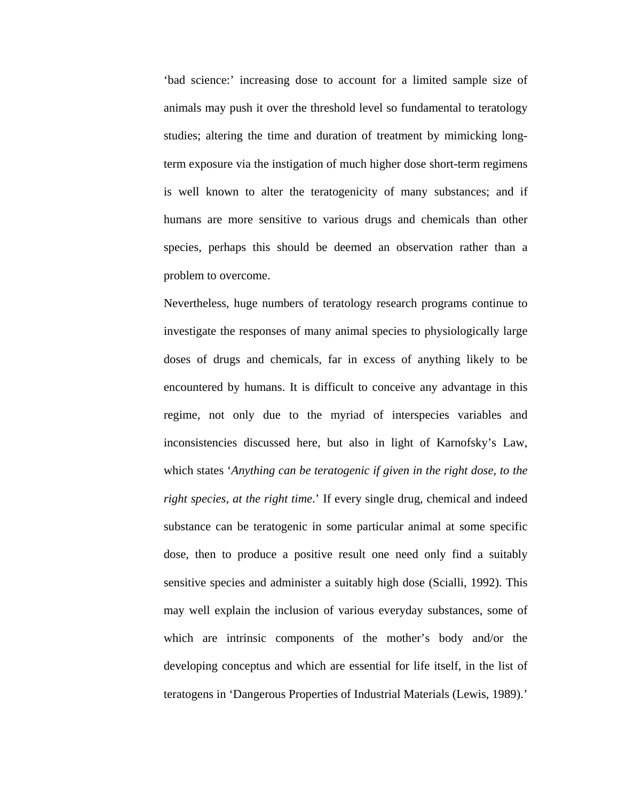'bad science:' increasing dose to account for a limited sample size of animals may push it over the threshold level so fundamental to teratology studies; altering the time and duration of treatment by mimicking longterm exposure via the instigation of much higher dose short-term regimens is well known to alter the teratogenicity of many substances; and if humans are more sensitive to various drugs and chemicals than other species, perhaps this should be deemed an observation rather than a problem to overcome.

Nevertheless, huge numbers of teratology research programs continue to investigate the responses of many animal species to physiologically large doses of drugs and chemicals, far in excess of anything likely to be encountered by humans. It is difficult to conceive any advantage in this regime, not only due to the myriad of interspecies variables and inconsistencies discussed here, but also in light of Karnofsky's Law, which states '*Anything can be teratogenic if given in the right dose, to the right species, at the right time*.' If every single drug, chemical and indeed substance can be teratogenic in some particular animal at some specific dose, then to produce a positive result one need only find a suitably sensitive species and administer a suitably high dose (Scialli, 1992). This may well explain the inclusion of various everyday substances, some of which are intrinsic components of the mother's body and/or the developing conceptus and which are essential for life itself, in the list of teratogens in 'Dangerous Properties of Industrial Materials (Lewis, 1989).'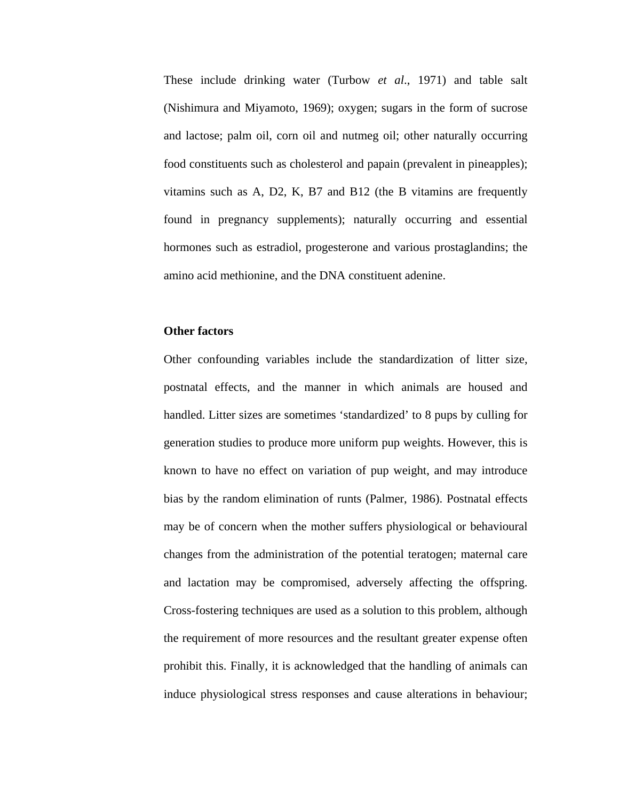These include drinking water (Turbow *et al*., 1971) and table salt (Nishimura and Miyamoto, 1969); oxygen; sugars in the form of sucrose and lactose; palm oil, corn oil and nutmeg oil; other naturally occurring food constituents such as cholesterol and papain (prevalent in pineapples); vitamins such as A, D2, K, B7 and B12 (the B vitamins are frequently found in pregnancy supplements); naturally occurring and essential hormones such as estradiol, progesterone and various prostaglandins; the amino acid methionine, and the DNA constituent adenine.

#### **Other factors**

Other confounding variables include the standardization of litter size, postnatal effects, and the manner in which animals are housed and handled. Litter sizes are sometimes 'standardized' to 8 pups by culling for generation studies to produce more uniform pup weights. However, this is known to have no effect on variation of pup weight, and may introduce bias by the random elimination of runts (Palmer, 1986). Postnatal effects may be of concern when the mother suffers physiological or behavioural changes from the administration of the potential teratogen; maternal care and lactation may be compromised, adversely affecting the offspring. Cross-fostering techniques are used as a solution to this problem, although the requirement of more resources and the resultant greater expense often prohibit this. Finally, it is acknowledged that the handling of animals can induce physiological stress responses and cause alterations in behaviour;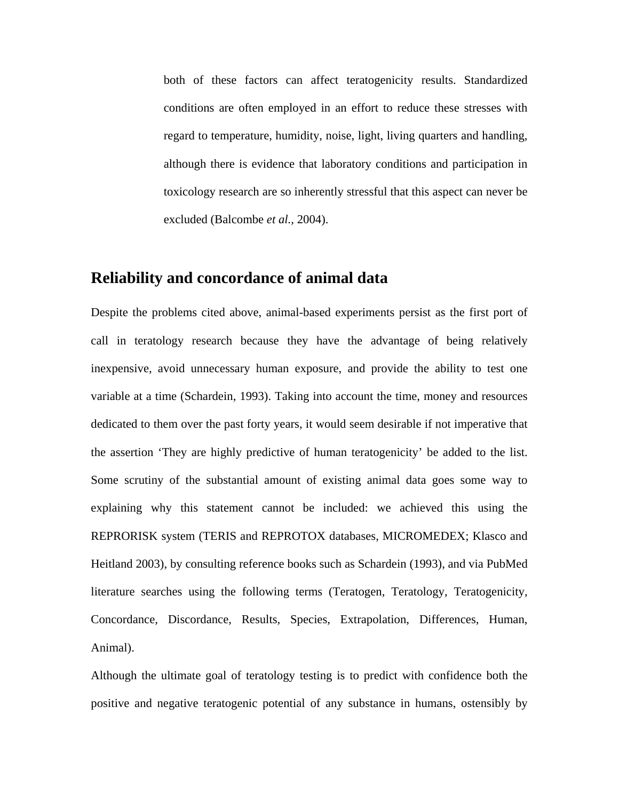both of these factors can affect teratogenicity results. Standardized conditions are often employed in an effort to reduce these stresses with regard to temperature, humidity, noise, light, living quarters and handling, although there is evidence that laboratory conditions and participation in toxicology research are so inherently stressful that this aspect can never be excluded (Balcombe *et al.*, 2004).

## **Reliability and concordance of animal data**

Despite the problems cited above, animal-based experiments persist as the first port of call in teratology research because they have the advantage of being relatively inexpensive, avoid unnecessary human exposure, and provide the ability to test one variable at a time (Schardein, 1993). Taking into account the time, money and resources dedicated to them over the past forty years, it would seem desirable if not imperative that the assertion 'They are highly predictive of human teratogenicity' be added to the list. Some scrutiny of the substantial amount of existing animal data goes some way to explaining why this statement cannot be included: we achieved this using the REPRORISK system (TERIS and REPROTOX databases, MICROMEDEX; Klasco and Heitland 2003), by consulting reference books such as Schardein (1993), and via PubMed literature searches using the following terms (Teratogen, Teratology, Teratogenicity, Concordance, Discordance, Results, Species, Extrapolation, Differences, Human, Animal).

Although the ultimate goal of teratology testing is to predict with confidence both the positive and negative teratogenic potential of any substance in humans, ostensibly by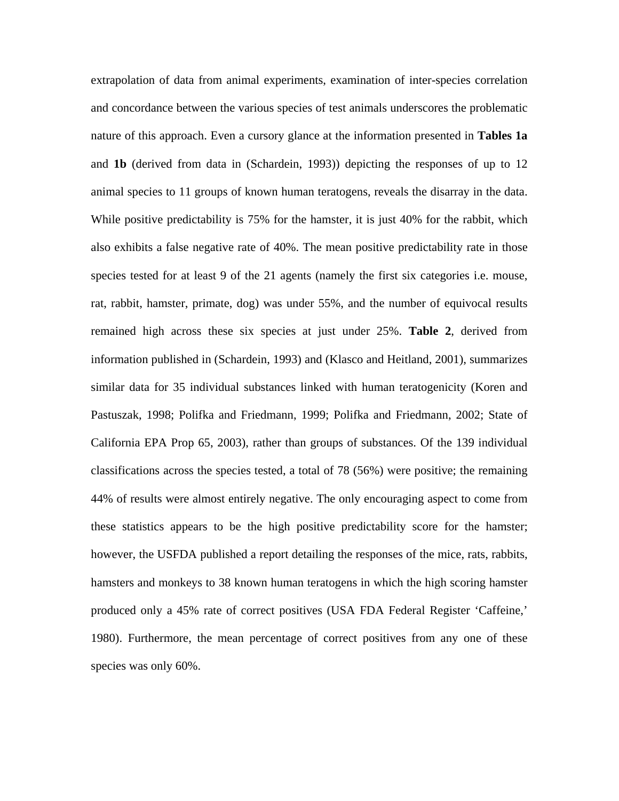extrapolation of data from animal experiments, examination of inter-species correlation and concordance between the various species of test animals underscores the problematic nature of this approach. Even a cursory glance at the information presented in **Tables 1a** and **1b** (derived from data in (Schardein, 1993)) depicting the responses of up to 12 animal species to 11 groups of known human teratogens, reveals the disarray in the data. While positive predictability is 75% for the hamster, it is just 40% for the rabbit, which also exhibits a false negative rate of 40%. The mean positive predictability rate in those species tested for at least 9 of the 21 agents (namely the first six categories i.e. mouse, rat, rabbit, hamster, primate, dog) was under 55%, and the number of equivocal results remained high across these six species at just under 25%. **Table 2**, derived from information published in (Schardein, 1993) and (Klasco and Heitland, 2001), summarizes similar data for 35 individual substances linked with human teratogenicity (Koren and Pastuszak, 1998; Polifka and Friedmann, 1999; Polifka and Friedmann, 2002; State of California EPA Prop 65, 2003), rather than groups of substances. Of the 139 individual classifications across the species tested, a total of 78 (56%) were positive; the remaining 44% of results were almost entirely negative. The only encouraging aspect to come from these statistics appears to be the high positive predictability score for the hamster; however, the USFDA published a report detailing the responses of the mice, rats, rabbits, hamsters and monkeys to 38 known human teratogens in which the high scoring hamster produced only a 45% rate of correct positives (USA FDA Federal Register 'Caffeine,' 1980). Furthermore, the mean percentage of correct positives from any one of these species was only 60%.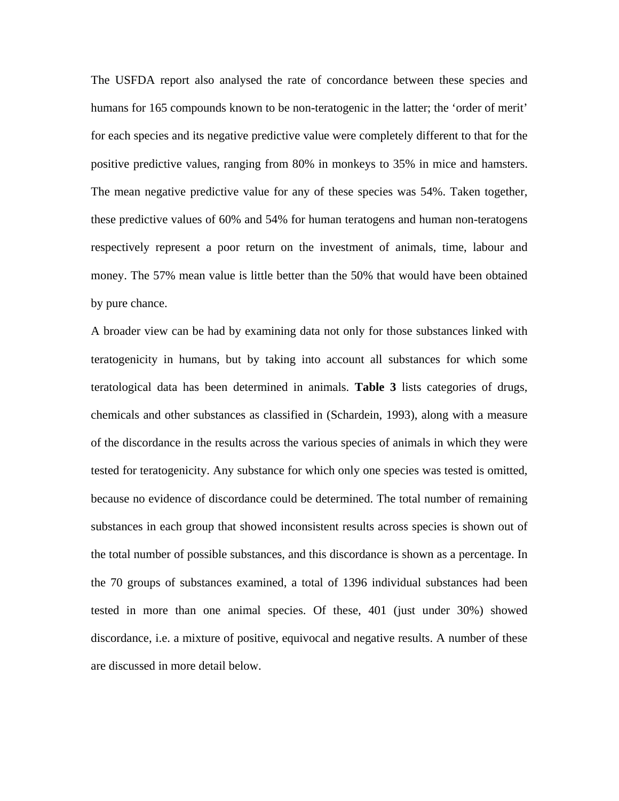The USFDA report also analysed the rate of concordance between these species and humans for 165 compounds known to be non-teratogenic in the latter; the 'order of merit' for each species and its negative predictive value were completely different to that for the positive predictive values, ranging from 80% in monkeys to 35% in mice and hamsters. The mean negative predictive value for any of these species was 54%. Taken together, these predictive values of 60% and 54% for human teratogens and human non-teratogens respectively represent a poor return on the investment of animals, time, labour and money. The 57% mean value is little better than the 50% that would have been obtained by pure chance.

A broader view can be had by examining data not only for those substances linked with teratogenicity in humans, but by taking into account all substances for which some teratological data has been determined in animals. **Table 3** lists categories of drugs, chemicals and other substances as classified in (Schardein, 1993), along with a measure of the discordance in the results across the various species of animals in which they were tested for teratogenicity. Any substance for which only one species was tested is omitted, because no evidence of discordance could be determined. The total number of remaining substances in each group that showed inconsistent results across species is shown out of the total number of possible substances, and this discordance is shown as a percentage. In the 70 groups of substances examined, a total of 1396 individual substances had been tested in more than one animal species. Of these, 401 (just under 30%) showed discordance, i.e. a mixture of positive, equivocal and negative results. A number of these are discussed in more detail below.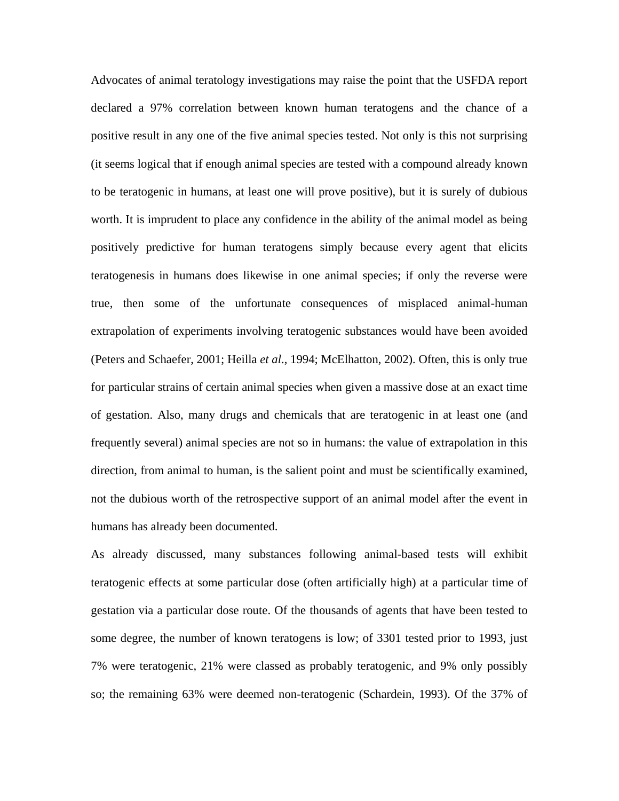Advocates of animal teratology investigations may raise the point that the USFDA report declared a 97% correlation between known human teratogens and the chance of a positive result in any one of the five animal species tested. Not only is this not surprising (it seems logical that if enough animal species are tested with a compound already known to be teratogenic in humans, at least one will prove positive), but it is surely of dubious worth. It is imprudent to place any confidence in the ability of the animal model as being positively predictive for human teratogens simply because every agent that elicits teratogenesis in humans does likewise in one animal species; if only the reverse were true, then some of the unfortunate consequences of misplaced animal-human extrapolation of experiments involving teratogenic substances would have been avoided (Peters and Schaefer, 2001; Heilla *et al*., 1994; McElhatton, 2002). Often, this is only true for particular strains of certain animal species when given a massive dose at an exact time of gestation. Also, many drugs and chemicals that are teratogenic in at least one (and frequently several) animal species are not so in humans: the value of extrapolation in this direction, from animal to human, is the salient point and must be scientifically examined, not the dubious worth of the retrospective support of an animal model after the event in humans has already been documented.

As already discussed, many substances following animal-based tests will exhibit teratogenic effects at some particular dose (often artificially high) at a particular time of gestation via a particular dose route. Of the thousands of agents that have been tested to some degree, the number of known teratogens is low; of 3301 tested prior to 1993, just 7% were teratogenic, 21% were classed as probably teratogenic, and 9% only possibly so; the remaining 63% were deemed non-teratogenic (Schardein, 1993). Of the 37% of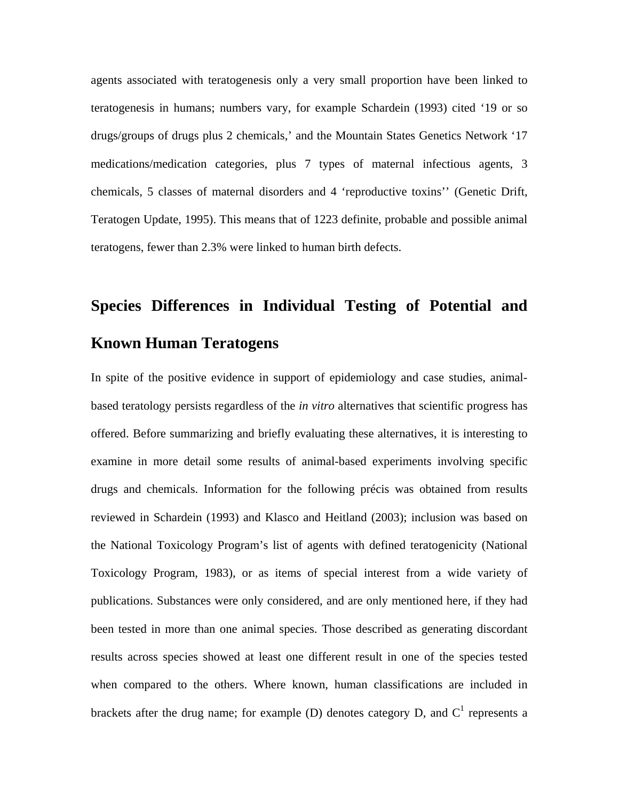agents associated with teratogenesis only a very small proportion have been linked to teratogenesis in humans; numbers vary, for example Schardein (1993) cited '19 or so drugs/groups of drugs plus 2 chemicals,' and the Mountain States Genetics Network '17 medications/medication categories, plus 7 types of maternal infectious agents, 3 chemicals, 5 classes of maternal disorders and 4 'reproductive toxins'' (Genetic Drift, Teratogen Update, 1995). This means that of 1223 definite, probable and possible animal teratogens, fewer than 2.3% were linked to human birth defects.

# **Species Differences in Individual Testing of Potential and Known Human Teratogens**

In spite of the positive evidence in support of epidemiology and case studies, animalbased teratology persists regardless of the *in vitro* alternatives that scientific progress has offered. Before summarizing and briefly evaluating these alternatives, it is interesting to examine in more detail some results of animal-based experiments involving specific drugs and chemicals. Information for the following précis was obtained from results reviewed in Schardein (1993) and Klasco and Heitland (2003); inclusion was based on the National Toxicology Program's list of agents with defined teratogenicity (National Toxicology Program, 1983), or as items of special interest from a wide variety of publications. Substances were only considered, and are only mentioned here, if they had been tested in more than one animal species. Those described as generating discordant results across species showed at least one different result in one of the species tested when compared to the others. Where known, human classifications are included in brackets after the drug name; for example (D) denotes category D, and  $C^1$  represents a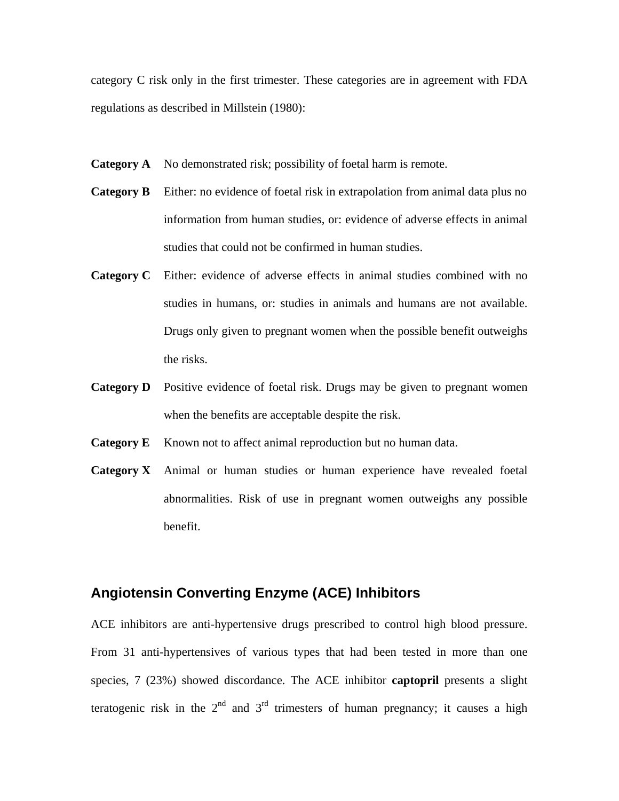category C risk only in the first trimester. These categories are in agreement with FDA regulations as described in Millstein (1980):

- **Category A** No demonstrated risk; possibility of foetal harm is remote.
- **Category B** Either: no evidence of foetal risk in extrapolation from animal data plus no information from human studies, or: evidence of adverse effects in animal studies that could not be confirmed in human studies.
- **Category C** Either: evidence of adverse effects in animal studies combined with no studies in humans, or: studies in animals and humans are not available. Drugs only given to pregnant women when the possible benefit outweighs the risks.
- **Category D** Positive evidence of foetal risk. Drugs may be given to pregnant women when the benefits are acceptable despite the risk.
- **Category E** Known not to affect animal reproduction but no human data.
- **Category X** Animal or human studies or human experience have revealed foetal abnormalities. Risk of use in pregnant women outweighs any possible benefit.

# **Angiotensin Converting Enzyme (ACE) Inhibitors**

ACE inhibitors are anti-hypertensive drugs prescribed to control high blood pressure. From 31 anti-hypertensives of various types that had been tested in more than one species, 7 (23%) showed discordance. The ACE inhibitor **captopril** presents a slight teratogenic risk in the  $2<sup>nd</sup>$  and  $3<sup>rd</sup>$  trimesters of human pregnancy; it causes a high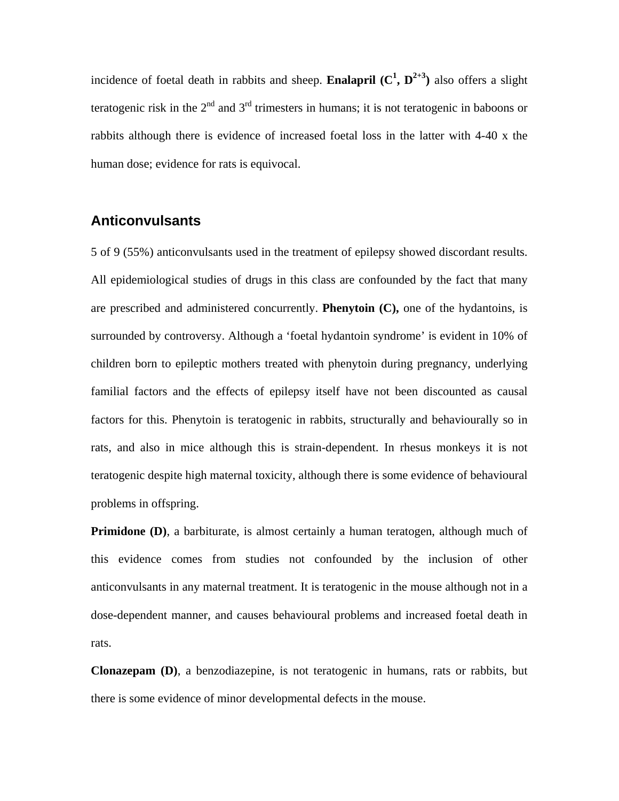incidence of foetal death in rabbits and sheep. **Enalapril**  $(C^1, D^{2+3})$  also offers a slight teratogenic risk in the  $2<sup>nd</sup>$  and  $3<sup>rd</sup>$  trimesters in humans; it is not teratogenic in baboons or rabbits although there is evidence of increased foetal loss in the latter with 4-40 x the human dose; evidence for rats is equivocal.

#### **Anticonvulsants**

5 of 9 (55%) anticonvulsants used in the treatment of epilepsy showed discordant results. All epidemiological studies of drugs in this class are confounded by the fact that many are prescribed and administered concurrently. **Phenytoin (C),** one of the hydantoins, is surrounded by controversy. Although a 'foetal hydantoin syndrome' is evident in 10% of children born to epileptic mothers treated with phenytoin during pregnancy, underlying familial factors and the effects of epilepsy itself have not been discounted as causal factors for this. Phenytoin is teratogenic in rabbits, structurally and behaviourally so in rats, and also in mice although this is strain-dependent. In rhesus monkeys it is not teratogenic despite high maternal toxicity, although there is some evidence of behavioural problems in offspring.

**Primidone (D)**, a barbiturate, is almost certainly a human teratogen, although much of this evidence comes from studies not confounded by the inclusion of other anticonvulsants in any maternal treatment. It is teratogenic in the mouse although not in a dose-dependent manner, and causes behavioural problems and increased foetal death in rats.

**Clonazepam (D)**, a benzodiazepine, is not teratogenic in humans, rats or rabbits, but there is some evidence of minor developmental defects in the mouse.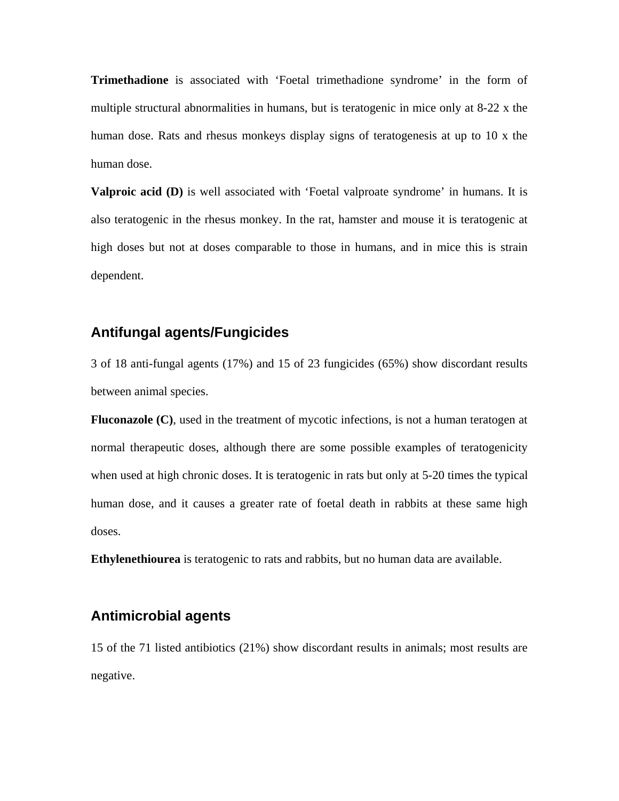**Trimethadione** is associated with 'Foetal trimethadione syndrome' in the form of multiple structural abnormalities in humans, but is teratogenic in mice only at 8-22 x the human dose. Rats and rhesus monkeys display signs of teratogenesis at up to 10 x the human dose.

**Valproic acid (D)** is well associated with 'Foetal valproate syndrome' in humans. It is also teratogenic in the rhesus monkey. In the rat, hamster and mouse it is teratogenic at high doses but not at doses comparable to those in humans, and in mice this is strain dependent.

# **Antifungal agents/Fungicides**

3 of 18 anti-fungal agents (17%) and 15 of 23 fungicides (65%) show discordant results between animal species.

**Fluconazole (C)**, used in the treatment of mycotic infections, is not a human teratogen at normal therapeutic doses, although there are some possible examples of teratogenicity when used at high chronic doses. It is teratogenic in rats but only at 5-20 times the typical human dose, and it causes a greater rate of foetal death in rabbits at these same high doses.

**Ethylenethiourea** is teratogenic to rats and rabbits, but no human data are available.

# **Antimicrobial agents**

15 of the 71 listed antibiotics (21%) show discordant results in animals; most results are negative.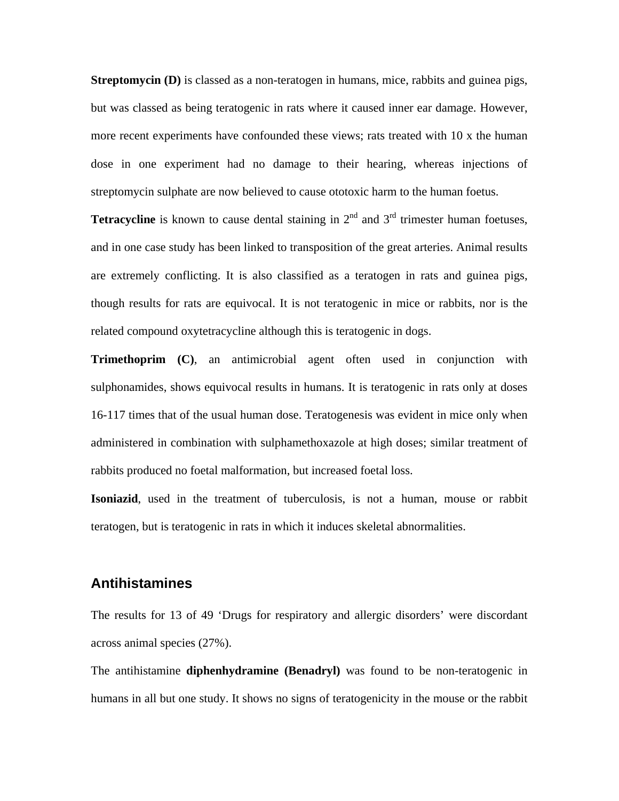**Streptomycin (D)** is classed as a non-teratogen in humans, mice, rabbits and guinea pigs, but was classed as being teratogenic in rats where it caused inner ear damage. However, more recent experiments have confounded these views; rats treated with 10 x the human dose in one experiment had no damage to their hearing, whereas injections of streptomycin sulphate are now believed to cause ototoxic harm to the human foetus.

**Tetracycline** is known to cause dental staining in  $2<sup>nd</sup>$  and  $3<sup>rd</sup>$  trimester human foetuses, and in one case study has been linked to transposition of the great arteries. Animal results are extremely conflicting. It is also classified as a teratogen in rats and guinea pigs, though results for rats are equivocal. It is not teratogenic in mice or rabbits, nor is the related compound oxytetracycline although this is teratogenic in dogs.

**Trimethoprim (C)**, an antimicrobial agent often used in conjunction with sulphonamides, shows equivocal results in humans. It is teratogenic in rats only at doses 16-117 times that of the usual human dose. Teratogenesis was evident in mice only when administered in combination with sulphamethoxazole at high doses; similar treatment of rabbits produced no foetal malformation, but increased foetal loss.

**Isoniazid**, used in the treatment of tuberculosis, is not a human, mouse or rabbit teratogen, but is teratogenic in rats in which it induces skeletal abnormalities.

#### **Antihistamines**

The results for 13 of 49 'Drugs for respiratory and allergic disorders' were discordant across animal species (27%).

The antihistamine **diphenhydramine (Benadryl)** was found to be non-teratogenic in humans in all but one study. It shows no signs of teratogenicity in the mouse or the rabbit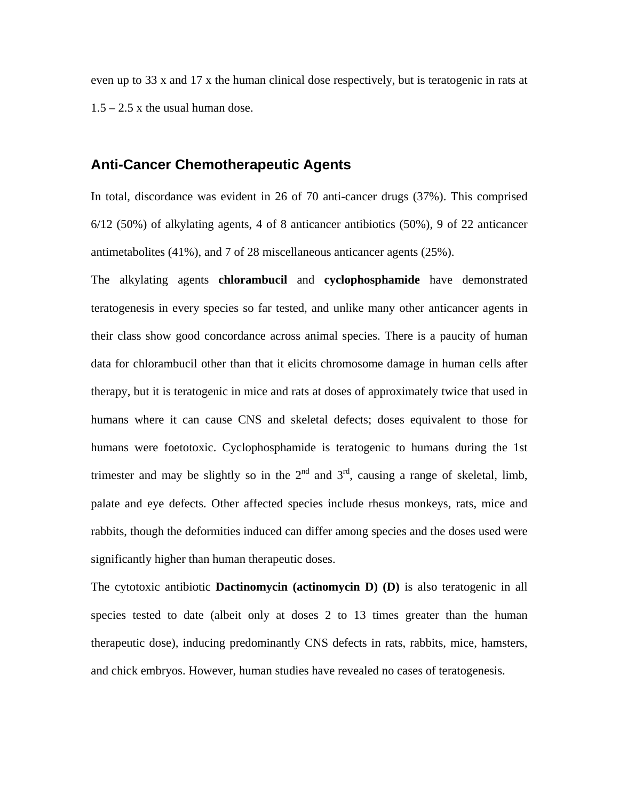even up to 33 x and 17 x the human clinical dose respectively, but is teratogenic in rats at  $1.5 - 2.5$  x the usual human dose.

# **Anti-Cancer Chemotherapeutic Agents**

In total, discordance was evident in 26 of 70 anti-cancer drugs (37%). This comprised 6/12 (50%) of alkylating agents, 4 of 8 anticancer antibiotics (50%), 9 of 22 anticancer antimetabolites (41%), and 7 of 28 miscellaneous anticancer agents (25%).

The alkylating agents **chlorambucil** and **cyclophosphamide** have demonstrated teratogenesis in every species so far tested, and unlike many other anticancer agents in their class show good concordance across animal species. There is a paucity of human data for chlorambucil other than that it elicits chromosome damage in human cells after therapy, but it is teratogenic in mice and rats at doses of approximately twice that used in humans where it can cause CNS and skeletal defects; doses equivalent to those for humans were foetotoxic. Cyclophosphamide is teratogenic to humans during the 1st trimester and may be slightly so in the  $2<sup>nd</sup>$  and  $3<sup>rd</sup>$ , causing a range of skeletal, limb, palate and eye defects. Other affected species include rhesus monkeys, rats, mice and rabbits, though the deformities induced can differ among species and the doses used were significantly higher than human therapeutic doses.

The cytotoxic antibiotic **Dactinomycin (actinomycin D) (D)** is also teratogenic in all species tested to date (albeit only at doses 2 to 13 times greater than the human therapeutic dose), inducing predominantly CNS defects in rats, rabbits, mice, hamsters, and chick embryos. However, human studies have revealed no cases of teratogenesis.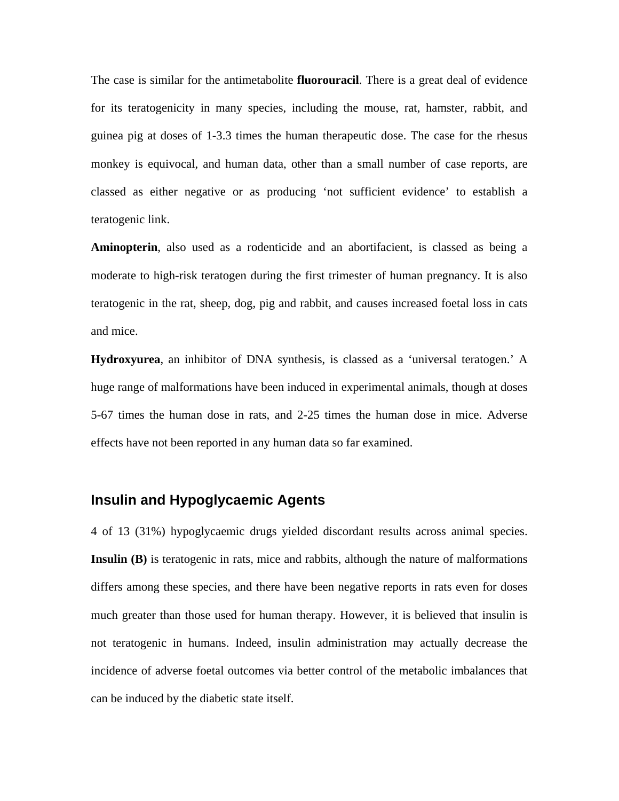The case is similar for the antimetabolite **fluorouracil**. There is a great deal of evidence for its teratogenicity in many species, including the mouse, rat, hamster, rabbit, and guinea pig at doses of 1-3.3 times the human therapeutic dose. The case for the rhesus monkey is equivocal, and human data, other than a small number of case reports, are classed as either negative or as producing 'not sufficient evidence' to establish a teratogenic link.

**Aminopterin**, also used as a rodenticide and an abortifacient, is classed as being a moderate to high-risk teratogen during the first trimester of human pregnancy. It is also teratogenic in the rat, sheep, dog, pig and rabbit, and causes increased foetal loss in cats and mice.

**Hydroxyurea**, an inhibitor of DNA synthesis, is classed as a 'universal teratogen.' A huge range of malformations have been induced in experimental animals, though at doses 5-67 times the human dose in rats, and 2-25 times the human dose in mice. Adverse effects have not been reported in any human data so far examined.

## **Insulin and Hypoglycaemic Agents**

4 of 13 (31%) hypoglycaemic drugs yielded discordant results across animal species. **Insulin (B)** is teratogenic in rats, mice and rabbits, although the nature of malformations differs among these species, and there have been negative reports in rats even for doses much greater than those used for human therapy. However, it is believed that insulin is not teratogenic in humans. Indeed, insulin administration may actually decrease the incidence of adverse foetal outcomes via better control of the metabolic imbalances that can be induced by the diabetic state itself.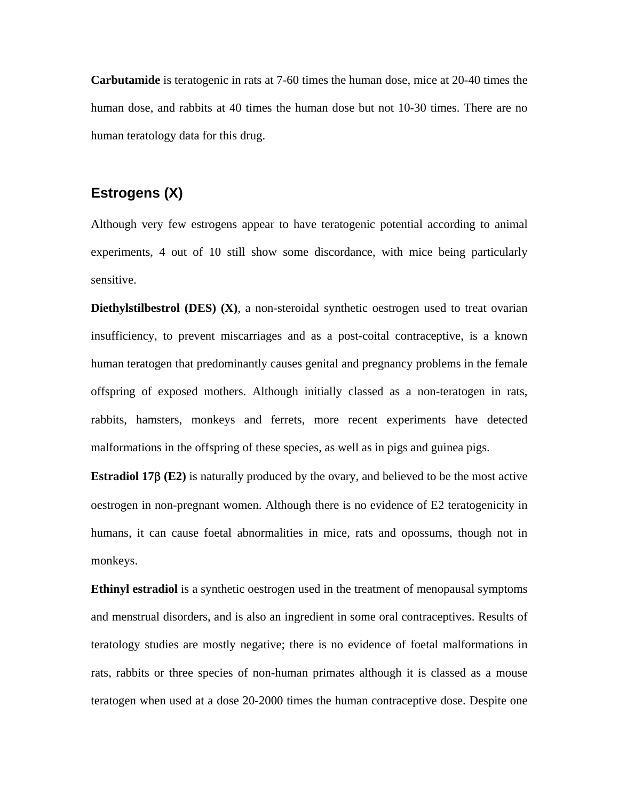**Carbutamide** is teratogenic in rats at 7-60 times the human dose, mice at 20-40 times the human dose, and rabbits at 40 times the human dose but not 10-30 times. There are no human teratology data for this drug.

#### **Estrogens (X)**

Although very few estrogens appear to have teratogenic potential according to animal experiments, 4 out of 10 still show some discordance, with mice being particularly sensitive.

**Diethylstilbestrol (DES) (X)**, a non-steroidal synthetic oestrogen used to treat ovarian insufficiency, to prevent miscarriages and as a post-coital contraceptive, is a known human teratogen that predominantly causes genital and pregnancy problems in the female offspring of exposed mothers. Although initially classed as a non-teratogen in rats, rabbits, hamsters, monkeys and ferrets, more recent experiments have detected malformations in the offspring of these species, as well as in pigs and guinea pigs.

**Estradiol 17**β **(E2)** is naturally produced by the ovary, and believed to be the most active oestrogen in non-pregnant women. Although there is no evidence of E2 teratogenicity in humans, it can cause foetal abnormalities in mice, rats and opossums, though not in monkeys.

**Ethinyl estradiol** is a synthetic oestrogen used in the treatment of menopausal symptoms and menstrual disorders, and is also an ingredient in some oral contraceptives. Results of teratology studies are mostly negative; there is no evidence of foetal malformations in rats, rabbits or three species of non-human primates although it is classed as a mouse teratogen when used at a dose 20-2000 times the human contraceptive dose. Despite one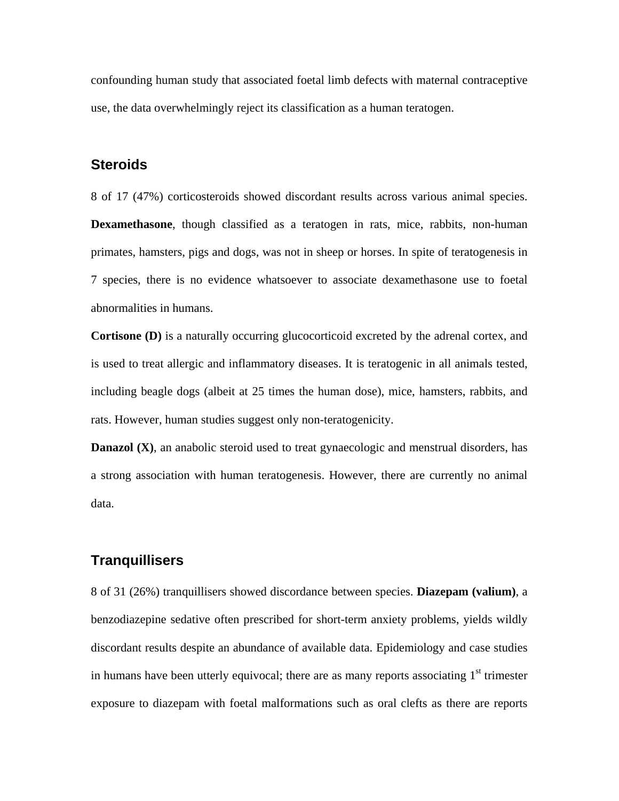confounding human study that associated foetal limb defects with maternal contraceptive use, the data overwhelmingly reject its classification as a human teratogen.

#### **Steroids**

8 of 17 (47%) corticosteroids showed discordant results across various animal species. **Dexamethasone**, though classified as a teratogen in rats, mice, rabbits, non-human primates, hamsters, pigs and dogs, was not in sheep or horses. In spite of teratogenesis in 7 species, there is no evidence whatsoever to associate dexamethasone use to foetal abnormalities in humans.

**Cortisone (D)** is a naturally occurring glucocorticoid excreted by the adrenal cortex, and is used to treat allergic and inflammatory diseases. It is teratogenic in all animals tested, including beagle dogs (albeit at 25 times the human dose), mice, hamsters, rabbits, and rats. However, human studies suggest only non-teratogenicity.

**Danazol (X)**, an anabolic steroid used to treat gynaecologic and menstrual disorders, has a strong association with human teratogenesis. However, there are currently no animal data.

#### **Tranquillisers**

8 of 31 (26%) tranquillisers showed discordance between species. **Diazepam (valium)**, a benzodiazepine sedative often prescribed for short-term anxiety problems, yields wildly discordant results despite an abundance of available data. Epidemiology and case studies in humans have been utterly equivocal; there are as many reports associating  $1<sup>st</sup>$  trimester exposure to diazepam with foetal malformations such as oral clefts as there are reports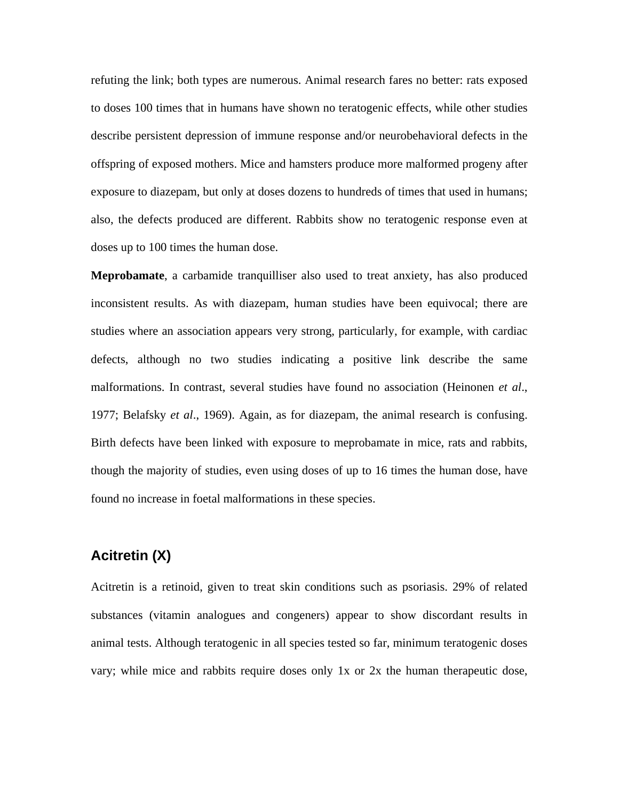refuting the link; both types are numerous. Animal research fares no better: rats exposed to doses 100 times that in humans have shown no teratogenic effects, while other studies describe persistent depression of immune response and/or neurobehavioral defects in the offspring of exposed mothers. Mice and hamsters produce more malformed progeny after exposure to diazepam, but only at doses dozens to hundreds of times that used in humans; also, the defects produced are different. Rabbits show no teratogenic response even at doses up to 100 times the human dose.

**Meprobamate**, a carbamide tranquilliser also used to treat anxiety, has also produced inconsistent results. As with diazepam, human studies have been equivocal; there are studies where an association appears very strong, particularly, for example, with cardiac defects, although no two studies indicating a positive link describe the same malformations. In contrast, several studies have found no association (Heinonen *et al*., 1977; Belafsky *et al*., 1969). Again, as for diazepam, the animal research is confusing. Birth defects have been linked with exposure to meprobamate in mice, rats and rabbits, though the majority of studies, even using doses of up to 16 times the human dose, have found no increase in foetal malformations in these species.

## **Acitretin (X)**

Acitretin is a retinoid, given to treat skin conditions such as psoriasis. 29% of related substances (vitamin analogues and congeners) appear to show discordant results in animal tests. Although teratogenic in all species tested so far, minimum teratogenic doses vary; while mice and rabbits require doses only 1x or 2x the human therapeutic dose,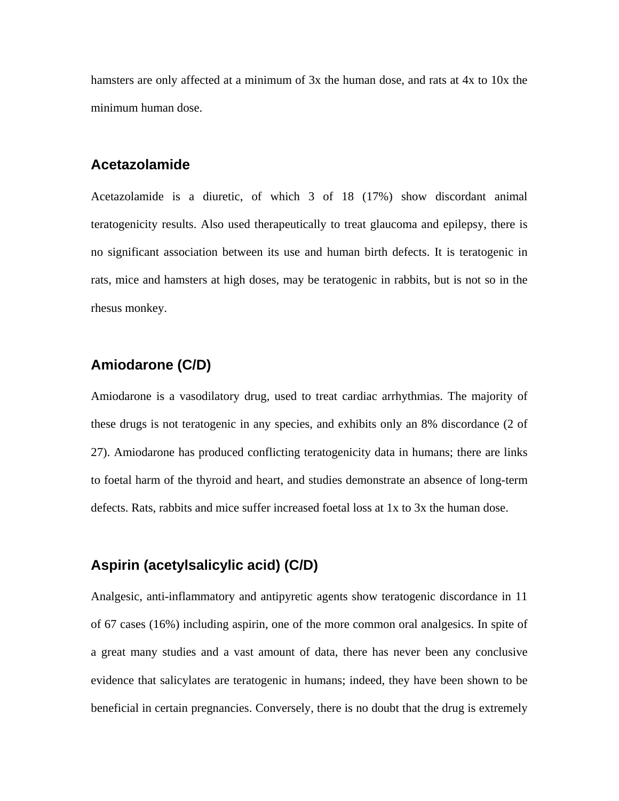hamsters are only affected at a minimum of 3x the human dose, and rats at 4x to 10x the minimum human dose.

#### **Acetazolamide**

Acetazolamide is a diuretic, of which 3 of 18 (17%) show discordant animal teratogenicity results. Also used therapeutically to treat glaucoma and epilepsy, there is no significant association between its use and human birth defects. It is teratogenic in rats, mice and hamsters at high doses, may be teratogenic in rabbits, but is not so in the rhesus monkey.

# **Amiodarone (C/D)**

Amiodarone is a vasodilatory drug, used to treat cardiac arrhythmias. The majority of these drugs is not teratogenic in any species, and exhibits only an 8% discordance (2 of 27). Amiodarone has produced conflicting teratogenicity data in humans; there are links to foetal harm of the thyroid and heart, and studies demonstrate an absence of long-term defects. Rats, rabbits and mice suffer increased foetal loss at 1x to 3x the human dose.

# **Aspirin (acetylsalicylic acid) (C/D)**

Analgesic, anti-inflammatory and antipyretic agents show teratogenic discordance in 11 of 67 cases (16%) including aspirin, one of the more common oral analgesics. In spite of a great many studies and a vast amount of data, there has never been any conclusive evidence that salicylates are teratogenic in humans; indeed, they have been shown to be beneficial in certain pregnancies. Conversely, there is no doubt that the drug is extremely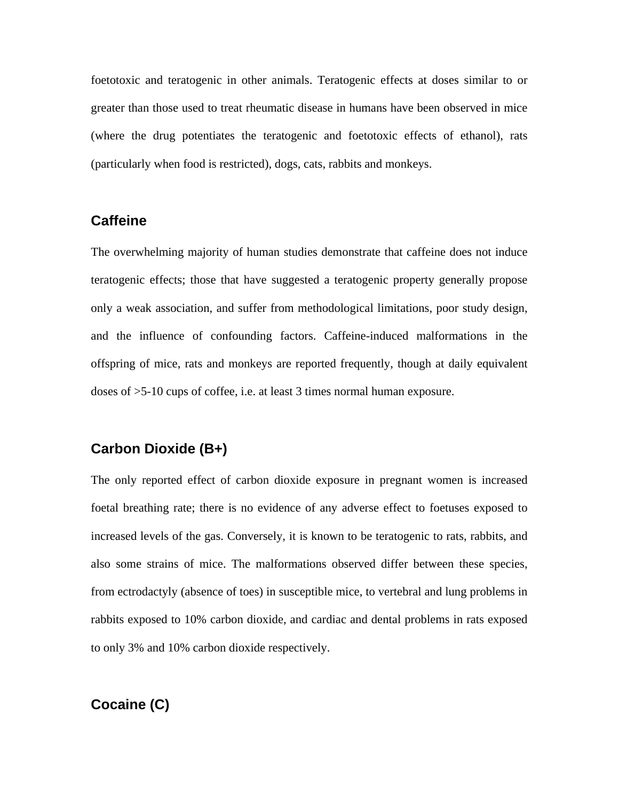foetotoxic and teratogenic in other animals. Teratogenic effects at doses similar to or greater than those used to treat rheumatic disease in humans have been observed in mice (where the drug potentiates the teratogenic and foetotoxic effects of ethanol), rats (particularly when food is restricted), dogs, cats, rabbits and monkeys.

#### **Caffeine**

The overwhelming majority of human studies demonstrate that caffeine does not induce teratogenic effects; those that have suggested a teratogenic property generally propose only a weak association, and suffer from methodological limitations, poor study design, and the influence of confounding factors. Caffeine-induced malformations in the offspring of mice, rats and monkeys are reported frequently, though at daily equivalent doses of >5-10 cups of coffee, i.e. at least 3 times normal human exposure.

#### **Carbon Dioxide (B+)**

The only reported effect of carbon dioxide exposure in pregnant women is increased foetal breathing rate; there is no evidence of any adverse effect to foetuses exposed to increased levels of the gas. Conversely, it is known to be teratogenic to rats, rabbits, and also some strains of mice. The malformations observed differ between these species, from ectrodactyly (absence of toes) in susceptible mice, to vertebral and lung problems in rabbits exposed to 10% carbon dioxide, and cardiac and dental problems in rats exposed to only 3% and 10% carbon dioxide respectively.

# **Cocaine (C)**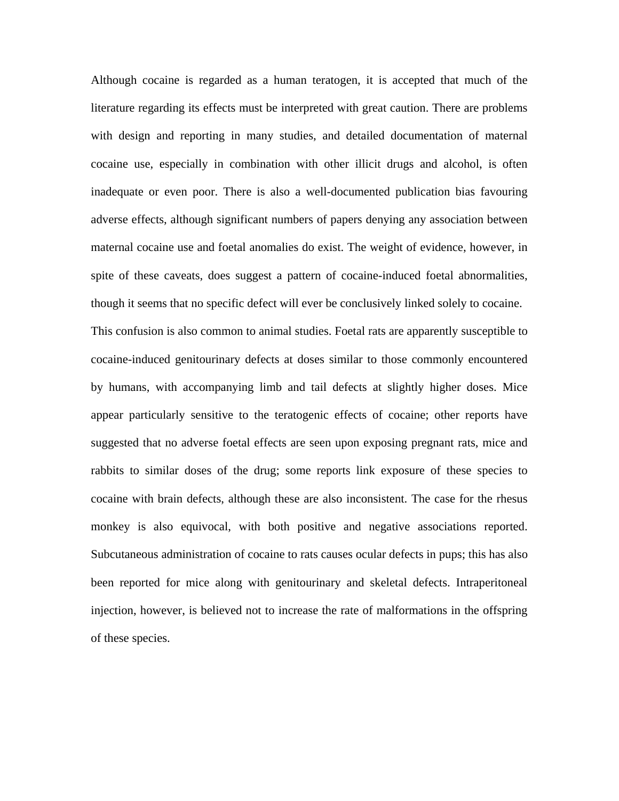Although cocaine is regarded as a human teratogen, it is accepted that much of the literature regarding its effects must be interpreted with great caution. There are problems with design and reporting in many studies, and detailed documentation of maternal cocaine use, especially in combination with other illicit drugs and alcohol, is often inadequate or even poor. There is also a well-documented publication bias favouring adverse effects, although significant numbers of papers denying any association between maternal cocaine use and foetal anomalies do exist. The weight of evidence, however, in spite of these caveats, does suggest a pattern of cocaine-induced foetal abnormalities, though it seems that no specific defect will ever be conclusively linked solely to cocaine. This confusion is also common to animal studies. Foetal rats are apparently susceptible to cocaine-induced genitourinary defects at doses similar to those commonly encountered by humans, with accompanying limb and tail defects at slightly higher doses. Mice appear particularly sensitive to the teratogenic effects of cocaine; other reports have suggested that no adverse foetal effects are seen upon exposing pregnant rats, mice and rabbits to similar doses of the drug; some reports link exposure of these species to cocaine with brain defects, although these are also inconsistent. The case for the rhesus monkey is also equivocal, with both positive and negative associations reported. Subcutaneous administration of cocaine to rats causes ocular defects in pups; this has also been reported for mice along with genitourinary and skeletal defects. Intraperitoneal injection, however, is believed not to increase the rate of malformations in the offspring of these species.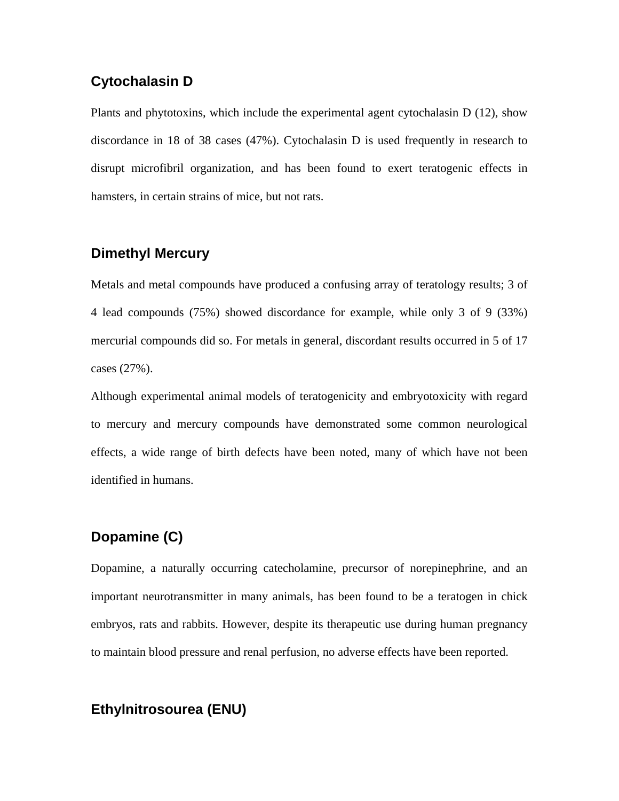# **Cytochalasin D**

Plants and phytotoxins, which include the experimental agent cytochalasin D (12), show discordance in 18 of 38 cases (47%). Cytochalasin D is used frequently in research to disrupt microfibril organization, and has been found to exert teratogenic effects in hamsters, in certain strains of mice, but not rats.

# **Dimethyl Mercury**

Metals and metal compounds have produced a confusing array of teratology results; 3 of 4 lead compounds (75%) showed discordance for example, while only 3 of 9 (33%) mercurial compounds did so. For metals in general, discordant results occurred in 5 of 17 cases (27%).

Although experimental animal models of teratogenicity and embryotoxicity with regard to mercury and mercury compounds have demonstrated some common neurological effects, a wide range of birth defects have been noted, many of which have not been identified in humans.

# **Dopamine (C)**

Dopamine, a naturally occurring catecholamine, precursor of norepinephrine, and an important neurotransmitter in many animals, has been found to be a teratogen in chick embryos, rats and rabbits. However, despite its therapeutic use during human pregnancy to maintain blood pressure and renal perfusion, no adverse effects have been reported.

# **Ethylnitrosourea (ENU)**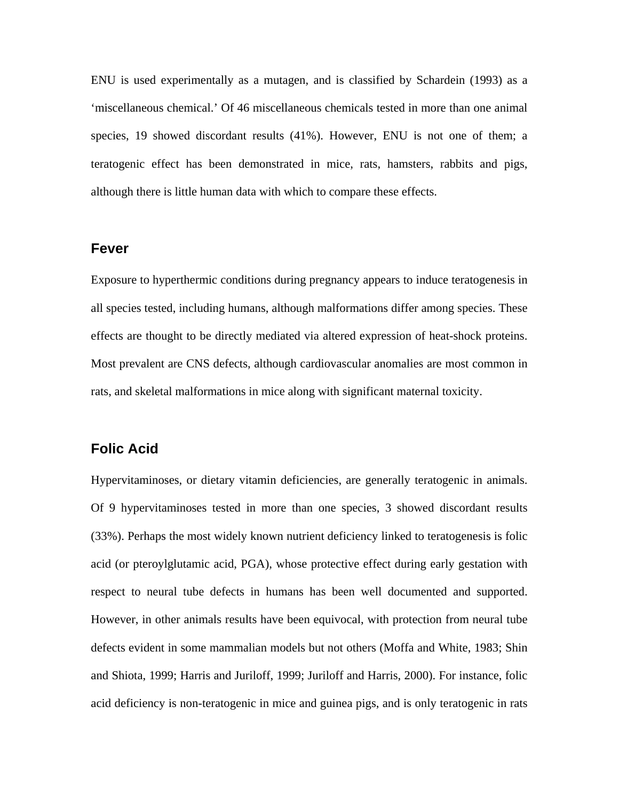ENU is used experimentally as a mutagen, and is classified by Schardein (1993) as a 'miscellaneous chemical.' Of 46 miscellaneous chemicals tested in more than one animal species, 19 showed discordant results (41%). However, ENU is not one of them; a teratogenic effect has been demonstrated in mice, rats, hamsters, rabbits and pigs, although there is little human data with which to compare these effects.

#### **Fever**

Exposure to hyperthermic conditions during pregnancy appears to induce teratogenesis in all species tested, including humans, although malformations differ among species. These effects are thought to be directly mediated via altered expression of heat-shock proteins. Most prevalent are CNS defects, although cardiovascular anomalies are most common in rats, and skeletal malformations in mice along with significant maternal toxicity.

#### **Folic Acid**

Hypervitaminoses, or dietary vitamin deficiencies, are generally teratogenic in animals. Of 9 hypervitaminoses tested in more than one species, 3 showed discordant results (33%). Perhaps the most widely known nutrient deficiency linked to teratogenesis is folic acid (or pteroylglutamic acid, PGA), whose protective effect during early gestation with respect to neural tube defects in humans has been well documented and supported. However, in other animals results have been equivocal, with protection from neural tube defects evident in some mammalian models but not others (Moffa and White, 1983; Shin and Shiota, 1999; Harris and Juriloff, 1999; Juriloff and Harris, 2000). For instance, folic acid deficiency is non-teratogenic in mice and guinea pigs, and is only teratogenic in rats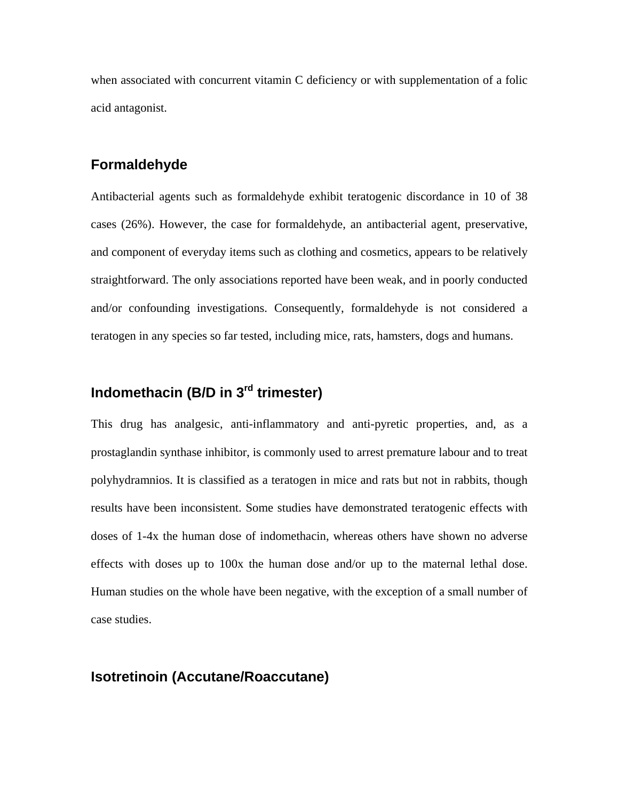when associated with concurrent vitamin C deficiency or with supplementation of a folic acid antagonist.

## **Formaldehyde**

Antibacterial agents such as formaldehyde exhibit teratogenic discordance in 10 of 38 cases (26%). However, the case for formaldehyde, an antibacterial agent, preservative, and component of everyday items such as clothing and cosmetics, appears to be relatively straightforward. The only associations reported have been weak, and in poorly conducted and/or confounding investigations. Consequently, formaldehyde is not considered a teratogen in any species so far tested, including mice, rats, hamsters, dogs and humans.

# **Indomethacin (B/D in 3rd trimester)**

This drug has analgesic, anti-inflammatory and anti-pyretic properties, and, as a prostaglandin synthase inhibitor, is commonly used to arrest premature labour and to treat polyhydramnios. It is classified as a teratogen in mice and rats but not in rabbits, though results have been inconsistent. Some studies have demonstrated teratogenic effects with doses of 1-4x the human dose of indomethacin, whereas others have shown no adverse effects with doses up to 100x the human dose and/or up to the maternal lethal dose. Human studies on the whole have been negative, with the exception of a small number of case studies.

#### **Isotretinoin (Accutane/Roaccutane)**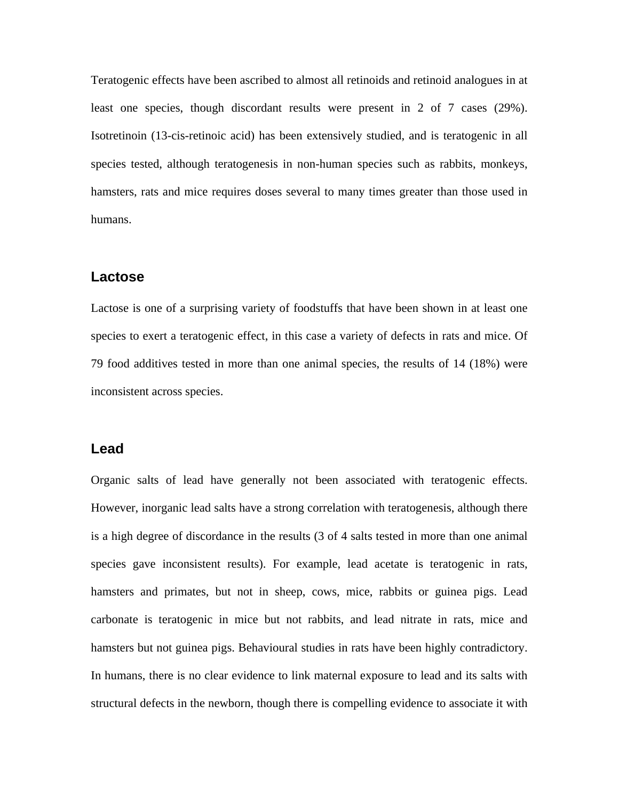Teratogenic effects have been ascribed to almost all retinoids and retinoid analogues in at least one species, though discordant results were present in 2 of 7 cases (29%). Isotretinoin (13-cis-retinoic acid) has been extensively studied, and is teratogenic in all species tested, although teratogenesis in non-human species such as rabbits, monkeys, hamsters, rats and mice requires doses several to many times greater than those used in humans.

#### **Lactose**

Lactose is one of a surprising variety of foodstuffs that have been shown in at least one species to exert a teratogenic effect, in this case a variety of defects in rats and mice. Of 79 food additives tested in more than one animal species, the results of 14 (18%) were inconsistent across species.

#### **Lead**

Organic salts of lead have generally not been associated with teratogenic effects. However, inorganic lead salts have a strong correlation with teratogenesis, although there is a high degree of discordance in the results (3 of 4 salts tested in more than one animal species gave inconsistent results). For example, lead acetate is teratogenic in rats, hamsters and primates, but not in sheep, cows, mice, rabbits or guinea pigs. Lead carbonate is teratogenic in mice but not rabbits, and lead nitrate in rats, mice and hamsters but not guinea pigs. Behavioural studies in rats have been highly contradictory. In humans, there is no clear evidence to link maternal exposure to lead and its salts with structural defects in the newborn, though there is compelling evidence to associate it with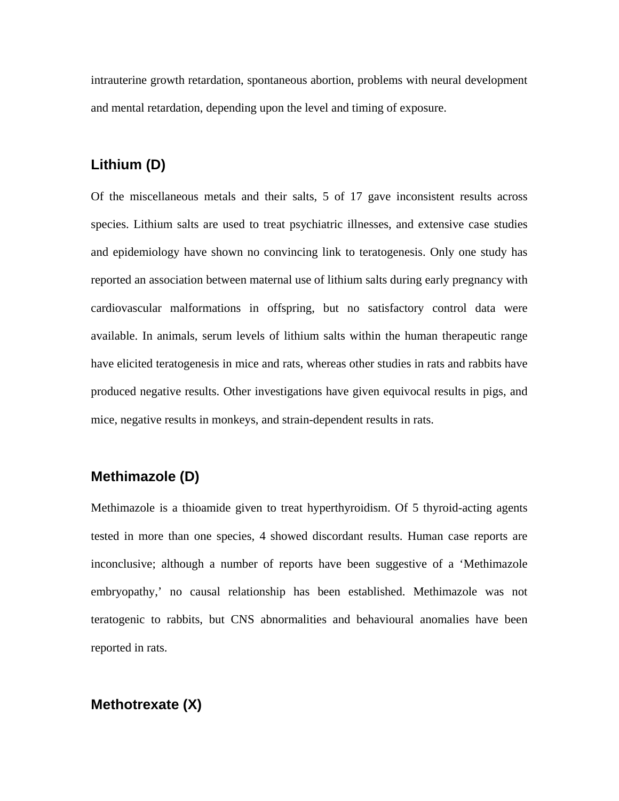intrauterine growth retardation, spontaneous abortion, problems with neural development and mental retardation, depending upon the level and timing of exposure.

## **Lithium (D)**

Of the miscellaneous metals and their salts, 5 of 17 gave inconsistent results across species. Lithium salts are used to treat psychiatric illnesses, and extensive case studies and epidemiology have shown no convincing link to teratogenesis. Only one study has reported an association between maternal use of lithium salts during early pregnancy with cardiovascular malformations in offspring, but no satisfactory control data were available. In animals, serum levels of lithium salts within the human therapeutic range have elicited teratogenesis in mice and rats, whereas other studies in rats and rabbits have produced negative results. Other investigations have given equivocal results in pigs, and mice, negative results in monkeys, and strain-dependent results in rats.

### **Methimazole (D)**

Methimazole is a thioamide given to treat hyperthyroidism. Of 5 thyroid-acting agents tested in more than one species, 4 showed discordant results. Human case reports are inconclusive; although a number of reports have been suggestive of a 'Methimazole embryopathy,' no causal relationship has been established. Methimazole was not teratogenic to rabbits, but CNS abnormalities and behavioural anomalies have been reported in rats.

### **Methotrexate (X)**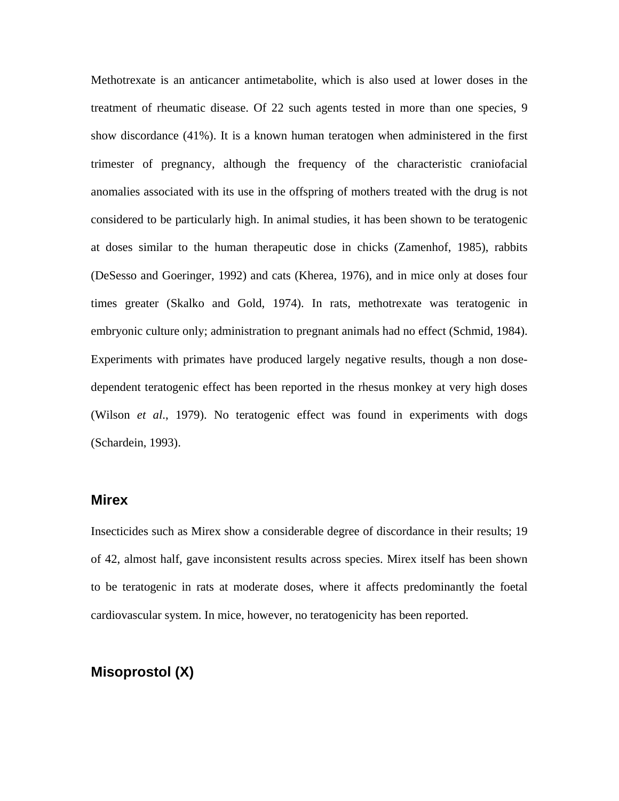Methotrexate is an anticancer antimetabolite, which is also used at lower doses in the treatment of rheumatic disease. Of 22 such agents tested in more than one species, 9 show discordance (41%). It is a known human teratogen when administered in the first trimester of pregnancy, although the frequency of the characteristic craniofacial anomalies associated with its use in the offspring of mothers treated with the drug is not considered to be particularly high. In animal studies, it has been shown to be teratogenic at doses similar to the human therapeutic dose in chicks (Zamenhof, 1985), rabbits (DeSesso and Goeringer, 1992) and cats (Kherea, 1976), and in mice only at doses four times greater (Skalko and Gold, 1974). In rats, methotrexate was teratogenic in embryonic culture only; administration to pregnant animals had no effect (Schmid, 1984). Experiments with primates have produced largely negative results, though a non dosedependent teratogenic effect has been reported in the rhesus monkey at very high doses (Wilson *et al*., 1979). No teratogenic effect was found in experiments with dogs (Schardein, 1993).

### **Mirex**

Insecticides such as Mirex show a considerable degree of discordance in their results; 19 of 42, almost half, gave inconsistent results across species. Mirex itself has been shown to be teratogenic in rats at moderate doses, where it affects predominantly the foetal cardiovascular system. In mice, however, no teratogenicity has been reported.

## **Misoprostol (X)**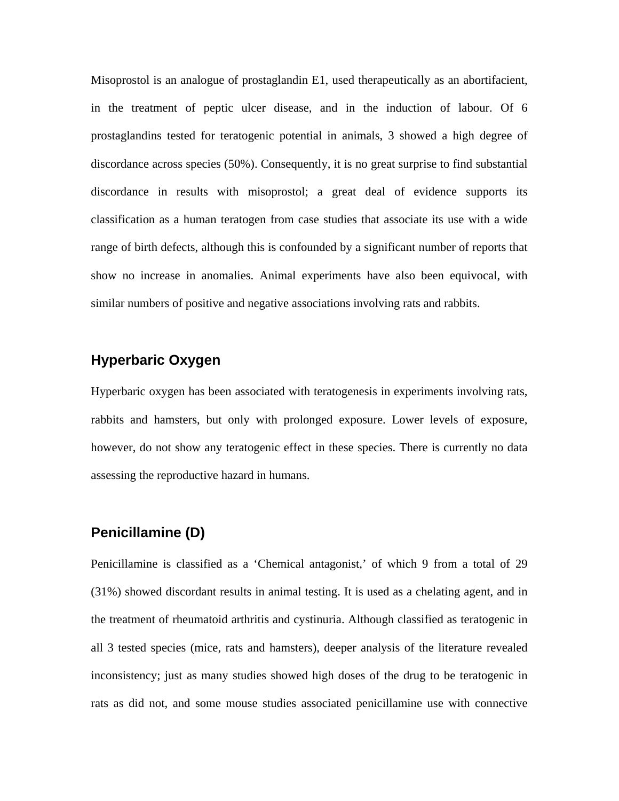Misoprostol is an analogue of prostaglandin E1, used therapeutically as an abortifacient, in the treatment of peptic ulcer disease, and in the induction of labour. Of 6 prostaglandins tested for teratogenic potential in animals, 3 showed a high degree of discordance across species (50%). Consequently, it is no great surprise to find substantial discordance in results with misoprostol; a great deal of evidence supports its classification as a human teratogen from case studies that associate its use with a wide range of birth defects, although this is confounded by a significant number of reports that show no increase in anomalies. Animal experiments have also been equivocal, with similar numbers of positive and negative associations involving rats and rabbits.

### **Hyperbaric Oxygen**

Hyperbaric oxygen has been associated with teratogenesis in experiments involving rats, rabbits and hamsters, but only with prolonged exposure. Lower levels of exposure, however, do not show any teratogenic effect in these species. There is currently no data assessing the reproductive hazard in humans.

## **Penicillamine (D)**

Penicillamine is classified as a 'Chemical antagonist,' of which 9 from a total of 29 (31%) showed discordant results in animal testing. It is used as a chelating agent, and in the treatment of rheumatoid arthritis and cystinuria. Although classified as teratogenic in all 3 tested species (mice, rats and hamsters), deeper analysis of the literature revealed inconsistency; just as many studies showed high doses of the drug to be teratogenic in rats as did not, and some mouse studies associated penicillamine use with connective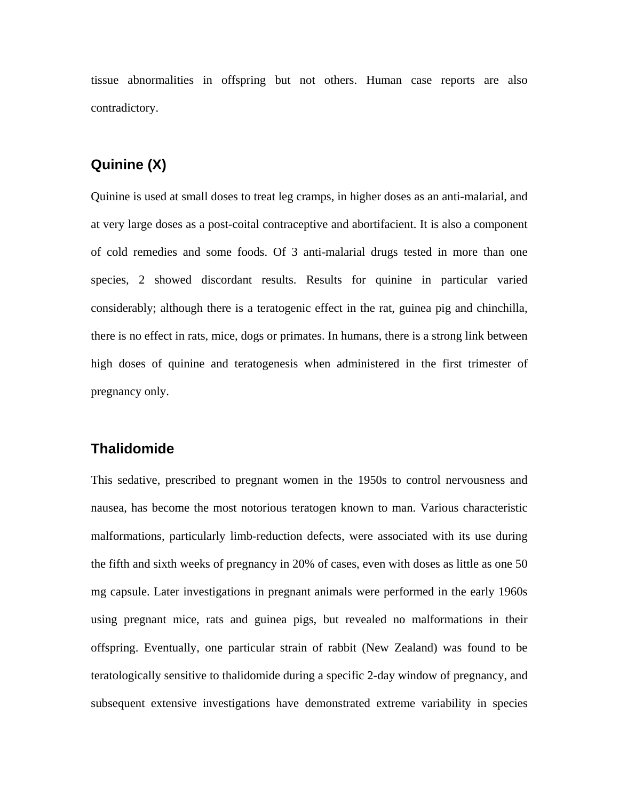tissue abnormalities in offspring but not others. Human case reports are also contradictory.

## **Quinine (X)**

Quinine is used at small doses to treat leg cramps, in higher doses as an anti-malarial, and at very large doses as a post-coital contraceptive and abortifacient. It is also a component of cold remedies and some foods. Of 3 anti-malarial drugs tested in more than one species, 2 showed discordant results. Results for quinine in particular varied considerably; although there is a teratogenic effect in the rat, guinea pig and chinchilla, there is no effect in rats, mice, dogs or primates. In humans, there is a strong link between high doses of quinine and teratogenesis when administered in the first trimester of pregnancy only.

### **Thalidomide**

This sedative, prescribed to pregnant women in the 1950s to control nervousness and nausea, has become the most notorious teratogen known to man. Various characteristic malformations, particularly limb-reduction defects, were associated with its use during the fifth and sixth weeks of pregnancy in 20% of cases, even with doses as little as one 50 mg capsule. Later investigations in pregnant animals were performed in the early 1960s using pregnant mice, rats and guinea pigs, but revealed no malformations in their offspring. Eventually, one particular strain of rabbit (New Zealand) was found to be teratologically sensitive to thalidomide during a specific 2-day window of pregnancy, and subsequent extensive investigations have demonstrated extreme variability in species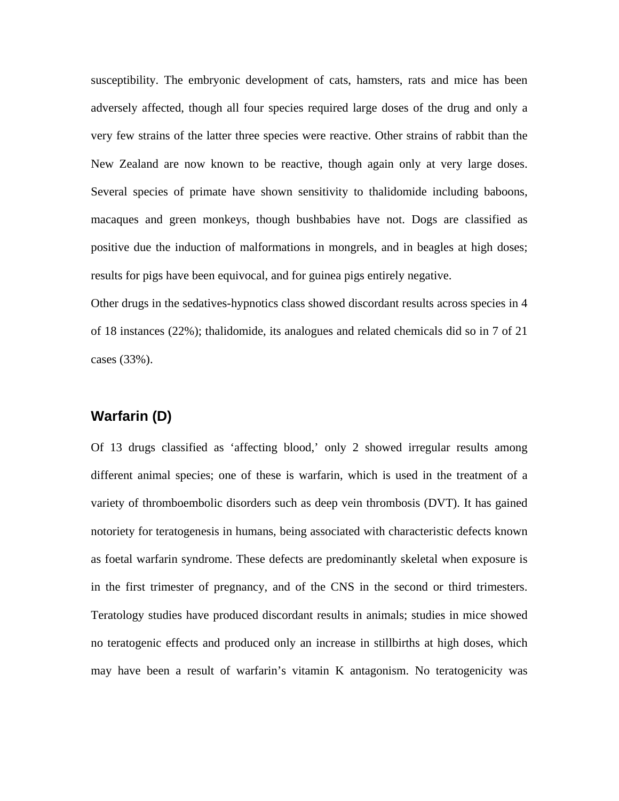susceptibility. The embryonic development of cats, hamsters, rats and mice has been adversely affected, though all four species required large doses of the drug and only a very few strains of the latter three species were reactive. Other strains of rabbit than the New Zealand are now known to be reactive, though again only at very large doses. Several species of primate have shown sensitivity to thalidomide including baboons, macaques and green monkeys, though bushbabies have not. Dogs are classified as positive due the induction of malformations in mongrels, and in beagles at high doses; results for pigs have been equivocal, and for guinea pigs entirely negative.

Other drugs in the sedatives-hypnotics class showed discordant results across species in 4 of 18 instances (22%); thalidomide, its analogues and related chemicals did so in 7 of 21 cases (33%).

#### **Warfarin (D)**

Of 13 drugs classified as 'affecting blood,' only 2 showed irregular results among different animal species; one of these is warfarin, which is used in the treatment of a variety of thromboembolic disorders such as deep vein thrombosis (DVT). It has gained notoriety for teratogenesis in humans, being associated with characteristic defects known as foetal warfarin syndrome. These defects are predominantly skeletal when exposure is in the first trimester of pregnancy, and of the CNS in the second or third trimesters. Teratology studies have produced discordant results in animals; studies in mice showed no teratogenic effects and produced only an increase in stillbirths at high doses, which may have been a result of warfarin's vitamin K antagonism. No teratogenicity was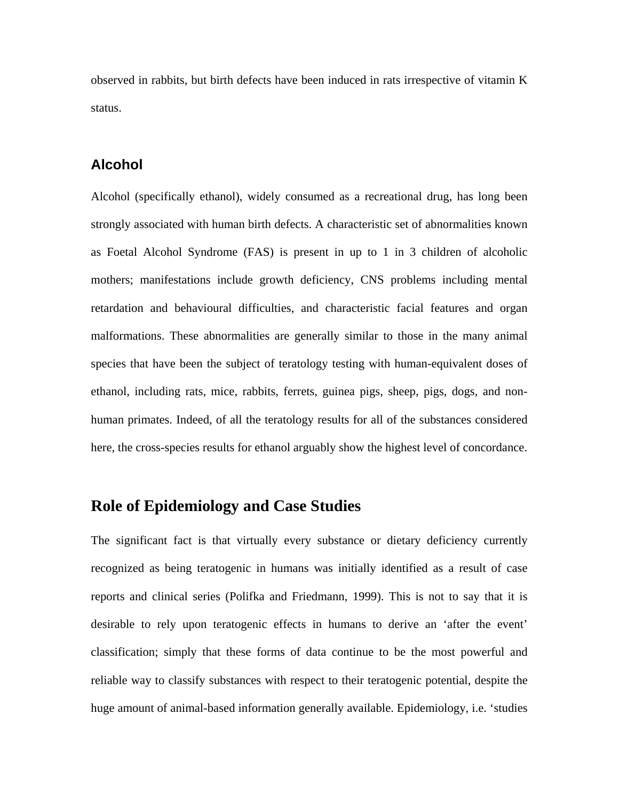observed in rabbits, but birth defects have been induced in rats irrespective of vitamin K status.

### **Alcohol**

Alcohol (specifically ethanol), widely consumed as a recreational drug, has long been strongly associated with human birth defects. A characteristic set of abnormalities known as Foetal Alcohol Syndrome (FAS) is present in up to 1 in 3 children of alcoholic mothers; manifestations include growth deficiency, CNS problems including mental retardation and behavioural difficulties, and characteristic facial features and organ malformations. These abnormalities are generally similar to those in the many animal species that have been the subject of teratology testing with human-equivalent doses of ethanol, including rats, mice, rabbits, ferrets, guinea pigs, sheep, pigs, dogs, and nonhuman primates. Indeed, of all the teratology results for all of the substances considered here, the cross-species results for ethanol arguably show the highest level of concordance.

### **Role of Epidemiology and Case Studies**

The significant fact is that virtually every substance or dietary deficiency currently recognized as being teratogenic in humans was initially identified as a result of case reports and clinical series (Polifka and Friedmann, 1999). This is not to say that it is desirable to rely upon teratogenic effects in humans to derive an 'after the event' classification; simply that these forms of data continue to be the most powerful and reliable way to classify substances with respect to their teratogenic potential, despite the huge amount of animal-based information generally available. Epidemiology, i.e. 'studies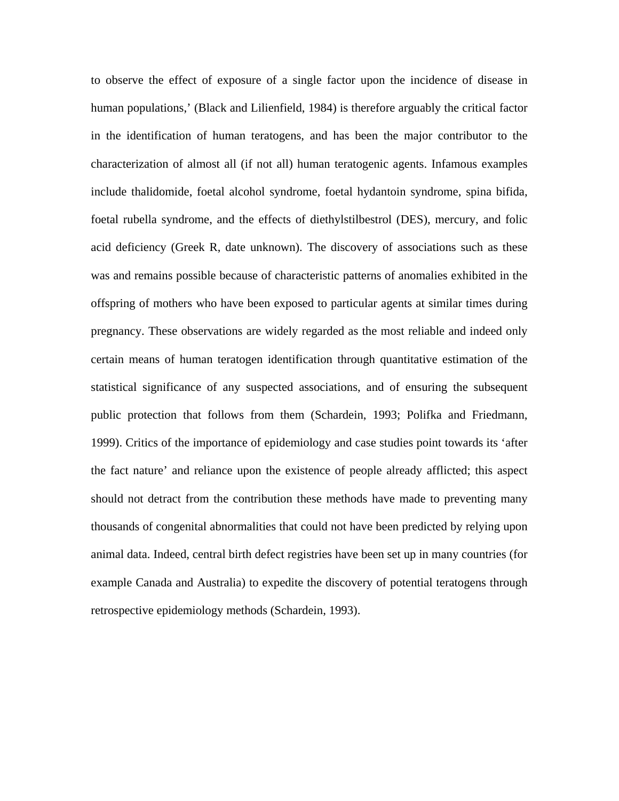to observe the effect of exposure of a single factor upon the incidence of disease in human populations,' (Black and Lilienfield, 1984) is therefore arguably the critical factor in the identification of human teratogens, and has been the major contributor to the characterization of almost all (if not all) human teratogenic agents. Infamous examples include thalidomide, foetal alcohol syndrome, foetal hydantoin syndrome, spina bifida, foetal rubella syndrome, and the effects of diethylstilbestrol (DES), mercury, and folic acid deficiency (Greek R, date unknown). The discovery of associations such as these was and remains possible because of characteristic patterns of anomalies exhibited in the offspring of mothers who have been exposed to particular agents at similar times during pregnancy. These observations are widely regarded as the most reliable and indeed only certain means of human teratogen identification through quantitative estimation of the statistical significance of any suspected associations, and of ensuring the subsequent public protection that follows from them (Schardein, 1993; Polifka and Friedmann, 1999). Critics of the importance of epidemiology and case studies point towards its 'after the fact nature' and reliance upon the existence of people already afflicted; this aspect should not detract from the contribution these methods have made to preventing many thousands of congenital abnormalities that could not have been predicted by relying upon animal data. Indeed, central birth defect registries have been set up in many countries (for example Canada and Australia) to expedite the discovery of potential teratogens through retrospective epidemiology methods (Schardein, 1993).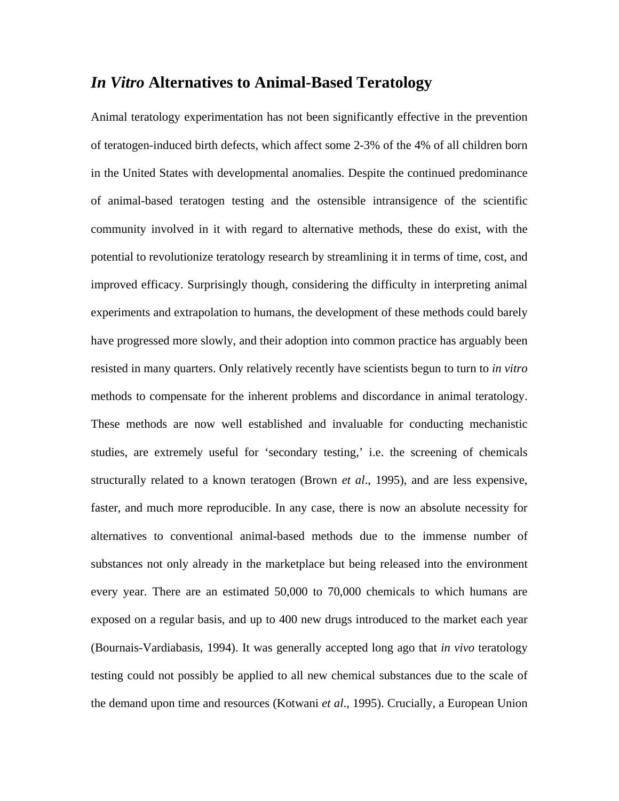## *In Vitro* **Alternatives to Animal-Based Teratology**

Animal teratology experimentation has not been significantly effective in the prevention of teratogen-induced birth defects, which affect some 2-3% of the 4% of all children born in the United States with developmental anomalies. Despite the continued predominance of animal-based teratogen testing and the ostensible intransigence of the scientific community involved in it with regard to alternative methods, these do exist, with the potential to revolutionize teratology research by streamlining it in terms of time, cost, and improved efficacy. Surprisingly though, considering the difficulty in interpreting animal experiments and extrapolation to humans, the development of these methods could barely have progressed more slowly, and their adoption into common practice has arguably been resisted in many quarters. Only relatively recently have scientists begun to turn to *in vitro* methods to compensate for the inherent problems and discordance in animal teratology. These methods are now well established and invaluable for conducting mechanistic studies, are extremely useful for 'secondary testing,' i.e. the screening of chemicals structurally related to a known teratogen (Brown *et al*., 1995), and are less expensive, faster, and much more reproducible. In any case, there is now an absolute necessity for alternatives to conventional animal-based methods due to the immense number of substances not only already in the marketplace but being released into the environment every year. There are an estimated 50,000 to 70,000 chemicals to which humans are exposed on a regular basis, and up to 400 new drugs introduced to the market each year (Bournais-Vardiabasis, 1994). It was generally accepted long ago that *in vivo* teratology testing could not possibly be applied to all new chemical substances due to the scale of the demand upon time and resources (Kotwani *et al*., 1995). Crucially, a European Union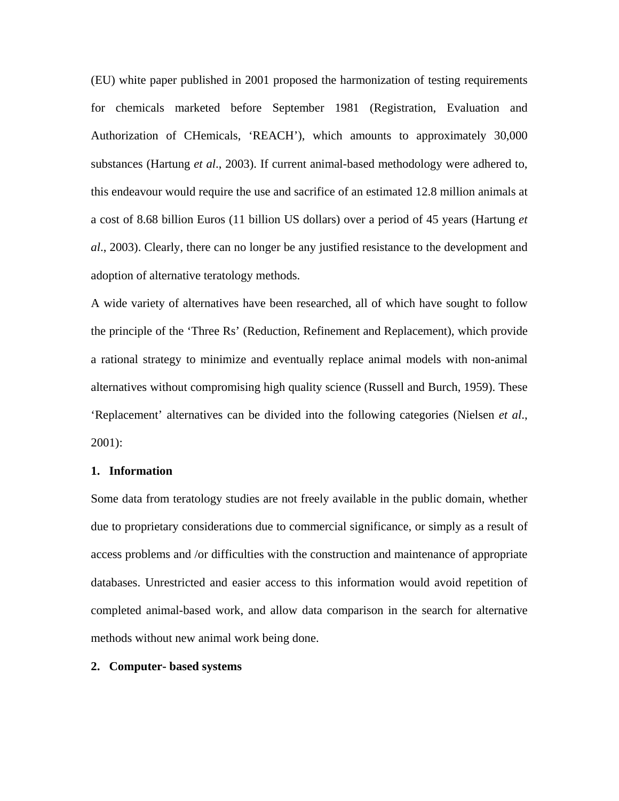(EU) white paper published in 2001 proposed the harmonization of testing requirements for chemicals marketed before September 1981 (Registration, Evaluation and Authorization of CHemicals, 'REACH'), which amounts to approximately 30,000 substances (Hartung *et al*., 2003). If current animal-based methodology were adhered to, this endeavour would require the use and sacrifice of an estimated 12.8 million animals at a cost of 8.68 billion Euros (11 billion US dollars) over a period of 45 years (Hartung *et al*., 2003). Clearly, there can no longer be any justified resistance to the development and adoption of alternative teratology methods.

A wide variety of alternatives have been researched, all of which have sought to follow the principle of the 'Three Rs' (Reduction, Refinement and Replacement), which provide a rational strategy to minimize and eventually replace animal models with non-animal alternatives without compromising high quality science (Russell and Burch, 1959). These 'Replacement' alternatives can be divided into the following categories (Nielsen *et al*., 2001):

#### **1. Information**

Some data from teratology studies are not freely available in the public domain, whether due to proprietary considerations due to commercial significance, or simply as a result of access problems and /or difficulties with the construction and maintenance of appropriate databases. Unrestricted and easier access to this information would avoid repetition of completed animal-based work, and allow data comparison in the search for alternative methods without new animal work being done.

#### **2. Computer- based systems**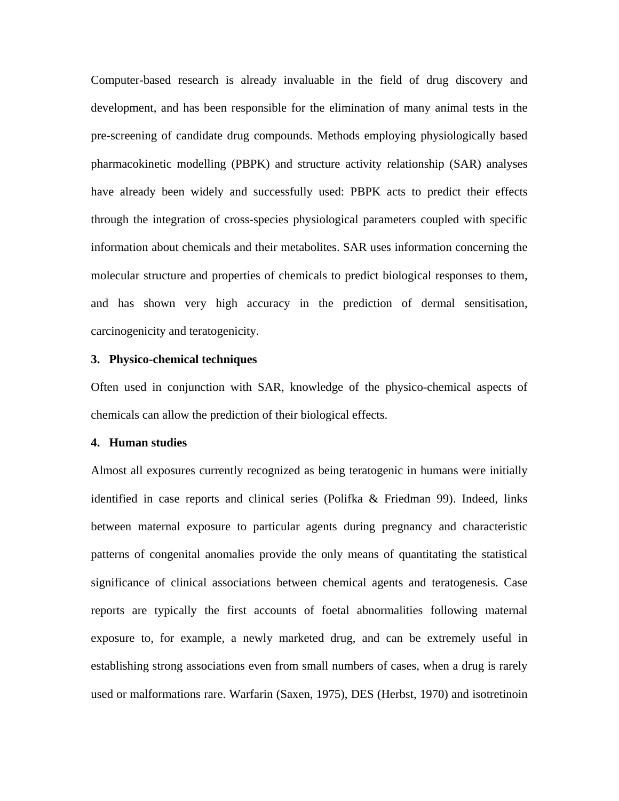Computer-based research is already invaluable in the field of drug discovery and development, and has been responsible for the elimination of many animal tests in the pre-screening of candidate drug compounds. Methods employing physiologically based pharmacokinetic modelling (PBPK) and structure activity relationship (SAR) analyses have already been widely and successfully used: PBPK acts to predict their effects through the integration of cross-species physiological parameters coupled with specific information about chemicals and their metabolites. SAR uses information concerning the molecular structure and properties of chemicals to predict biological responses to them, and has shown very high accuracy in the prediction of dermal sensitisation, carcinogenicity and teratogenicity.

#### **3. Physico-chemical techniques**

Often used in conjunction with SAR, knowledge of the physico-chemical aspects of chemicals can allow the prediction of their biological effects.

#### **4. Human studies**

Almost all exposures currently recognized as being teratogenic in humans were initially identified in case reports and clinical series (Polifka & Friedman 99). Indeed, links between maternal exposure to particular agents during pregnancy and characteristic patterns of congenital anomalies provide the only means of quantitating the statistical significance of clinical associations between chemical agents and teratogenesis. Case reports are typically the first accounts of foetal abnormalities following maternal exposure to, for example, a newly marketed drug, and can be extremely useful in establishing strong associations even from small numbers of cases, when a drug is rarely used or malformations rare. Warfarin (Saxen, 1975), DES (Herbst, 1970) and isotretinoin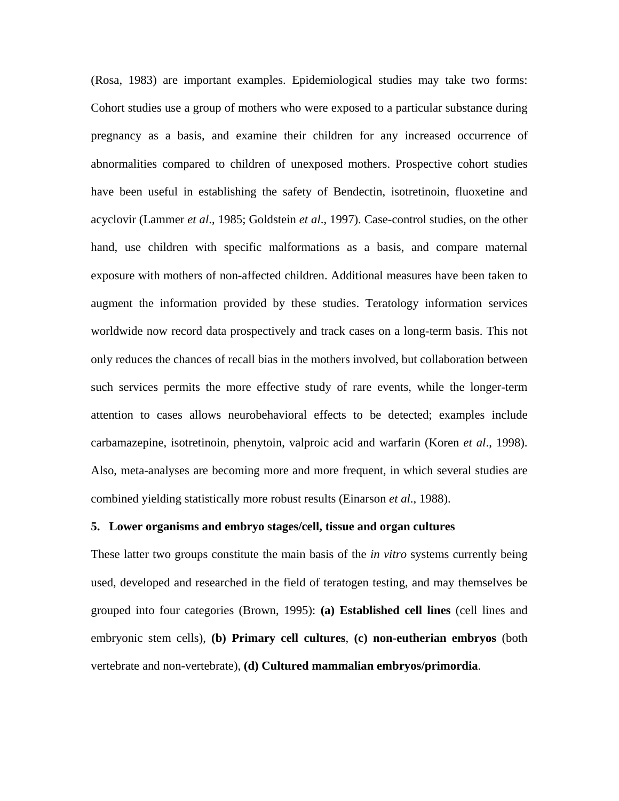(Rosa, 1983) are important examples. Epidemiological studies may take two forms: Cohort studies use a group of mothers who were exposed to a particular substance during pregnancy as a basis, and examine their children for any increased occurrence of abnormalities compared to children of unexposed mothers. Prospective cohort studies have been useful in establishing the safety of Bendectin, isotretinoin, fluoxetine and acyclovir (Lammer *et al*., 1985; Goldstein *et al*., 1997). Case-control studies, on the other hand, use children with specific malformations as a basis, and compare maternal exposure with mothers of non-affected children. Additional measures have been taken to augment the information provided by these studies. Teratology information services worldwide now record data prospectively and track cases on a long-term basis. This not only reduces the chances of recall bias in the mothers involved, but collaboration between such services permits the more effective study of rare events, while the longer-term attention to cases allows neurobehavioral effects to be detected; examples include carbamazepine, isotretinoin, phenytoin, valproic acid and warfarin (Koren *et al*., 1998). Also, meta-analyses are becoming more and more frequent, in which several studies are combined yielding statistically more robust results (Einarson *et al*., 1988).

#### **5. Lower organisms and embryo stages/cell, tissue and organ cultures**

These latter two groups constitute the main basis of the *in vitro* systems currently being used, developed and researched in the field of teratogen testing, and may themselves be grouped into four categories (Brown, 1995): **(a) Established cell lines** (cell lines and embryonic stem cells), **(b) Primary cell cultures**, **(c) non-eutherian embryos** (both vertebrate and non-vertebrate), **(d) Cultured mammalian embryos/primordia**.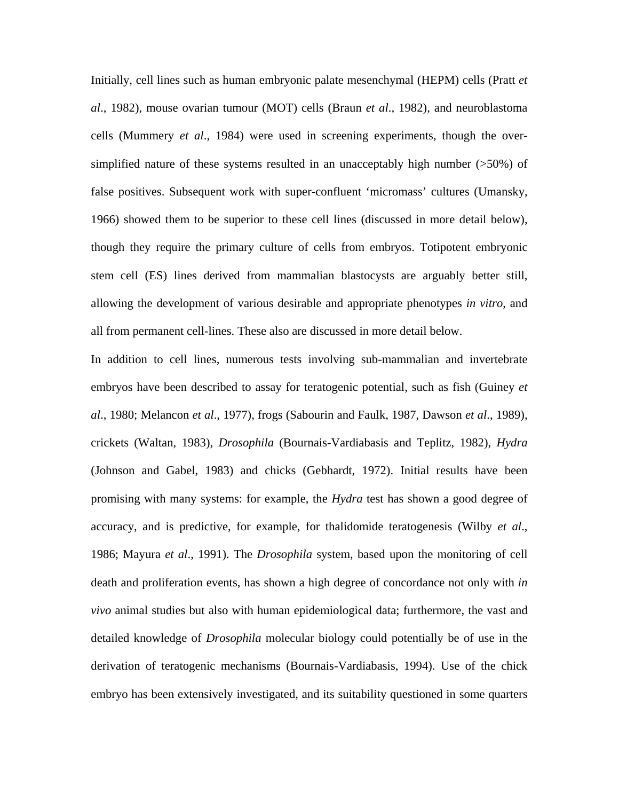Initially, cell lines such as human embryonic palate mesenchymal (HEPM) cells (Pratt *et al*., 1982), mouse ovarian tumour (MOT) cells (Braun *et al*., 1982), and neuroblastoma cells (Mummery *et al*., 1984) were used in screening experiments, though the oversimplified nature of these systems resulted in an unacceptably high number (>50%) of false positives. Subsequent work with super-confluent 'micromass' cultures (Umansky, 1966) showed them to be superior to these cell lines (discussed in more detail below), though they require the primary culture of cells from embryos. Totipotent embryonic stem cell (ES) lines derived from mammalian blastocysts are arguably better still, allowing the development of various desirable and appropriate phenotypes *in vitro*, and all from permanent cell-lines. These also are discussed in more detail below.

In addition to cell lines, numerous tests involving sub-mammalian and invertebrate embryos have been described to assay for teratogenic potential, such as fish (Guiney *et al*., 1980; Melancon *et al*., 1977), frogs (Sabourin and Faulk, 1987, Dawson *et al*., 1989), crickets (Waltan, 1983), *Drosophila* (Bournais-Vardiabasis and Teplitz, 1982), *Hydra* (Johnson and Gabel, 1983) and chicks (Gebhardt, 1972). Initial results have been promising with many systems: for example, the *Hydra* test has shown a good degree of accuracy, and is predictive, for example, for thalidomide teratogenesis (Wilby *et al*., 1986; Mayura *et al*., 1991). The *Drosophila* system, based upon the monitoring of cell death and proliferation events, has shown a high degree of concordance not only with *in vivo* animal studies but also with human epidemiological data; furthermore, the vast and detailed knowledge of *Drosophila* molecular biology could potentially be of use in the derivation of teratogenic mechanisms (Bournais-Vardiabasis, 1994). Use of the chick embryo has been extensively investigated, and its suitability questioned in some quarters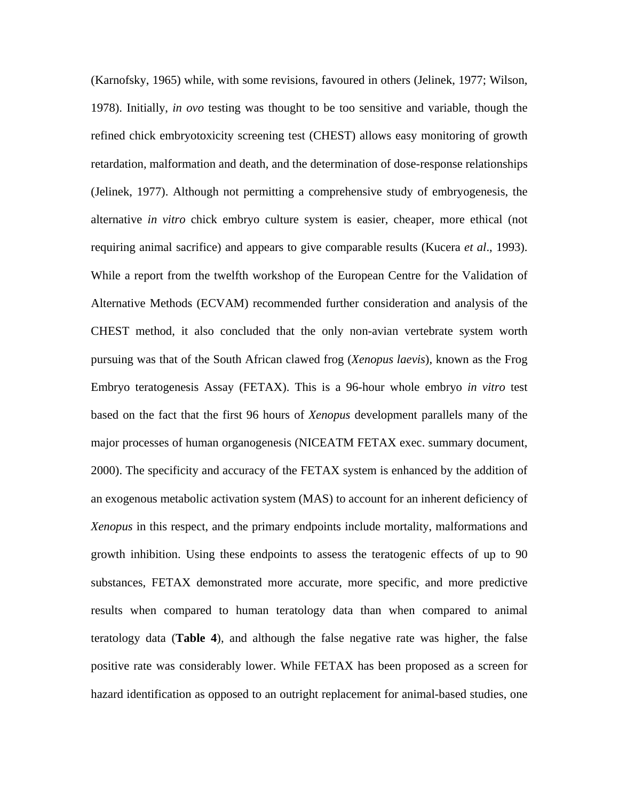(Karnofsky, 1965) while, with some revisions, favoured in others (Jelinek, 1977; Wilson, 1978). Initially, *in ovo* testing was thought to be too sensitive and variable, though the refined chick embryotoxicity screening test (CHEST) allows easy monitoring of growth retardation, malformation and death, and the determination of dose-response relationships (Jelinek, 1977). Although not permitting a comprehensive study of embryogenesis, the alternative *in vitro* chick embryo culture system is easier, cheaper, more ethical (not requiring animal sacrifice) and appears to give comparable results (Kucera *et al*., 1993). While a report from the twelfth workshop of the European Centre for the Validation of Alternative Methods (ECVAM) recommended further consideration and analysis of the CHEST method, it also concluded that the only non-avian vertebrate system worth pursuing was that of the South African clawed frog (*Xenopus laevis*), known as the Frog Embryo teratogenesis Assay (FETAX). This is a 96-hour whole embryo *in vitro* test based on the fact that the first 96 hours of *Xenopus* development parallels many of the major processes of human organogenesis (NICEATM FETAX exec. summary document, 2000). The specificity and accuracy of the FETAX system is enhanced by the addition of an exogenous metabolic activation system (MAS) to account for an inherent deficiency of *Xenopus* in this respect, and the primary endpoints include mortality, malformations and growth inhibition. Using these endpoints to assess the teratogenic effects of up to 90 substances, FETAX demonstrated more accurate, more specific, and more predictive results when compared to human teratology data than when compared to animal teratology data (**Table 4**), and although the false negative rate was higher, the false positive rate was considerably lower. While FETAX has been proposed as a screen for hazard identification as opposed to an outright replacement for animal-based studies, one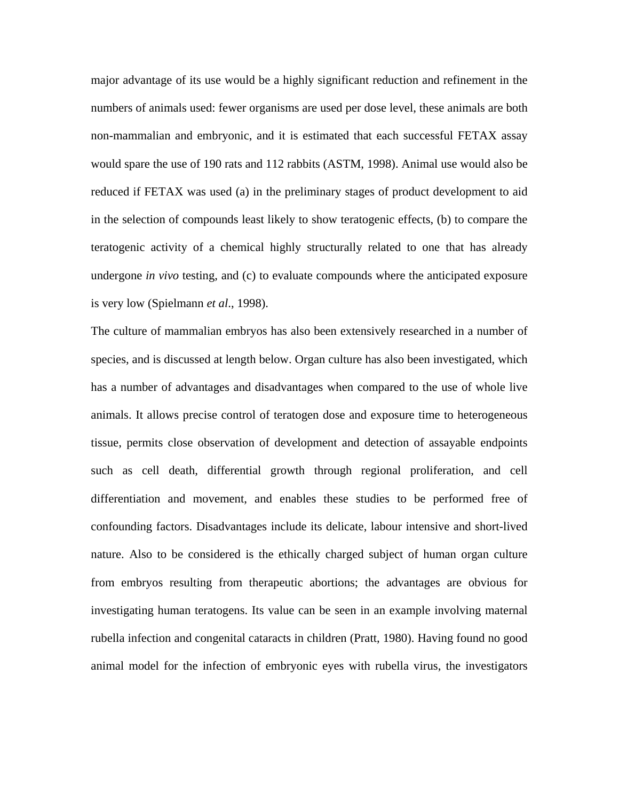major advantage of its use would be a highly significant reduction and refinement in the numbers of animals used: fewer organisms are used per dose level, these animals are both non-mammalian and embryonic, and it is estimated that each successful FETAX assay would spare the use of 190 rats and 112 rabbits (ASTM, 1998). Animal use would also be reduced if FETAX was used (a) in the preliminary stages of product development to aid in the selection of compounds least likely to show teratogenic effects, (b) to compare the teratogenic activity of a chemical highly structurally related to one that has already undergone *in vivo* testing, and (c) to evaluate compounds where the anticipated exposure is very low (Spielmann *et al*., 1998).

The culture of mammalian embryos has also been extensively researched in a number of species, and is discussed at length below. Organ culture has also been investigated, which has a number of advantages and disadvantages when compared to the use of whole live animals. It allows precise control of teratogen dose and exposure time to heterogeneous tissue, permits close observation of development and detection of assayable endpoints such as cell death, differential growth through regional proliferation, and cell differentiation and movement, and enables these studies to be performed free of confounding factors. Disadvantages include its delicate, labour intensive and short-lived nature. Also to be considered is the ethically charged subject of human organ culture from embryos resulting from therapeutic abortions; the advantages are obvious for investigating human teratogens. Its value can be seen in an example involving maternal rubella infection and congenital cataracts in children (Pratt, 1980). Having found no good animal model for the infection of embryonic eyes with rubella virus, the investigators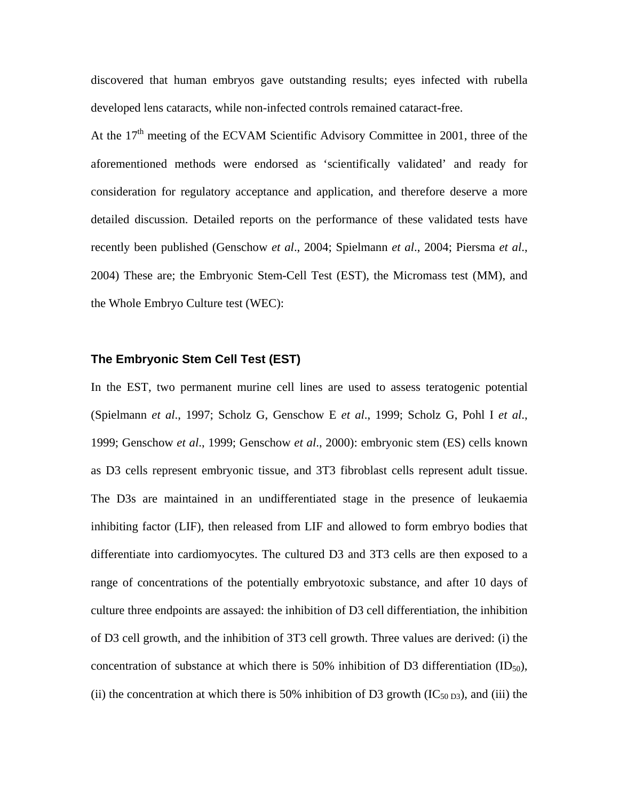discovered that human embryos gave outstanding results; eyes infected with rubella developed lens cataracts, while non-infected controls remained cataract-free.

At the  $17<sup>th</sup>$  meeting of the ECVAM Scientific Advisory Committee in 2001, three of the aforementioned methods were endorsed as 'scientifically validated' and ready for consideration for regulatory acceptance and application, and therefore deserve a more detailed discussion. Detailed reports on the performance of these validated tests have recently been published (Genschow *et al*., 2004; Spielmann *et al*., 2004; Piersma *et al*., 2004) These are; the Embryonic Stem-Cell Test (EST), the Micromass test (MM), and the Whole Embryo Culture test (WEC):

#### **The Embryonic Stem Cell Test (EST)**

In the EST, two permanent murine cell lines are used to assess teratogenic potential (Spielmann *et al*., 1997; Scholz G, Genschow E *et al*., 1999; Scholz G, Pohl I *et al*., 1999; Genschow *et al*., 1999; Genschow *et al*., 2000): embryonic stem (ES) cells known as D3 cells represent embryonic tissue, and 3T3 fibroblast cells represent adult tissue. The D3s are maintained in an undifferentiated stage in the presence of leukaemia inhibiting factor (LIF), then released from LIF and allowed to form embryo bodies that differentiate into cardiomyocytes. The cultured D3 and 3T3 cells are then exposed to a range of concentrations of the potentially embryotoxic substance, and after 10 days of culture three endpoints are assayed: the inhibition of D3 cell differentiation, the inhibition of D3 cell growth, and the inhibition of 3T3 cell growth. Three values are derived: (i) the concentration of substance at which there is 50% inhibition of D3 differentiation  $(ID<sub>50</sub>)$ , (ii) the concentration at which there is 50% inhibition of D3 growth  $(IC_{50 D3})$ , and (iii) the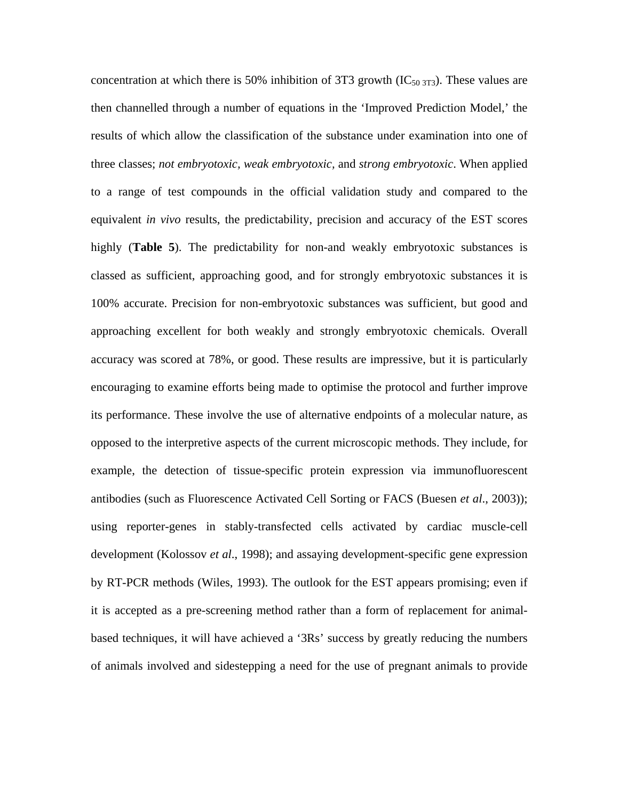concentration at which there is 50% inhibition of 3T3 growth  $(IC_{50 \,3T3})$ . These values are then channelled through a number of equations in the 'Improved Prediction Model,' the results of which allow the classification of the substance under examination into one of three classes; *not embryotoxic, weak embryotoxic,* and *strong embryotoxic*. When applied to a range of test compounds in the official validation study and compared to the equivalent *in vivo* results, the predictability, precision and accuracy of the EST scores highly (**Table 5**). The predictability for non-and weakly embryotoxic substances is classed as sufficient, approaching good, and for strongly embryotoxic substances it is 100% accurate. Precision for non-embryotoxic substances was sufficient, but good and approaching excellent for both weakly and strongly embryotoxic chemicals. Overall accuracy was scored at 78%, or good. These results are impressive, but it is particularly encouraging to examine efforts being made to optimise the protocol and further improve its performance. These involve the use of alternative endpoints of a molecular nature, as opposed to the interpretive aspects of the current microscopic methods. They include, for example, the detection of tissue-specific protein expression via immunofluorescent antibodies (such as Fluorescence Activated Cell Sorting or FACS (Buesen *et al*., 2003)); using reporter-genes in stably-transfected cells activated by cardiac muscle-cell development (Kolossov *et al*., 1998); and assaying development-specific gene expression by RT-PCR methods (Wiles, 1993). The outlook for the EST appears promising; even if it is accepted as a pre-screening method rather than a form of replacement for animalbased techniques, it will have achieved a '3Rs' success by greatly reducing the numbers of animals involved and sidestepping a need for the use of pregnant animals to provide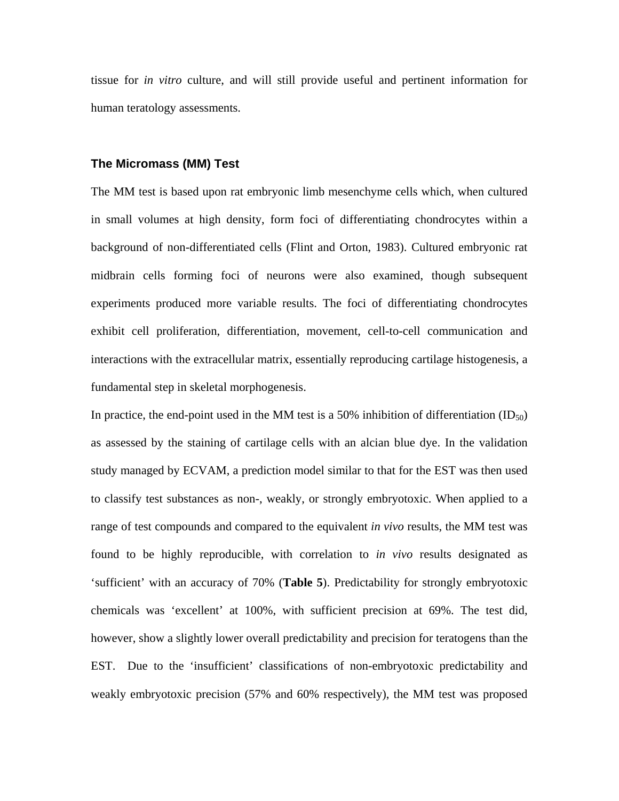tissue for *in vitro* culture, and will still provide useful and pertinent information for human teratology assessments.

#### **The Micromass (MM) Test**

The MM test is based upon rat embryonic limb mesenchyme cells which, when cultured in small volumes at high density, form foci of differentiating chondrocytes within a background of non-differentiated cells (Flint and Orton, 1983). Cultured embryonic rat midbrain cells forming foci of neurons were also examined, though subsequent experiments produced more variable results. The foci of differentiating chondrocytes exhibit cell proliferation, differentiation, movement, cell-to-cell communication and interactions with the extracellular matrix, essentially reproducing cartilage histogenesis, a fundamental step in skeletal morphogenesis.

In practice, the end-point used in the MM test is a 50% inhibition of differentiation  $(ID_{50})$ as assessed by the staining of cartilage cells with an alcian blue dye. In the validation study managed by ECVAM, a prediction model similar to that for the EST was then used to classify test substances as non-, weakly, or strongly embryotoxic. When applied to a range of test compounds and compared to the equivalent *in vivo* results, the MM test was found to be highly reproducible, with correlation to *in vivo* results designated as 'sufficient' with an accuracy of 70% (**Table 5**). Predictability for strongly embryotoxic chemicals was 'excellent' at 100%, with sufficient precision at 69%. The test did, however, show a slightly lower overall predictability and precision for teratogens than the EST. Due to the 'insufficient' classifications of non-embryotoxic predictability and weakly embryotoxic precision (57% and 60% respectively), the MM test was proposed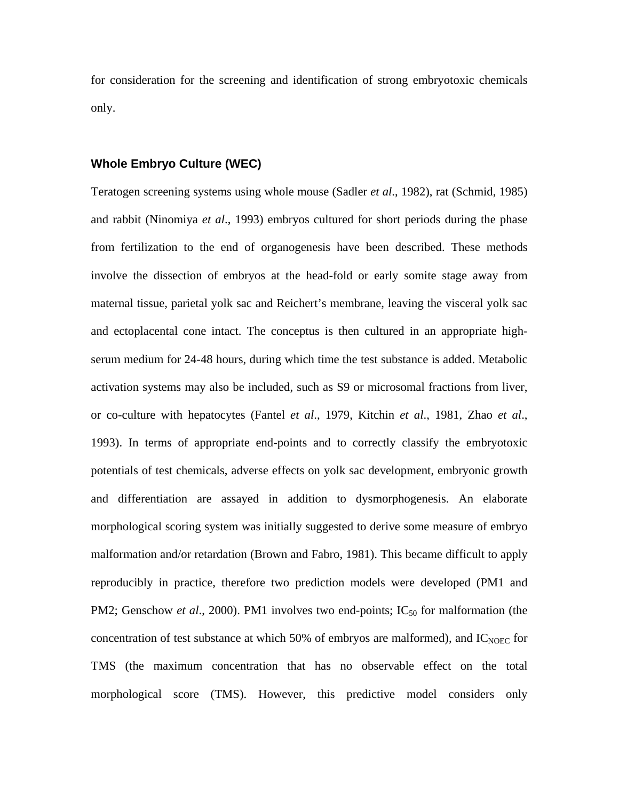for consideration for the screening and identification of strong embryotoxic chemicals only.

#### **Whole Embryo Culture (WEC)**

Teratogen screening systems using whole mouse (Sadler *et al*., 1982), rat (Schmid, 1985) and rabbit (Ninomiya *et al*., 1993) embryos cultured for short periods during the phase from fertilization to the end of organogenesis have been described. These methods involve the dissection of embryos at the head-fold or early somite stage away from maternal tissue, parietal yolk sac and Reichert's membrane, leaving the visceral yolk sac and ectoplacental cone intact. The conceptus is then cultured in an appropriate highserum medium for 24-48 hours, during which time the test substance is added. Metabolic activation systems may also be included, such as S9 or microsomal fractions from liver, or co-culture with hepatocytes (Fantel *et al*., 1979, Kitchin *et al*., 1981, Zhao *et al*., 1993). In terms of appropriate end-points and to correctly classify the embryotoxic potentials of test chemicals, adverse effects on yolk sac development, embryonic growth and differentiation are assayed in addition to dysmorphogenesis. An elaborate morphological scoring system was initially suggested to derive some measure of embryo malformation and/or retardation (Brown and Fabro, 1981). This became difficult to apply reproducibly in practice, therefore two prediction models were developed (PM1 and PM2; Genschow *et al.*, 2000). PM1 involves two end-points; IC<sub>50</sub> for malformation (the concentration of test substance at which 50% of embryos are malformed), and  $IC<sub>NOEC</sub>$  for TMS (the maximum concentration that has no observable effect on the total morphological score (TMS). However, this predictive model considers only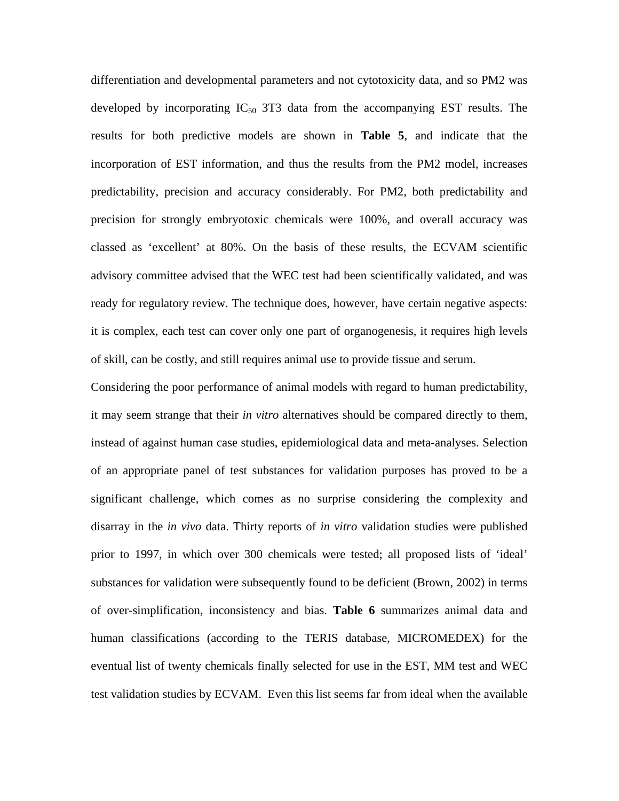differentiation and developmental parameters and not cytotoxicity data, and so PM2 was developed by incorporating  $IC_{50}$  3T3 data from the accompanying EST results. The results for both predictive models are shown in **Table 5**, and indicate that the incorporation of EST information, and thus the results from the PM2 model, increases predictability, precision and accuracy considerably. For PM2, both predictability and precision for strongly embryotoxic chemicals were 100%, and overall accuracy was classed as 'excellent' at 80%. On the basis of these results, the ECVAM scientific advisory committee advised that the WEC test had been scientifically validated, and was ready for regulatory review. The technique does, however, have certain negative aspects: it is complex, each test can cover only one part of organogenesis, it requires high levels of skill, can be costly, and still requires animal use to provide tissue and serum.

Considering the poor performance of animal models with regard to human predictability, it may seem strange that their *in vitro* alternatives should be compared directly to them, instead of against human case studies, epidemiological data and meta-analyses. Selection of an appropriate panel of test substances for validation purposes has proved to be a significant challenge, which comes as no surprise considering the complexity and disarray in the *in vivo* data. Thirty reports of *in vitro* validation studies were published prior to 1997, in which over 300 chemicals were tested; all proposed lists of 'ideal' substances for validation were subsequently found to be deficient (Brown, 2002) in terms of over-simplification, inconsistency and bias. **Table 6** summarizes animal data and human classifications (according to the TERIS database, MICROMEDEX) for the eventual list of twenty chemicals finally selected for use in the EST, MM test and WEC test validation studies by ECVAM. Even this list seems far from ideal when the available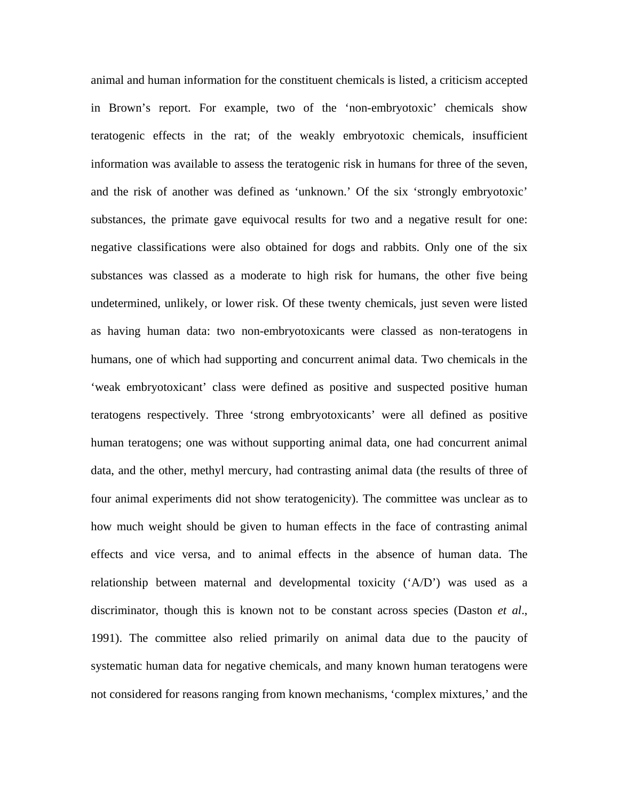animal and human information for the constituent chemicals is listed, a criticism accepted in Brown's report. For example, two of the 'non-embryotoxic' chemicals show teratogenic effects in the rat; of the weakly embryotoxic chemicals, insufficient information was available to assess the teratogenic risk in humans for three of the seven, and the risk of another was defined as 'unknown.' Of the six 'strongly embryotoxic' substances, the primate gave equivocal results for two and a negative result for one: negative classifications were also obtained for dogs and rabbits. Only one of the six substances was classed as a moderate to high risk for humans, the other five being undetermined, unlikely, or lower risk. Of these twenty chemicals, just seven were listed as having human data: two non-embryotoxicants were classed as non-teratogens in humans, one of which had supporting and concurrent animal data. Two chemicals in the 'weak embryotoxicant' class were defined as positive and suspected positive human teratogens respectively. Three 'strong embryotoxicants' were all defined as positive human teratogens; one was without supporting animal data, one had concurrent animal data, and the other, methyl mercury, had contrasting animal data (the results of three of four animal experiments did not show teratogenicity). The committee was unclear as to how much weight should be given to human effects in the face of contrasting animal effects and vice versa, and to animal effects in the absence of human data. The relationship between maternal and developmental toxicity  $({^{\circ}A/D})$  was used as a discriminator, though this is known not to be constant across species (Daston *et al*., 1991). The committee also relied primarily on animal data due to the paucity of systematic human data for negative chemicals, and many known human teratogens were not considered for reasons ranging from known mechanisms, 'complex mixtures,' and the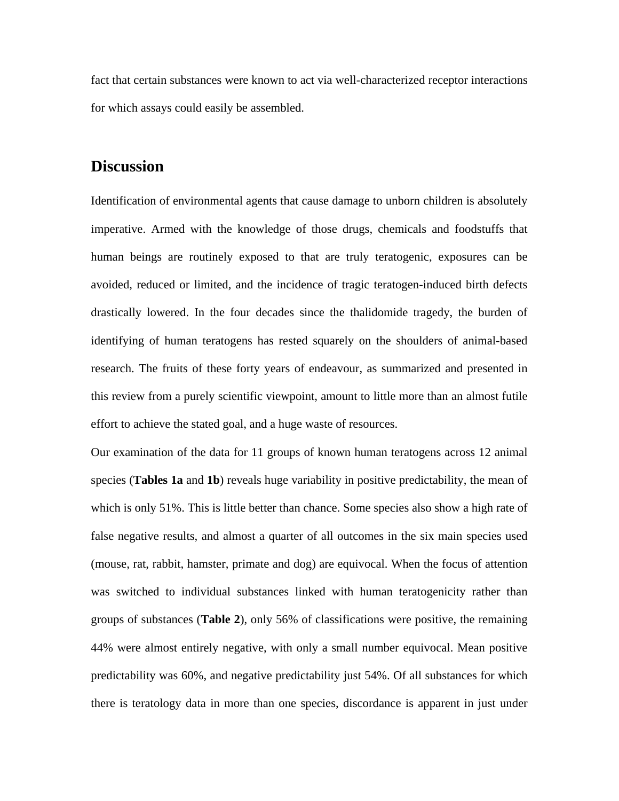fact that certain substances were known to act via well-characterized receptor interactions for which assays could easily be assembled.

## **Discussion**

Identification of environmental agents that cause damage to unborn children is absolutely imperative. Armed with the knowledge of those drugs, chemicals and foodstuffs that human beings are routinely exposed to that are truly teratogenic, exposures can be avoided, reduced or limited, and the incidence of tragic teratogen-induced birth defects drastically lowered. In the four decades since the thalidomide tragedy, the burden of identifying of human teratogens has rested squarely on the shoulders of animal-based research. The fruits of these forty years of endeavour, as summarized and presented in this review from a purely scientific viewpoint, amount to little more than an almost futile effort to achieve the stated goal, and a huge waste of resources.

Our examination of the data for 11 groups of known human teratogens across 12 animal species (**Tables 1a** and **1b**) reveals huge variability in positive predictability, the mean of which is only 51%. This is little better than chance. Some species also show a high rate of false negative results, and almost a quarter of all outcomes in the six main species used (mouse, rat, rabbit, hamster, primate and dog) are equivocal. When the focus of attention was switched to individual substances linked with human teratogenicity rather than groups of substances (**Table 2**), only 56% of classifications were positive, the remaining 44% were almost entirely negative, with only a small number equivocal. Mean positive predictability was 60%, and negative predictability just 54%. Of all substances for which there is teratology data in more than one species, discordance is apparent in just under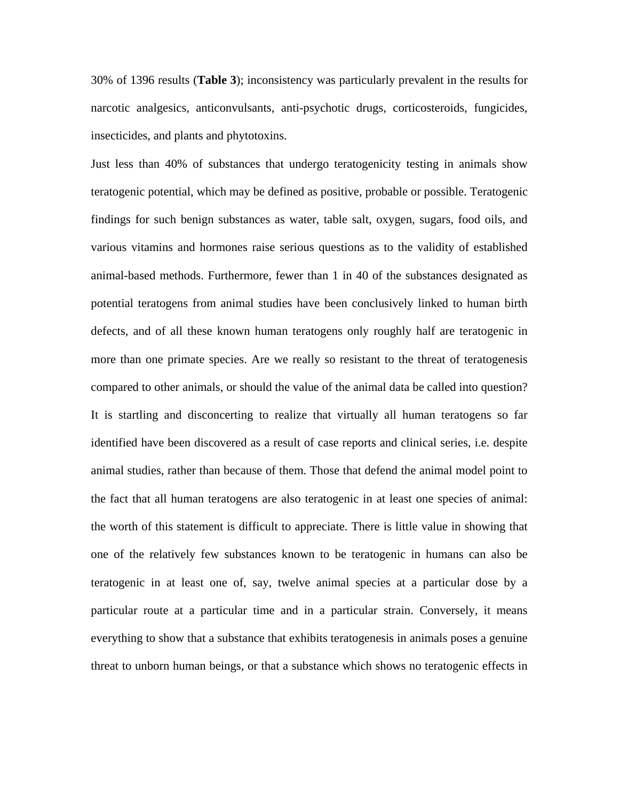30% of 1396 results (**Table 3**); inconsistency was particularly prevalent in the results for narcotic analgesics, anticonvulsants, anti-psychotic drugs, corticosteroids, fungicides, insecticides, and plants and phytotoxins.

Just less than 40% of substances that undergo teratogenicity testing in animals show teratogenic potential, which may be defined as positive, probable or possible. Teratogenic findings for such benign substances as water, table salt, oxygen, sugars, food oils, and various vitamins and hormones raise serious questions as to the validity of established animal-based methods. Furthermore, fewer than 1 in 40 of the substances designated as potential teratogens from animal studies have been conclusively linked to human birth defects, and of all these known human teratogens only roughly half are teratogenic in more than one primate species. Are we really so resistant to the threat of teratogenesis compared to other animals, or should the value of the animal data be called into question? It is startling and disconcerting to realize that virtually all human teratogens so far identified have been discovered as a result of case reports and clinical series, i.e. despite animal studies, rather than because of them. Those that defend the animal model point to the fact that all human teratogens are also teratogenic in at least one species of animal: the worth of this statement is difficult to appreciate. There is little value in showing that one of the relatively few substances known to be teratogenic in humans can also be teratogenic in at least one of, say, twelve animal species at a particular dose by a particular route at a particular time and in a particular strain. Conversely, it means everything to show that a substance that exhibits teratogenesis in animals poses a genuine threat to unborn human beings, or that a substance which shows no teratogenic effects in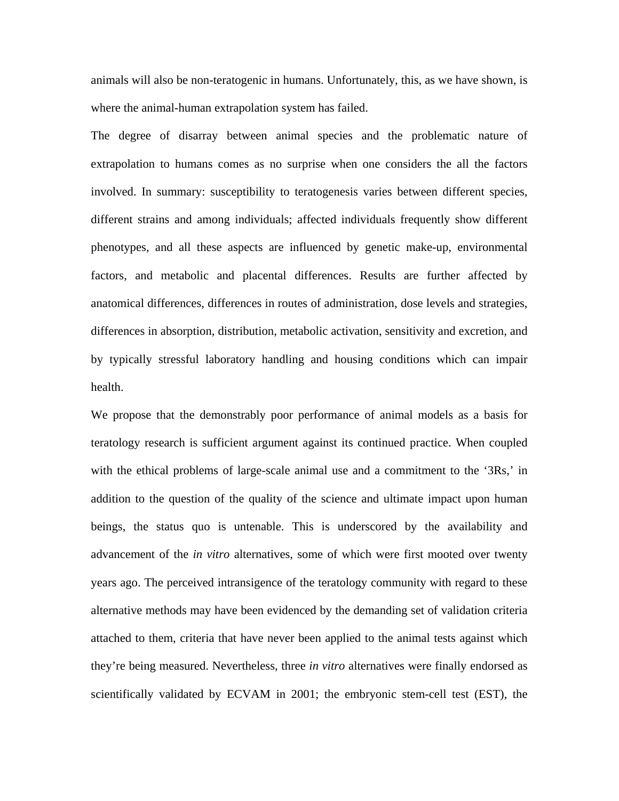animals will also be non-teratogenic in humans. Unfortunately, this, as we have shown, is where the animal-human extrapolation system has failed.

The degree of disarray between animal species and the problematic nature of extrapolation to humans comes as no surprise when one considers the all the factors involved. In summary: susceptibility to teratogenesis varies between different species, different strains and among individuals; affected individuals frequently show different phenotypes, and all these aspects are influenced by genetic make-up, environmental factors, and metabolic and placental differences. Results are further affected by anatomical differences, differences in routes of administration, dose levels and strategies, differences in absorption, distribution, metabolic activation, sensitivity and excretion, and by typically stressful laboratory handling and housing conditions which can impair health.

We propose that the demonstrably poor performance of animal models as a basis for teratology research is sufficient argument against its continued practice. When coupled with the ethical problems of large-scale animal use and a commitment to the '3Rs,' in addition to the question of the quality of the science and ultimate impact upon human beings, the status quo is untenable. This is underscored by the availability and advancement of the *in vitro* alternatives, some of which were first mooted over twenty years ago. The perceived intransigence of the teratology community with regard to these alternative methods may have been evidenced by the demanding set of validation criteria attached to them, criteria that have never been applied to the animal tests against which they're being measured. Nevertheless, three *in vitro* alternatives were finally endorsed as scientifically validated by ECVAM in 2001; the embryonic stem-cell test (EST), the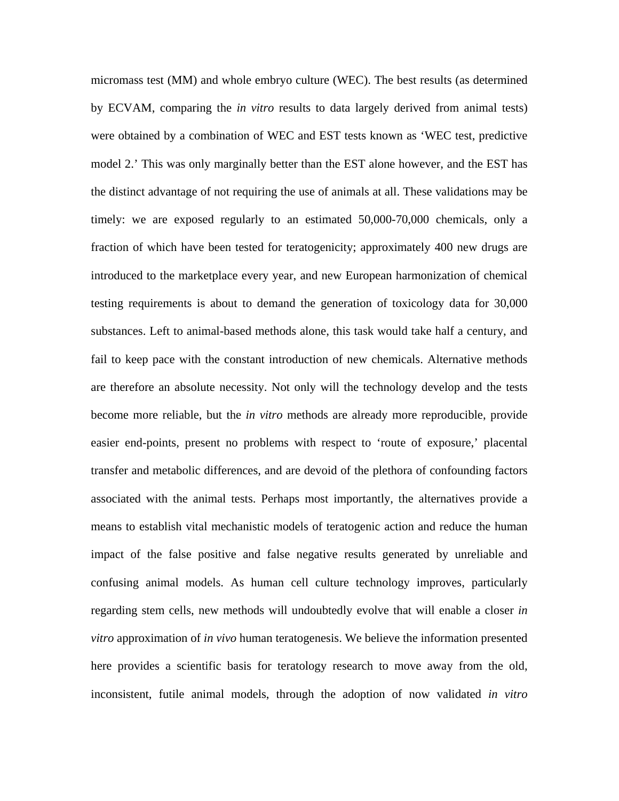micromass test (MM) and whole embryo culture (WEC). The best results (as determined by ECVAM, comparing the *in vitro* results to data largely derived from animal tests) were obtained by a combination of WEC and EST tests known as 'WEC test, predictive model 2.' This was only marginally better than the EST alone however, and the EST has the distinct advantage of not requiring the use of animals at all. These validations may be timely: we are exposed regularly to an estimated 50,000-70,000 chemicals, only a fraction of which have been tested for teratogenicity; approximately 400 new drugs are introduced to the marketplace every year, and new European harmonization of chemical testing requirements is about to demand the generation of toxicology data for 30,000 substances. Left to animal-based methods alone, this task would take half a century, and fail to keep pace with the constant introduction of new chemicals. Alternative methods are therefore an absolute necessity. Not only will the technology develop and the tests become more reliable, but the *in vitro* methods are already more reproducible, provide easier end-points, present no problems with respect to 'route of exposure,' placental transfer and metabolic differences, and are devoid of the plethora of confounding factors associated with the animal tests. Perhaps most importantly, the alternatives provide a means to establish vital mechanistic models of teratogenic action and reduce the human impact of the false positive and false negative results generated by unreliable and confusing animal models. As human cell culture technology improves, particularly regarding stem cells, new methods will undoubtedly evolve that will enable a closer *in vitro* approximation of *in vivo* human teratogenesis. We believe the information presented here provides a scientific basis for teratology research to move away from the old, inconsistent, futile animal models, through the adoption of now validated *in vitro*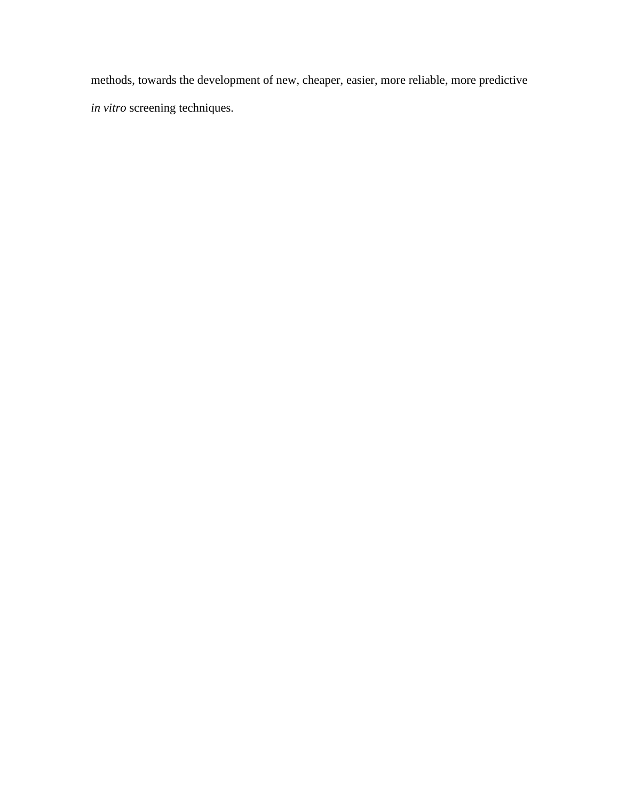methods, towards the development of new, cheaper, easier, more reliable, more predictive *in vitro* screening techniques.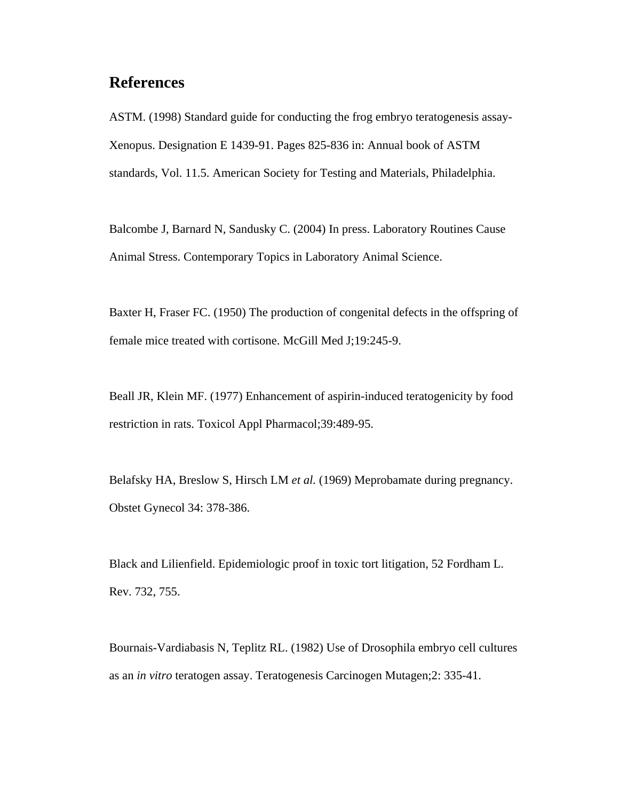# **References**

ASTM. (1998) Standard guide for conducting the frog embryo teratogenesis assay-Xenopus. Designation E 1439-91. Pages 825-836 in: Annual book of ASTM standards, Vol. 11.5. American Society for Testing and Materials, Philadelphia.

Balcombe J, Barnard N, Sandusky C. (2004) In press. Laboratory Routines Cause Animal Stress. Contemporary Topics in Laboratory Animal Science.

Baxter H, Fraser FC. (1950) The production of congenital defects in the offspring of female mice treated with cortisone. McGill Med J;19:245-9.

Beall JR, Klein MF. (1977) Enhancement of aspirin-induced teratogenicity by food restriction in rats. Toxicol Appl Pharmacol;39:489-95.

Belafsky HA, Breslow S, Hirsch LM *et al.* (1969) Meprobamate during pregnancy. Obstet Gynecol 34: 378-386.

Black and Lilienfield. Epidemiologic proof in toxic tort litigation, 52 Fordham L. Rev. 732, 755.

Bournais-Vardiabasis N, Teplitz RL. (1982) Use of Drosophila embryo cell cultures as an *in vitro* teratogen assay. Teratogenesis Carcinogen Mutagen;2: 335-41.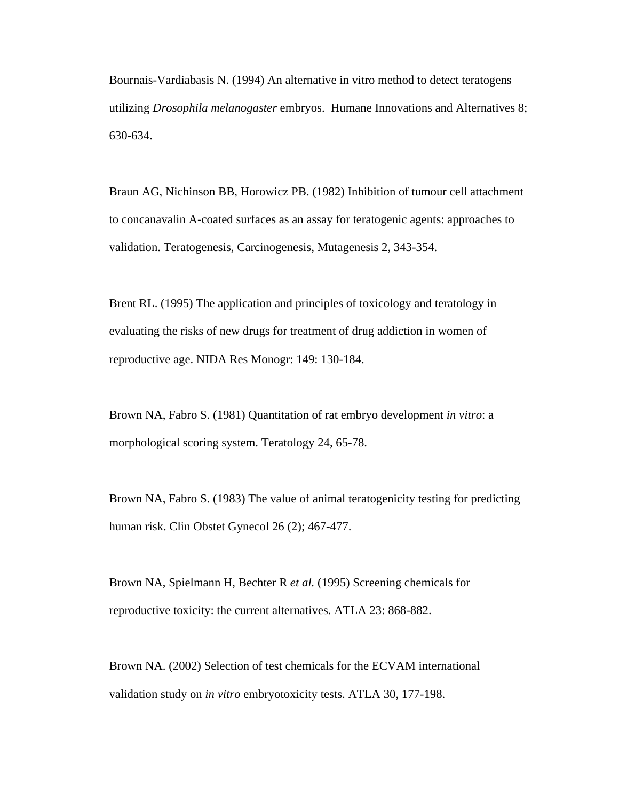Bournais-Vardiabasis N. (1994) An alternative in vitro method to detect teratogens utilizing *Drosophila melanogaster* embryos. Humane Innovations and Alternatives 8; 630-634.

Braun AG, Nichinson BB, Horowicz PB. (1982) Inhibition of tumour cell attachment to concanavalin A-coated surfaces as an assay for teratogenic agents: approaches to validation. Teratogenesis, Carcinogenesis, Mutagenesis 2, 343-354.

Brent RL. (1995) The application and principles of toxicology and teratology in evaluating the risks of new drugs for treatment of drug addiction in women of reproductive age. NIDA Res Monogr: 149: 130-184.

Brown NA, Fabro S. (1981) Quantitation of rat embryo development *in vitro*: a morphological scoring system. Teratology 24, 65-78.

Brown NA, Fabro S. (1983) The value of animal teratogenicity testing for predicting human risk. Clin Obstet Gynecol 26 (2); 467-477.

Brown NA, Spielmann H, Bechter R *et al.* (1995) Screening chemicals for reproductive toxicity: the current alternatives. ATLA 23: 868-882.

Brown NA. (2002) Selection of test chemicals for the ECVAM international validation study on *in vitro* embryotoxicity tests. ATLA 30, 177-198.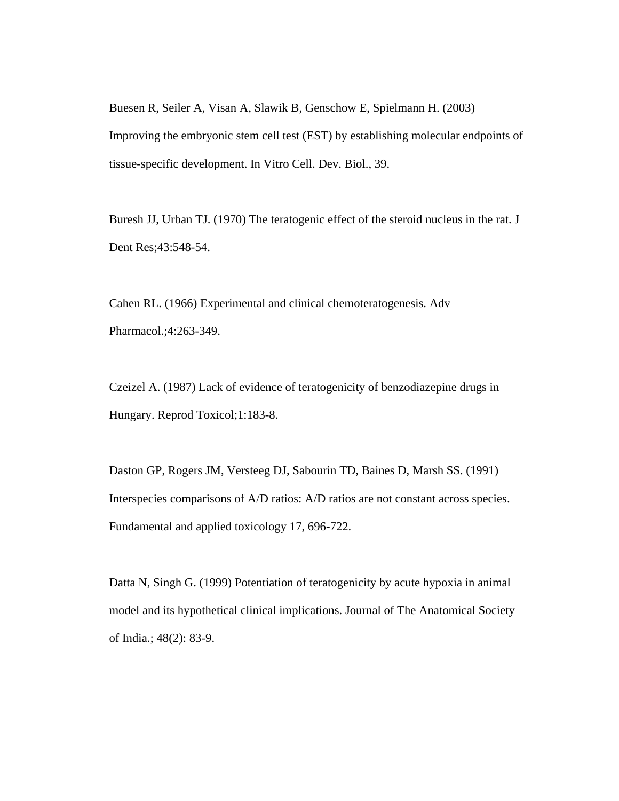Buesen R, Seiler A, Visan A, Slawik B, Genschow E, Spielmann H. (2003) Improving the embryonic stem cell test (EST) by establishing molecular endpoints of tissue-specific development. In Vitro Cell. Dev. Biol., 39.

Buresh JJ, Urban TJ. (1970) The teratogenic effect of the steroid nucleus in the rat. J Dent Res;43:548-54.

Cahen RL. (1966) Experimental and clinical chemoteratogenesis. Adv Pharmacol.;4:263-349.

Czeizel A. (1987) Lack of evidence of teratogenicity of benzodiazepine drugs in Hungary. Reprod Toxicol;1:183-8.

Daston GP, Rogers JM, Versteeg DJ, Sabourin TD, Baines D, Marsh SS. (1991) Interspecies comparisons of A/D ratios: A/D ratios are not constant across species. Fundamental and applied toxicology 17, 696-722.

Datta N, Singh G. (1999) Potentiation of teratogenicity by acute hypoxia in animal model and its hypothetical clinical implications. Journal of The Anatomical Society of India.; 48(2): 83-9.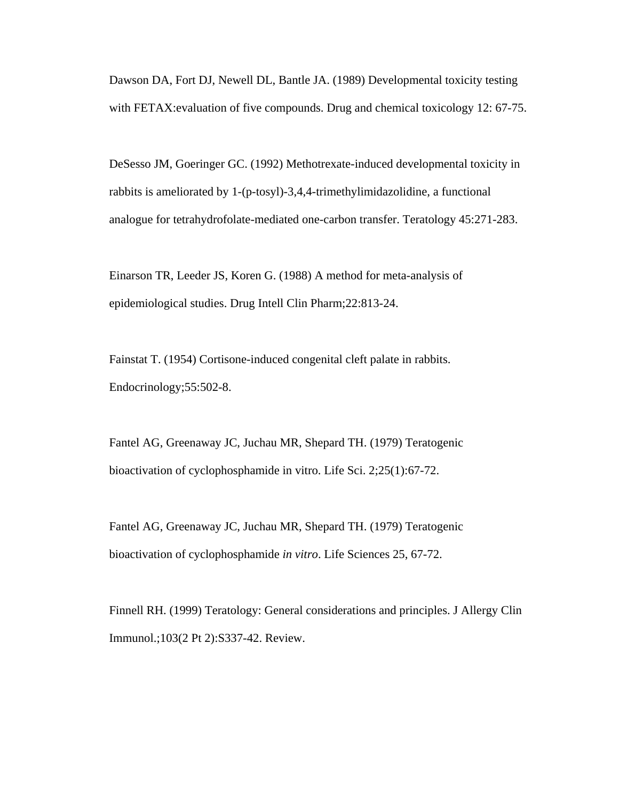Dawson DA, Fort DJ, Newell DL, Bantle JA. (1989) Developmental toxicity testing with FETAX: evaluation of five compounds. Drug and chemical toxicology 12: 67-75.

DeSesso JM, Goeringer GC. (1992) Methotrexate-induced developmental toxicity in rabbits is ameliorated by 1-(p-tosyl)-3,4,4-trimethylimidazolidine, a functional analogue for tetrahydrofolate-mediated one-carbon transfer. Teratology 45:271-283.

Einarson TR, Leeder JS, Koren G. (1988) A method for meta-analysis of epidemiological studies. Drug Intell Clin Pharm;22:813-24.

Fainstat T. (1954) Cortisone-induced congenital cleft palate in rabbits. Endocrinology;55:502-8.

Fantel AG, Greenaway JC, Juchau MR, Shepard TH. (1979) Teratogenic bioactivation of cyclophosphamide in vitro. Life Sci. 2;25(1):67-72.

Fantel AG, Greenaway JC, Juchau MR, Shepard TH. (1979) Teratogenic bioactivation of cyclophosphamide *in vitro*. Life Sciences 25, 67-72.

Finnell RH. (1999) Teratology: General considerations and principles. J Allergy Clin Immunol.;103(2 Pt 2):S337-42. Review.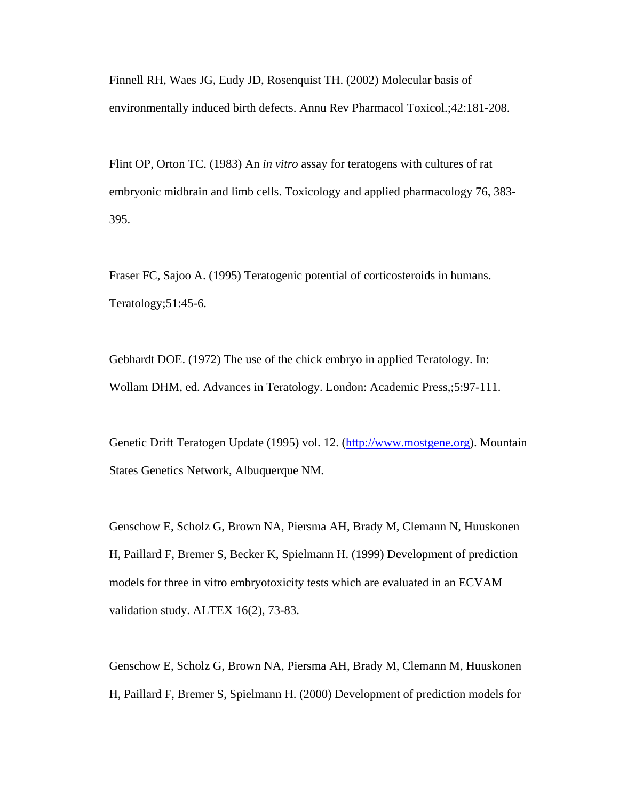Finnell RH, Waes JG, Eudy JD, Rosenquist TH. (2002) Molecular basis of environmentally induced birth defects. Annu Rev Pharmacol Toxicol.;42:181-208.

Flint OP, Orton TC. (1983) An *in vitro* assay for teratogens with cultures of rat embryonic midbrain and limb cells. Toxicology and applied pharmacology 76, 383- 395.

Fraser FC, Sajoo A. (1995) Teratogenic potential of corticosteroids in humans. Teratology;51:45-6.

Gebhardt DOE. (1972) The use of the chick embryo in applied Teratology. In: Wollam DHM, ed. Advances in Teratology. London: Academic Press,;5:97-111.

Genetic Drift Teratogen Update (1995) vol. 12. [\(http://www.mostgene.org\)](http://www.mostgene.org/). Mountain States Genetics Network, Albuquerque NM.

Genschow E, Scholz G, Brown NA, Piersma AH, Brady M, Clemann N, Huuskonen H, Paillard F, Bremer S, Becker K, Spielmann H. (1999) Development of prediction models for three in vitro embryotoxicity tests which are evaluated in an ECVAM validation study. ALTEX 16(2), 73-83.

Genschow E, Scholz G, Brown NA, Piersma AH, Brady M, Clemann M, Huuskonen H, Paillard F, Bremer S, Spielmann H. (2000) Development of prediction models for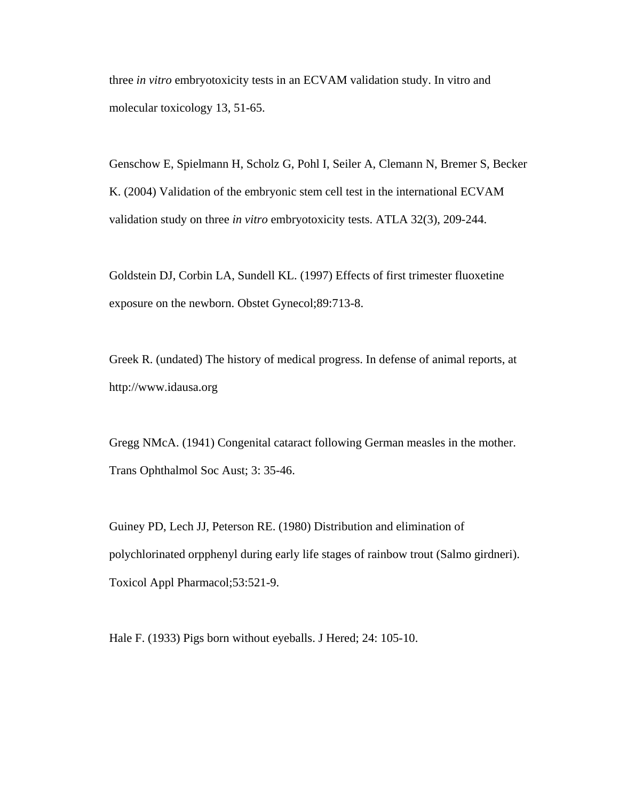three *in vitro* embryotoxicity tests in an ECVAM validation study. In vitro and molecular toxicology 13, 51-65.

Genschow E, Spielmann H, Scholz G, Pohl I, Seiler A, Clemann N, Bremer S, Becker K. (2004) Validation of the embryonic stem cell test in the international ECVAM validation study on three *in vitro* embryotoxicity tests. ATLA 32(3), 209-244.

Goldstein DJ, Corbin LA, Sundell KL. (1997) Effects of first trimester fluoxetine exposure on the newborn. Obstet Gynecol;89:713-8.

Greek R. (undated) The history of medical progress. In defense of animal reports, at http://www.idausa.org

Gregg NMcA. (1941) Congenital cataract following German measles in the mother. Trans Ophthalmol Soc Aust; 3: 35-46.

Guiney PD, Lech JJ, Peterson RE. (1980) Distribution and elimination of polychlorinated orpphenyl during early life stages of rainbow trout (Salmo girdneri). Toxicol Appl Pharmacol;53:521-9.

Hale F. (1933) Pigs born without eyeballs. J Hered; 24: 105-10.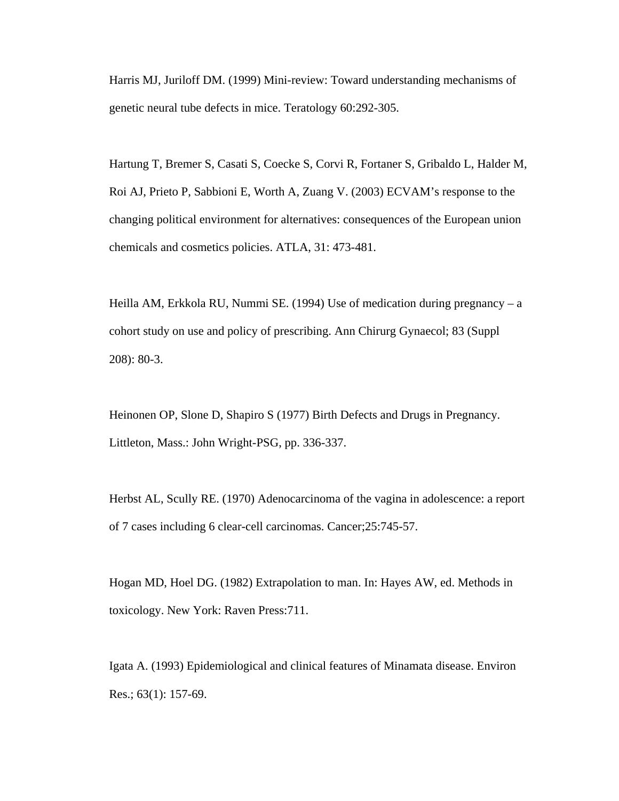Harris MJ, Juriloff DM. (1999) Mini-review: Toward understanding mechanisms of genetic neural tube defects in mice. Teratology 60:292-305.

Hartung T, Bremer S, Casati S, Coecke S, Corvi R, Fortaner S, Gribaldo L, Halder M, Roi AJ, Prieto P, Sabbioni E, Worth A, Zuang V. (2003) ECVAM's response to the changing political environment for alternatives: consequences of the European union chemicals and cosmetics policies. ATLA, 31: 473-481.

Heilla AM, Erkkola RU, Nummi SE. (1994) Use of medication during pregnancy – a cohort study on use and policy of prescribing. Ann Chirurg Gynaecol; 83 (Suppl 208): 80-3.

Heinonen OP, Slone D, Shapiro S (1977) Birth Defects and Drugs in Pregnancy. Littleton, Mass.: John Wright-PSG, pp. 336-337.

Herbst AL, Scully RE. (1970) Adenocarcinoma of the vagina in adolescence: a report of 7 cases including 6 clear-cell carcinomas. Cancer;25:745-57.

Hogan MD, Hoel DG. (1982) Extrapolation to man. In: Hayes AW, ed. Methods in toxicology. New York: Raven Press:711.

Igata A. (1993) Epidemiological and clinical features of Minamata disease. Environ Res.; 63(1): 157-69.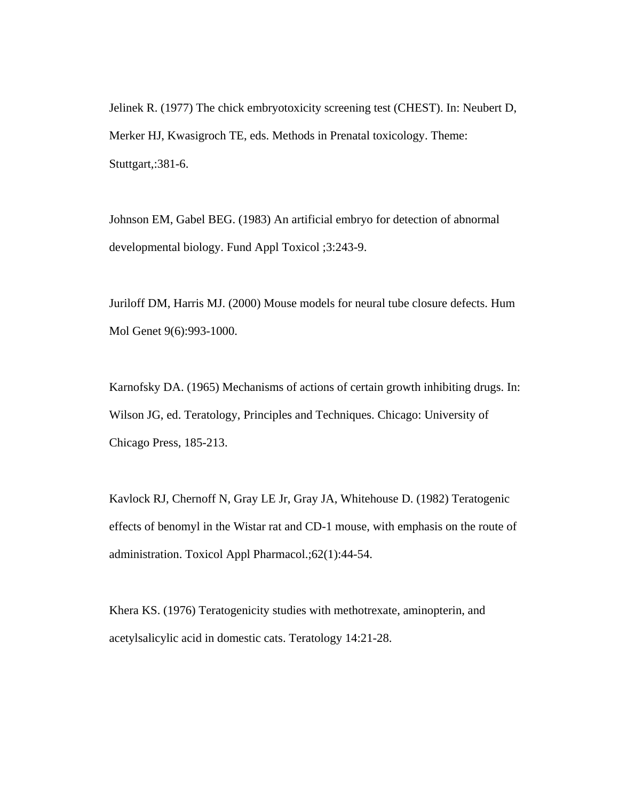Jelinek R. (1977) The chick embryotoxicity screening test (CHEST). In: Neubert D, Merker HJ, Kwasigroch TE, eds. Methods in Prenatal toxicology. Theme: Stuttgart,:381-6.

Johnson EM, Gabel BEG. (1983) An artificial embryo for detection of abnormal developmental biology. Fund Appl Toxicol ;3:243-9.

Juriloff DM, Harris MJ. (2000) Mouse models for neural tube closure defects. Hum Mol Genet 9(6):993-1000.

Karnofsky DA. (1965) Mechanisms of actions of certain growth inhibiting drugs. In: Wilson JG, ed. Teratology, Principles and Techniques. Chicago: University of Chicago Press, 185-213.

Kavlock RJ, Chernoff N, Gray LE Jr, Gray JA, Whitehouse D. (1982) Teratogenic effects of benomyl in the Wistar rat and CD-1 mouse, with emphasis on the route of administration. Toxicol Appl Pharmacol.;62(1):44-54.

Khera KS. (1976) Teratogenicity studies with methotrexate, aminopterin, and acetylsalicylic acid in domestic cats. Teratology 14:21-28.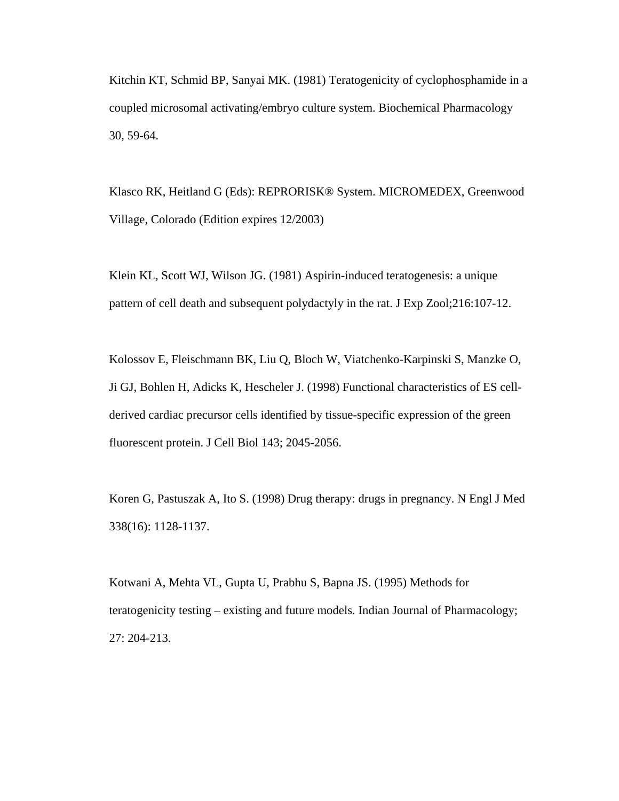Kitchin KT, Schmid BP, Sanyai MK. (1981) Teratogenicity of cyclophosphamide in a coupled microsomal activating/embryo culture system. Biochemical Pharmacology 30, 59-64.

Klasco RK, Heitland G (Eds): REPRORISK® System. MICROMEDEX, Greenwood Village, Colorado (Edition expires 12/2003)

Klein KL, Scott WJ, Wilson JG. (1981) Aspirin-induced teratogenesis: a unique pattern of cell death and subsequent polydactyly in the rat. J Exp Zool;216:107-12.

Kolossov E, Fleischmann BK, Liu Q, Bloch W, Viatchenko-Karpinski S, Manzke O, Ji GJ, Bohlen H, Adicks K, Hescheler J. (1998) Functional characteristics of ES cellderived cardiac precursor cells identified by tissue-specific expression of the green fluorescent protein. J Cell Biol 143; 2045-2056.

Koren G, Pastuszak A, Ito S. (1998) Drug therapy: drugs in pregnancy. N Engl J Med 338(16): 1128-1137.

Kotwani A, Mehta VL, Gupta U, Prabhu S, Bapna JS. (1995) Methods for teratogenicity testing – existing and future models. Indian Journal of Pharmacology; 27: 204-213.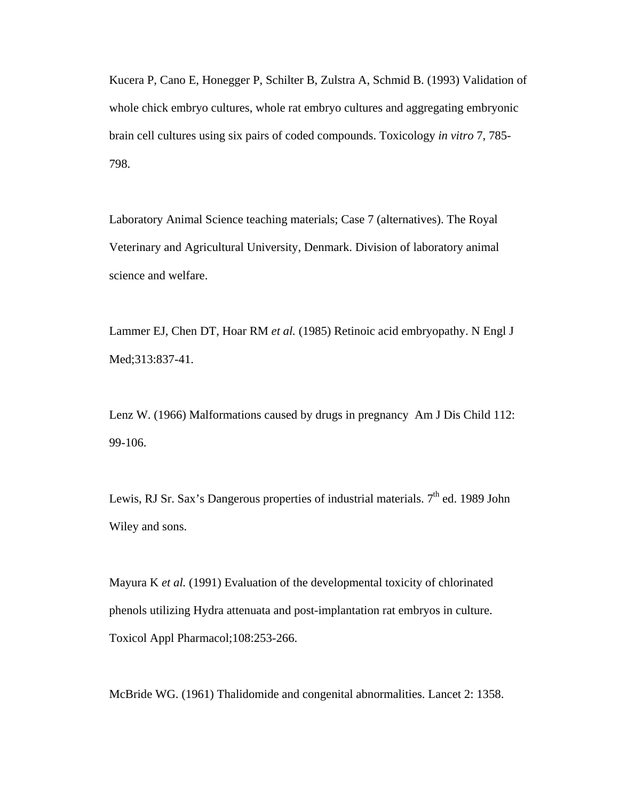Kucera P, Cano E, Honegger P, Schilter B, Zulstra A, Schmid B. (1993) Validation of whole chick embryo cultures, whole rat embryo cultures and aggregating embryonic brain cell cultures using six pairs of coded compounds. Toxicology *in vitro* 7, 785- 798.

Laboratory Animal Science teaching materials; Case 7 (alternatives). The Royal Veterinary and Agricultural University, Denmark. Division of laboratory animal science and welfare.

Lammer EJ, Chen DT, Hoar RM *et al.* (1985) Retinoic acid embryopathy. N Engl J Med;313:837-41.

Lenz W. (1966) Malformations caused by drugs in pregnancy Am J Dis Child 112: 99-106.

Lewis, RJ Sr. Sax's Dangerous properties of industrial materials.  $7<sup>th</sup>$  ed. 1989 John Wiley and sons.

Mayura K *et al.* (1991) Evaluation of the developmental toxicity of chlorinated phenols utilizing Hydra attenuata and post-implantation rat embryos in culture. Toxicol Appl Pharmacol;108:253-266.

McBride WG. (1961) Thalidomide and congenital abnormalities. Lancet 2: 1358.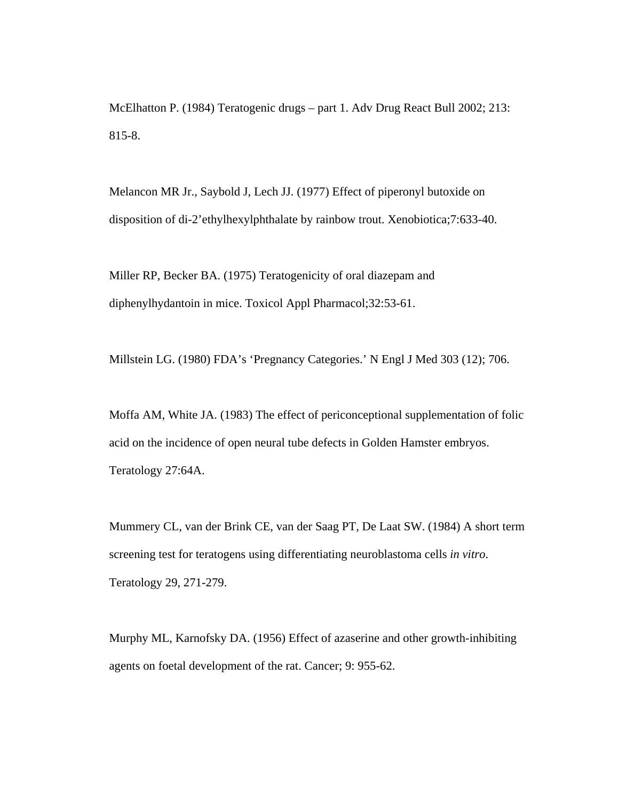McElhatton P. (1984) Teratogenic drugs – part 1. Adv Drug React Bull 2002; 213: 815-8.

Melancon MR Jr., Saybold J, Lech JJ. (1977) Effect of piperonyl butoxide on disposition of di-2'ethylhexylphthalate by rainbow trout. Xenobiotica;7:633-40.

Miller RP, Becker BA. (1975) Teratogenicity of oral diazepam and diphenylhydantoin in mice. Toxicol Appl Pharmacol;32:53-61.

Millstein LG. (1980) FDA's 'Pregnancy Categories.' N Engl J Med 303 (12); 706.

Moffa AM, White JA. (1983) The effect of periconceptional supplementation of folic acid on the incidence of open neural tube defects in Golden Hamster embryos. Teratology 27:64A.

Mummery CL, van der Brink CE, van der Saag PT, De Laat SW. (1984) A short term screening test for teratogens using differentiating neuroblastoma cells *in vitro*. Teratology 29, 271-279.

Murphy ML, Karnofsky DA. (1956) Effect of azaserine and other growth-inhibiting agents on foetal development of the rat. Cancer; 9: 955-62.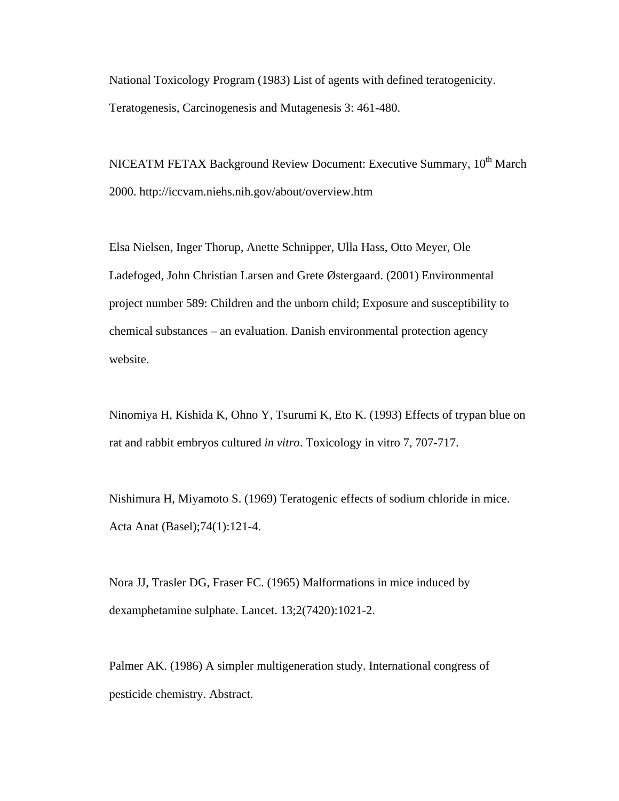National Toxicology Program (1983) List of agents with defined teratogenicity. Teratogenesis, Carcinogenesis and Mutagenesis 3: 461-480.

NICEATM FETAX Background Review Document: Executive Summary, 10<sup>th</sup> March 2000. http://iccvam.niehs.nih.gov/about/overview.htm

Elsa Nielsen, Inger Thorup, Anette Schnipper, Ulla Hass, Otto Meyer, Ole Ladefoged, John Christian Larsen and Grete Østergaard. (2001) Environmental project number 589: Children and the unborn child; Exposure and susceptibility to chemical substances – an evaluation. Danish environmental protection agency website.

Ninomiya H, Kishida K, Ohno Y, Tsurumi K, Eto K. (1993) Effects of trypan blue on rat and rabbit embryos cultured *in vitro*. Toxicology in vitro 7, 707-717.

Nishimura H, Miyamoto S. (1969) Teratogenic effects of sodium chloride in mice. Acta Anat (Basel);74(1):121-4.

Nora JJ, Trasler DG, Fraser FC. (1965) Malformations in mice induced by dexamphetamine sulphate. Lancet. 13;2(7420):1021-2.

Palmer AK. (1986) A simpler multigeneration study. International congress of pesticide chemistry. Abstract.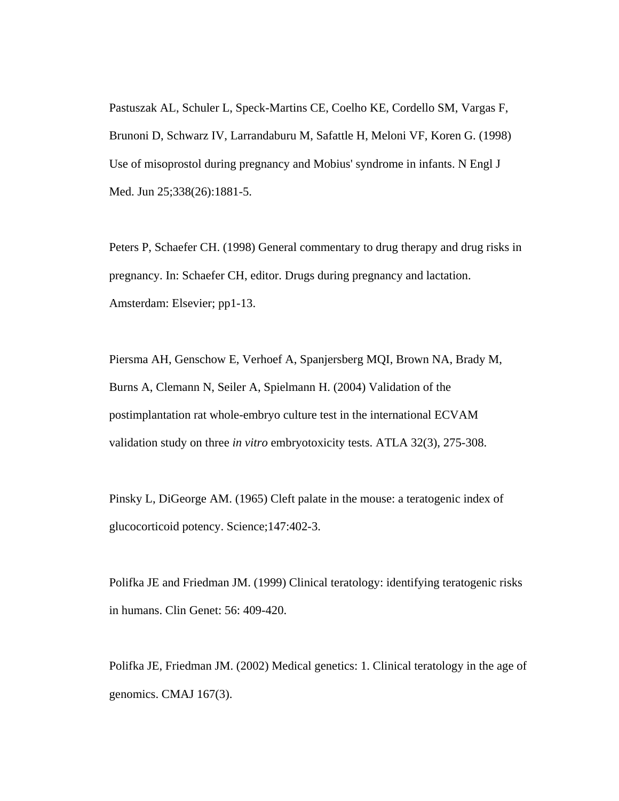Pastuszak AL, Schuler L, Speck-Martins CE, Coelho KE, Cordello SM, Vargas F, Brunoni D, Schwarz IV, Larrandaburu M, Safattle H, Meloni VF, Koren G. (1998) Use of misoprostol during pregnancy and Mobius' syndrome in infants. N Engl J Med. Jun 25;338(26):1881-5.

Peters P, Schaefer CH. (1998) General commentary to drug therapy and drug risks in pregnancy. In: Schaefer CH, editor. Drugs during pregnancy and lactation. Amsterdam: Elsevier; pp1-13.

Piersma AH, Genschow E, Verhoef A, Spanjersberg MQI, Brown NA, Brady M, Burns A, Clemann N, Seiler A, Spielmann H. (2004) Validation of the postimplantation rat whole-embryo culture test in the international ECVAM validation study on three *in vitro* embryotoxicity tests. ATLA 32(3), 275-308.

Pinsky L, DiGeorge AM. (1965) Cleft palate in the mouse: a teratogenic index of glucocorticoid potency. Science;147:402-3.

Polifka JE and Friedman JM. (1999) Clinical teratology: identifying teratogenic risks in humans. Clin Genet: 56: 409-420.

Polifka JE, Friedman JM. (2002) Medical genetics: 1. Clinical teratology in the age of genomics. CMAJ 167(3).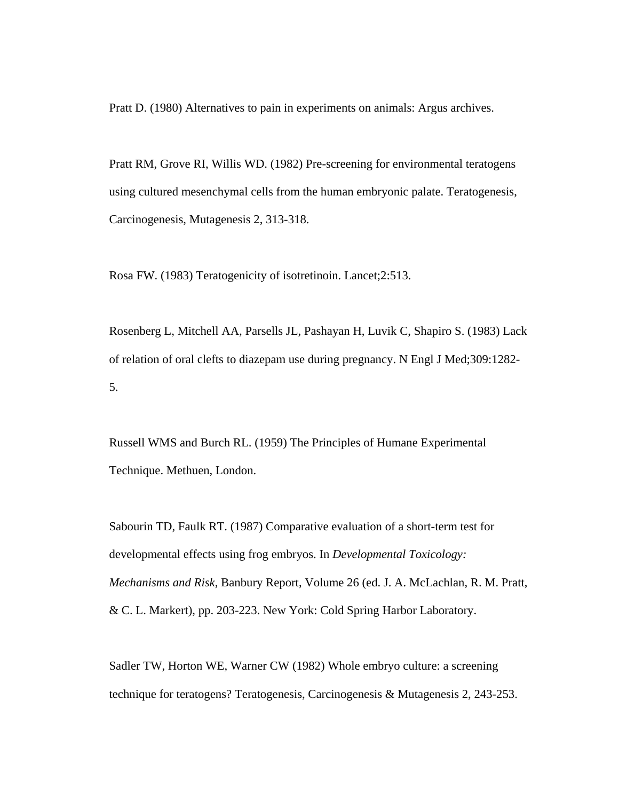Pratt D. (1980) Alternatives to pain in experiments on animals: Argus archives.

Pratt RM, Grove RI, Willis WD. (1982) Pre-screening for environmental teratogens using cultured mesenchymal cells from the human embryonic palate. Teratogenesis, Carcinogenesis, Mutagenesis 2, 313-318.

Rosa FW. (1983) Teratogenicity of isotretinoin. Lancet;2:513.

Rosenberg L, Mitchell AA, Parsells JL, Pashayan H, Luvik C, Shapiro S. (1983) Lack of relation of oral clefts to diazepam use during pregnancy. N Engl J Med;309:1282- 5.

Russell WMS and Burch RL. (1959) The Principles of Humane Experimental Technique. Methuen, London.

Sabourin TD, Faulk RT. (1987) Comparative evaluation of a short-term test for developmental effects using frog embryos. In *Developmental Toxicology: Mechanisms and Risk*, Banbury Report, Volume 26 (ed. J. A. McLachlan, R. M. Pratt, & C. L. Markert), pp. 203-223. New York: Cold Spring Harbor Laboratory.

Sadler TW, Horton WE, Warner CW (1982) Whole embryo culture: a screening technique for teratogens? Teratogenesis, Carcinogenesis & Mutagenesis 2, 243-253.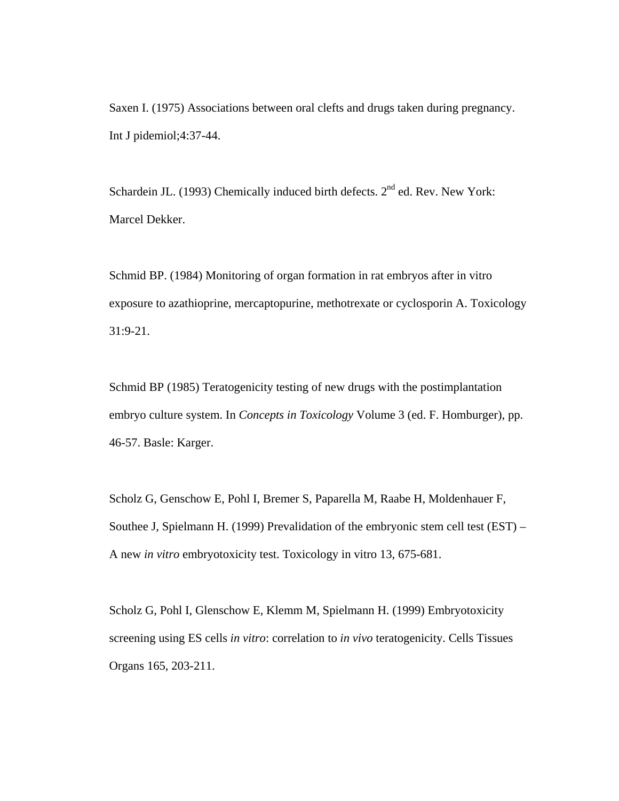Saxen I. (1975) Associations between oral clefts and drugs taken during pregnancy. Int J pidemiol;4:37-44.

Schardein JL. (1993) Chemically induced birth defects.  $2<sup>nd</sup>$  ed. Rev. New York: Marcel Dekker.

Schmid BP. (1984) Monitoring of organ formation in rat embryos after in vitro exposure to azathioprine, mercaptopurine, methotrexate or cyclosporin A. Toxicology 31:9-21.

Schmid BP (1985) Teratogenicity testing of new drugs with the postimplantation embryo culture system. In *Concepts in Toxicology* Volume 3 (ed. F. Homburger), pp. 46-57. Basle: Karger.

Scholz G, Genschow E, Pohl I, Bremer S, Paparella M, Raabe H, Moldenhauer F, Southee J, Spielmann H. (1999) Prevalidation of the embryonic stem cell test (EST) – A new *in vitro* embryotoxicity test. Toxicology in vitro 13, 675-681.

Scholz G, Pohl I, Glenschow E, Klemm M, Spielmann H. (1999) Embryotoxicity screening using ES cells *in vitro*: correlation to *in vivo* teratogenicity. Cells Tissues Organs 165, 203-211.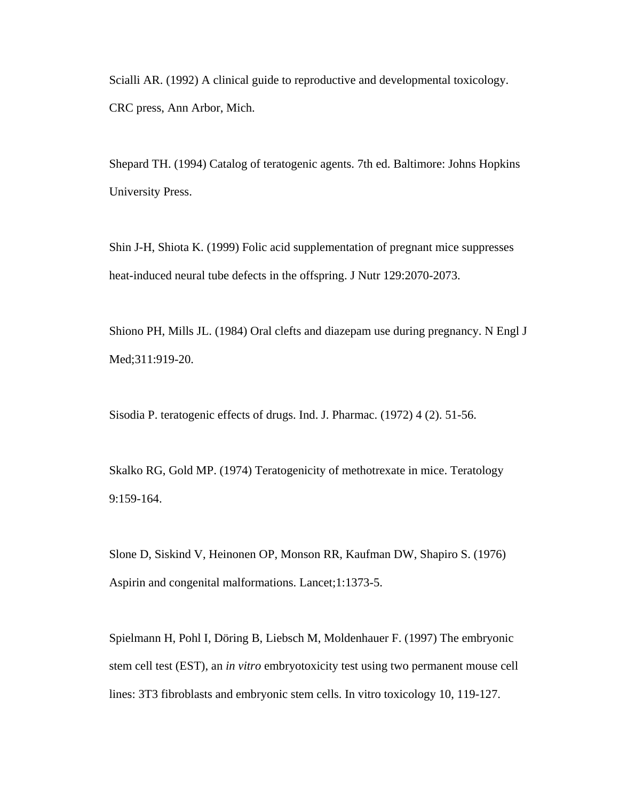Scialli AR. (1992) A clinical guide to reproductive and developmental toxicology. CRC press, Ann Arbor, Mich.

Shepard TH. (1994) Catalog of teratogenic agents. 7th ed. Baltimore: Johns Hopkins University Press.

Shin J-H, Shiota K. (1999) Folic acid supplementation of pregnant mice suppresses heat-induced neural tube defects in the offspring. J Nutr 129:2070-2073.

Shiono PH, Mills JL. (1984) Oral clefts and diazepam use during pregnancy. N Engl J Med;311:919-20.

Sisodia P. teratogenic effects of drugs. Ind. J. Pharmac. (1972) 4 (2). 51-56.

Skalko RG, Gold MP. (1974) Teratogenicity of methotrexate in mice. Teratology 9:159-164.

Slone D, Siskind V, Heinonen OP, Monson RR, Kaufman DW, Shapiro S. (1976) Aspirin and congenital malformations. Lancet;1:1373-5.

Spielmann H, Pohl I, Döring B, Liebsch M, Moldenhauer F. (1997) The embryonic stem cell test (EST), an *in vitro* embryotoxicity test using two permanent mouse cell lines: 3T3 fibroblasts and embryonic stem cells. In vitro toxicology 10, 119-127.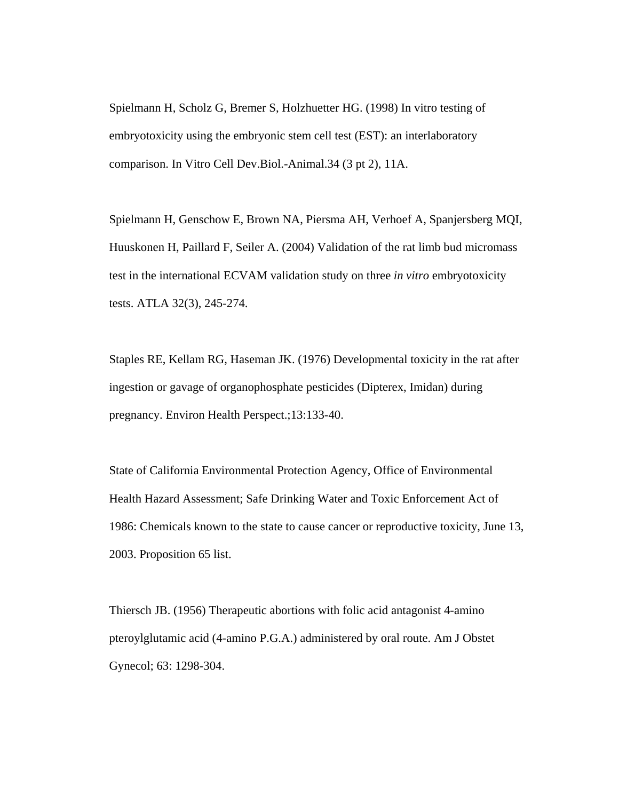Spielmann H, Scholz G, Bremer S, Holzhuetter HG. (1998) In vitro testing of embryotoxicity using the embryonic stem cell test (EST): an interlaboratory comparison. In Vitro Cell Dev.Biol.-Animal.34 (3 pt 2), 11A.

Spielmann H, Genschow E, Brown NA, Piersma AH, Verhoef A, Spanjersberg MQI, Huuskonen H, Paillard F, Seiler A. (2004) Validation of the rat limb bud micromass test in the international ECVAM validation study on three *in vitro* embryotoxicity tests. ATLA 32(3), 245-274.

Staples RE, Kellam RG, Haseman JK. (1976) Developmental toxicity in the rat after ingestion or gavage of organophosphate pesticides (Dipterex, Imidan) during pregnancy. Environ Health Perspect.;13:133-40.

State of California Environmental Protection Agency, Office of Environmental Health Hazard Assessment; Safe Drinking Water and Toxic Enforcement Act of 1986: Chemicals known to the state to cause cancer or reproductive toxicity, June 13, 2003. Proposition 65 list.

Thiersch JB. (1956) Therapeutic abortions with folic acid antagonist 4-amino pteroylglutamic acid (4-amino P.G.A.) administered by oral route. Am J Obstet Gynecol; 63: 1298-304.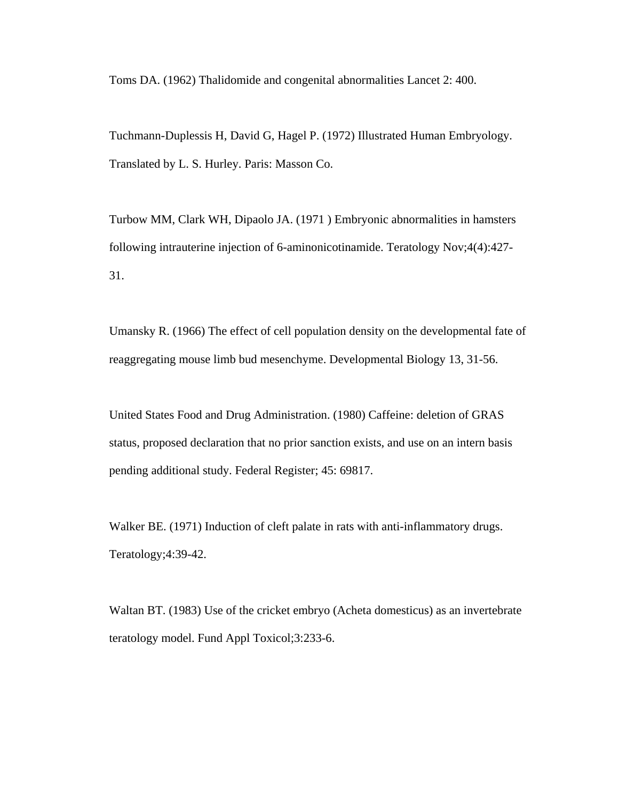Toms DA. (1962) Thalidomide and congenital abnormalities Lancet 2: 400.

Tuchmann-Duplessis H, David G, Hagel P. (1972) Illustrated Human Embryology. Translated by L. S. Hurley. Paris: Masson Co.

Turbow MM, Clark WH, Dipaolo JA. (1971 ) Embryonic abnormalities in hamsters following intrauterine injection of 6-aminonicotinamide. Teratology Nov;4(4):427- 31.

Umansky R. (1966) The effect of cell population density on the developmental fate of reaggregating mouse limb bud mesenchyme. Developmental Biology 13, 31-56.

United States Food and Drug Administration. (1980) Caffeine: deletion of GRAS status, proposed declaration that no prior sanction exists, and use on an intern basis pending additional study. Federal Register; 45: 69817.

Walker BE. (1971) Induction of cleft palate in rats with anti-inflammatory drugs. Teratology;4:39-42.

Waltan BT. (1983) Use of the cricket embryo (Acheta domesticus) as an invertebrate teratology model. Fund Appl Toxicol;3:233-6.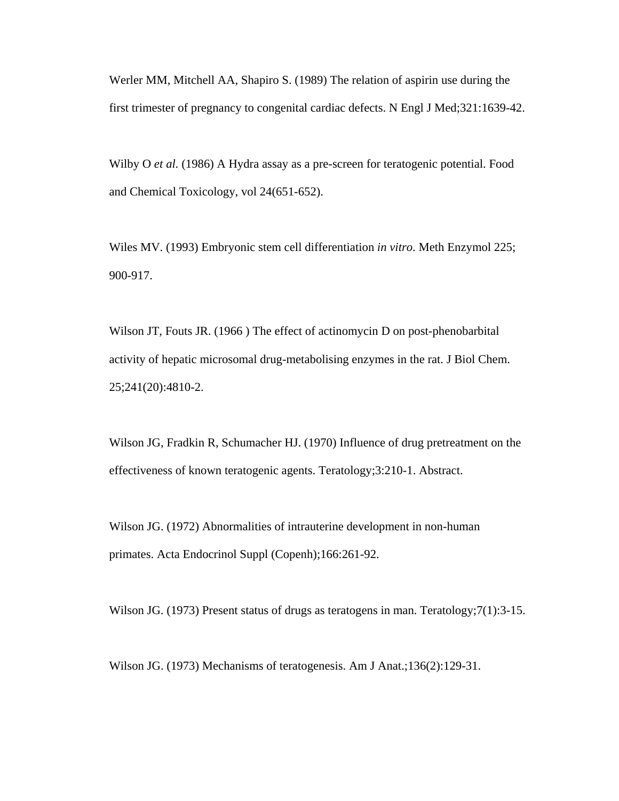Werler MM, Mitchell AA, Shapiro S. (1989) The relation of aspirin use during the first trimester of pregnancy to congenital cardiac defects. N Engl J Med;321:1639-42.

Wilby O *et al.* (1986) A Hydra assay as a pre-screen for teratogenic potential. Food and Chemical Toxicology, vol 24(651-652).

Wiles MV. (1993) Embryonic stem cell differentiation *in vitro*. Meth Enzymol 225; 900-917.

Wilson JT, Fouts JR. (1966 ) The effect of actinomycin D on post-phenobarbital activity of hepatic microsomal drug-metabolising enzymes in the rat. J Biol Chem. 25;241(20):4810-2.

Wilson JG, Fradkin R, Schumacher HJ. (1970) Influence of drug pretreatment on the effectiveness of known teratogenic agents. Teratology;3:210-1. Abstract.

Wilson JG. (1972) Abnormalities of intrauterine development in non-human primates. Acta Endocrinol Suppl (Copenh);166:261-92.

Wilson JG. (1973) Present status of drugs as teratogens in man. Teratology; 7(1): 3-15.

Wilson JG. (1973) Mechanisms of teratogenesis. Am J Anat.;136(2):129-31.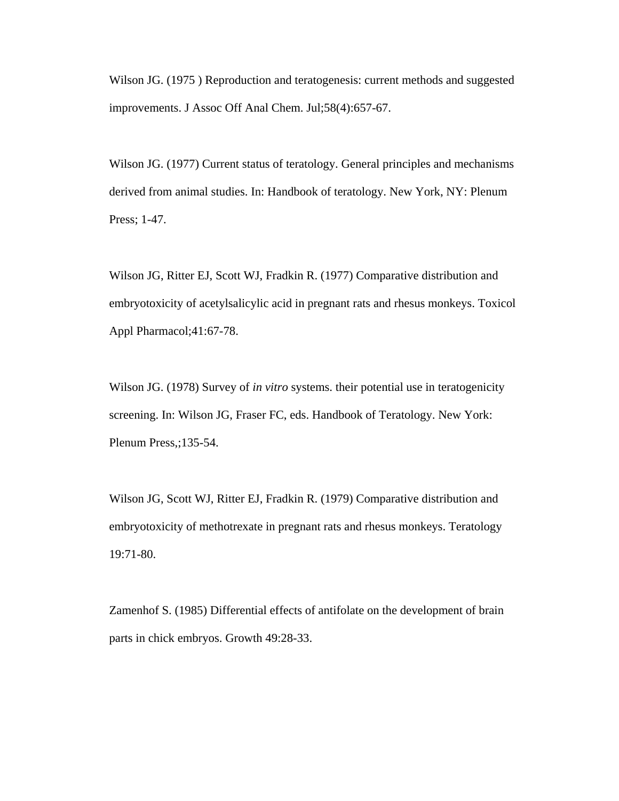Wilson JG. (1975 ) Reproduction and teratogenesis: current methods and suggested improvements. J Assoc Off Anal Chem. Jul;58(4):657-67.

Wilson JG. (1977) Current status of teratology. General principles and mechanisms derived from animal studies. In: Handbook of teratology. New York, NY: Plenum Press; 1-47.

Wilson JG, Ritter EJ, Scott WJ, Fradkin R. (1977) Comparative distribution and embryotoxicity of acetylsalicylic acid in pregnant rats and rhesus monkeys. Toxicol Appl Pharmacol;41:67-78.

Wilson JG. (1978) Survey of *in vitro* systems. their potential use in teratogenicity screening. In: Wilson JG, Fraser FC, eds. Handbook of Teratology. New York: Plenum Press,;135-54.

Wilson JG, Scott WJ, Ritter EJ, Fradkin R. (1979) Comparative distribution and embryotoxicity of methotrexate in pregnant rats and rhesus monkeys. Teratology 19:71-80.

Zamenhof S. (1985) Differential effects of antifolate on the development of brain parts in chick embryos. Growth 49:28-33.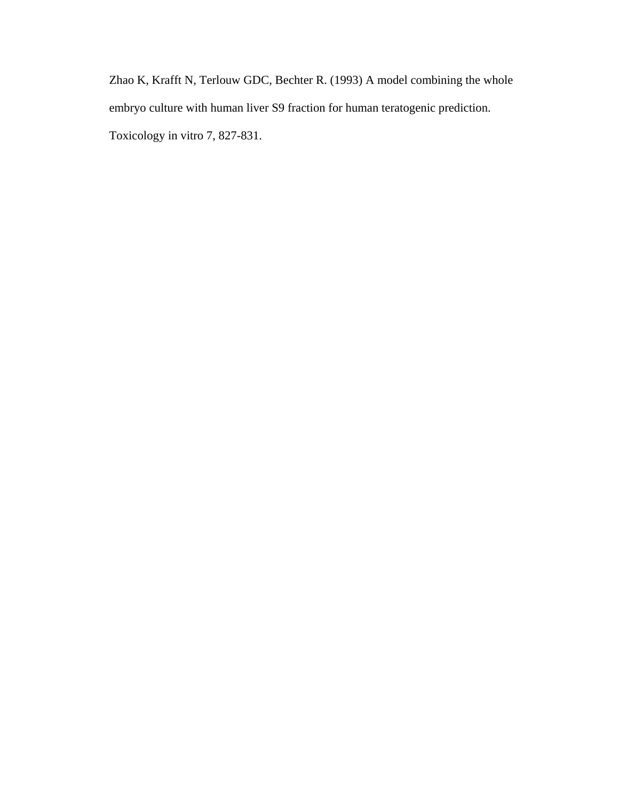Zhao K, Krafft N, Terlouw GDC, Bechter R. (1993) A model combining the whole embryo culture with human liver S9 fraction for human teratogenic prediction. Toxicology in vitro 7, 827-831.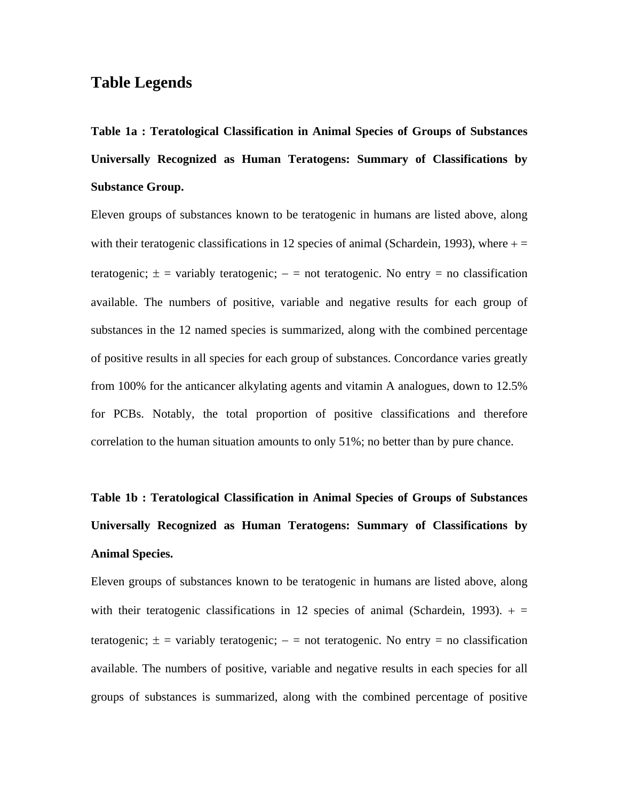### **Table Legends**

**Table 1a : Teratological Classification in Animal Species of Groups of Substances Universally Recognized as Human Teratogens: Summary of Classifications by Substance Group.**

Eleven groups of substances known to be teratogenic in humans are listed above, along with their teratogenic classifications in 12 species of animal (Schardein, 1993), where  $+ =$ teratogenic;  $\pm$  = variably teratogenic;  $-$  = not teratogenic. No entry = no classification available. The numbers of positive, variable and negative results for each group of substances in the 12 named species is summarized, along with the combined percentage of positive results in all species for each group of substances. Concordance varies greatly from 100% for the anticancer alkylating agents and vitamin A analogues, down to 12.5% for PCBs. Notably, the total proportion of positive classifications and therefore correlation to the human situation amounts to only 51%; no better than by pure chance.

# **Table 1b : Teratological Classification in Animal Species of Groups of Substances Universally Recognized as Human Teratogens: Summary of Classifications by Animal Species.**

Eleven groups of substances known to be teratogenic in humans are listed above, along with their teratogenic classifications in 12 species of animal (Schardein, 1993).  $+ =$ teratogenic;  $\pm$  = variably teratogenic; – = not teratogenic. No entry = no classification available. The numbers of positive, variable and negative results in each species for all groups of substances is summarized, along with the combined percentage of positive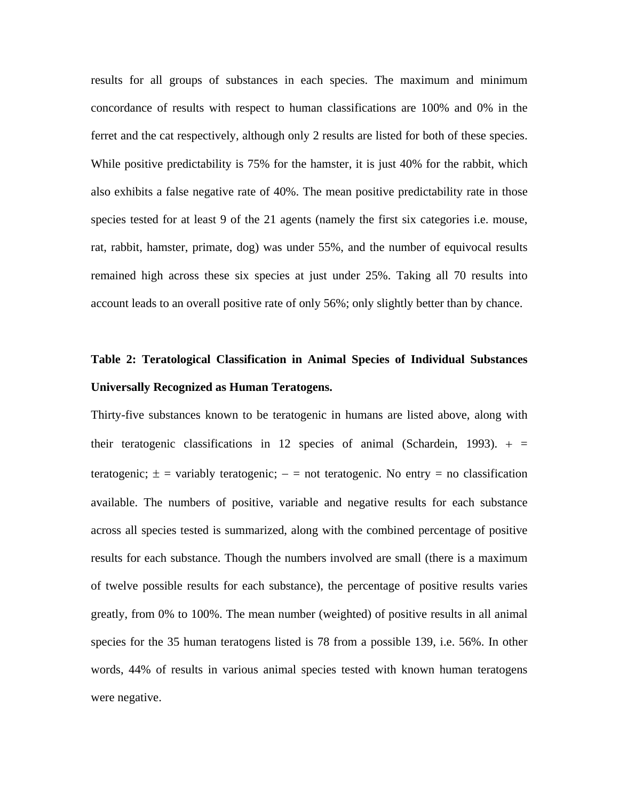results for all groups of substances in each species. The maximum and minimum concordance of results with respect to human classifications are 100% and 0% in the ferret and the cat respectively, although only 2 results are listed for both of these species. While positive predictability is 75% for the hamster, it is just 40% for the rabbit, which also exhibits a false negative rate of 40%. The mean positive predictability rate in those species tested for at least 9 of the 21 agents (namely the first six categories i.e. mouse, rat, rabbit, hamster, primate, dog) was under 55%, and the number of equivocal results remained high across these six species at just under 25%. Taking all 70 results into account leads to an overall positive rate of only 56%; only slightly better than by chance.

## **Table 2: Teratological Classification in Animal Species of Individual Substances Universally Recognized as Human Teratogens.**

Thirty-five substances known to be teratogenic in humans are listed above, along with their teratogenic classifications in 12 species of animal (Schardein, 1993).  $+$  = teratogenic;  $\pm$  = variably teratogenic; – = not teratogenic. No entry = no classification available. The numbers of positive, variable and negative results for each substance across all species tested is summarized, along with the combined percentage of positive results for each substance. Though the numbers involved are small (there is a maximum of twelve possible results for each substance), the percentage of positive results varies greatly, from 0% to 100%. The mean number (weighted) of positive results in all animal species for the 35 human teratogens listed is 78 from a possible 139, i.e. 56%. In other words, 44% of results in various animal species tested with known human teratogens were negative.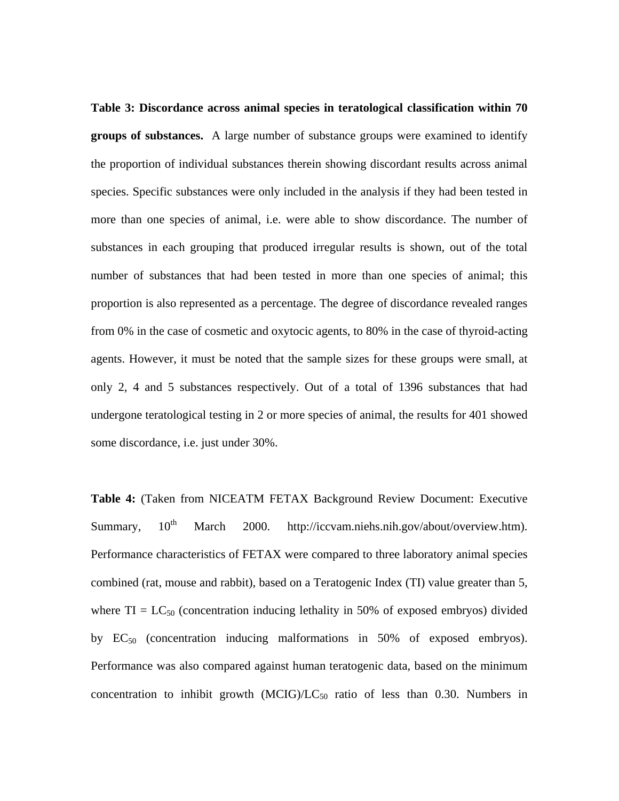**Table 3: Discordance across animal species in teratological classification within 70 groups of substances.** A large number of substance groups were examined to identify the proportion of individual substances therein showing discordant results across animal species. Specific substances were only included in the analysis if they had been tested in more than one species of animal, i.e. were able to show discordance. The number of substances in each grouping that produced irregular results is shown, out of the total number of substances that had been tested in more than one species of animal; this proportion is also represented as a percentage. The degree of discordance revealed ranges from 0% in the case of cosmetic and oxytocic agents, to 80% in the case of thyroid-acting agents. However, it must be noted that the sample sizes for these groups were small, at only 2, 4 and 5 substances respectively. Out of a total of 1396 substances that had undergone teratological testing in 2 or more species of animal, the results for 401 showed some discordance, i.e. just under 30%.

**Table 4:** (Taken from NICEATM FETAX Background Review Document: Executive Summary,  $10^{th}$  March 2000. http://iccvam.niehs.nih.gov/about/overview.htm). Performance characteristics of FETAX were compared to three laboratory animal species combined (rat, mouse and rabbit), based on a Teratogenic Index (TI) value greater than 5, where  $TI = LC_{50}$  (concentration inducing lethality in 50% of exposed embryos) divided by  $EC_{50}$  (concentration inducing malformations in 50% of exposed embryos). Performance was also compared against human teratogenic data, based on the minimum concentration to inhibit growth  $(MCIG)/LC_{50}$  ratio of less than 0.30. Numbers in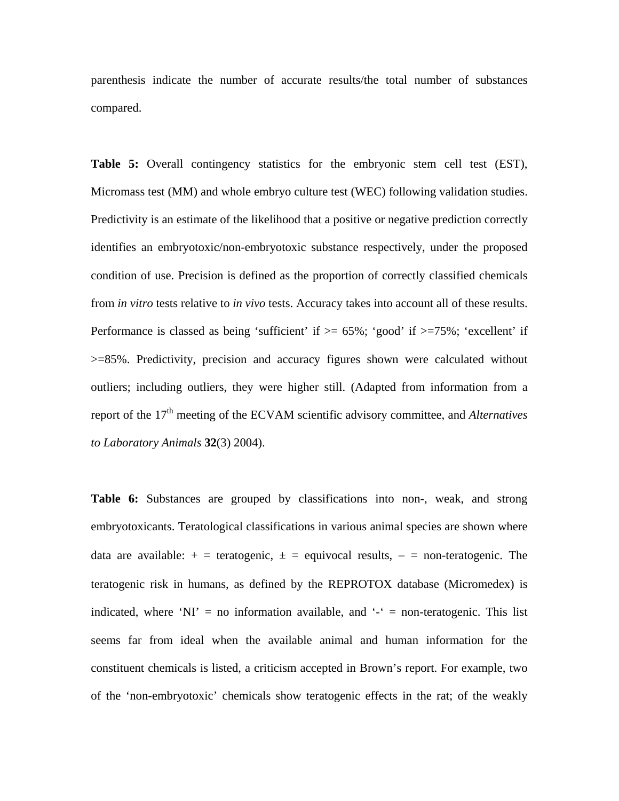parenthesis indicate the number of accurate results/the total number of substances compared.

**Table 5:** Overall contingency statistics for the embryonic stem cell test (EST), Micromass test (MM) and whole embryo culture test (WEC) following validation studies. Predictivity is an estimate of the likelihood that a positive or negative prediction correctly identifies an embryotoxic/non-embryotoxic substance respectively, under the proposed condition of use. Precision is defined as the proportion of correctly classified chemicals from *in vitro* tests relative to *in vivo* tests. Accuracy takes into account all of these results. Performance is classed as being 'sufficient' if  $\geq$  65%; 'good' if  $\geq$  75%; 'excellent' if >=85%. Predictivity, precision and accuracy figures shown were calculated without outliers; including outliers, they were higher still. (Adapted from information from a report of the 17th meeting of the ECVAM scientific advisory committee, and *Alternatives to Laboratory Animals* **32**(3) 2004).

Table 6: Substances are grouped by classifications into non-, weak, and strong embryotoxicants. Teratological classifications in various animal species are shown where data are available:  $+$  = teratogenic,  $\pm$  = equivocal results,  $-$  = non-teratogenic. The teratogenic risk in humans, as defined by the REPROTOX database (Micromedex) is indicated, where 'NI' = no information available, and  $\cdot$  = non-teratogenic. This list seems far from ideal when the available animal and human information for the constituent chemicals is listed, a criticism accepted in Brown's report. For example, two of the 'non-embryotoxic' chemicals show teratogenic effects in the rat; of the weakly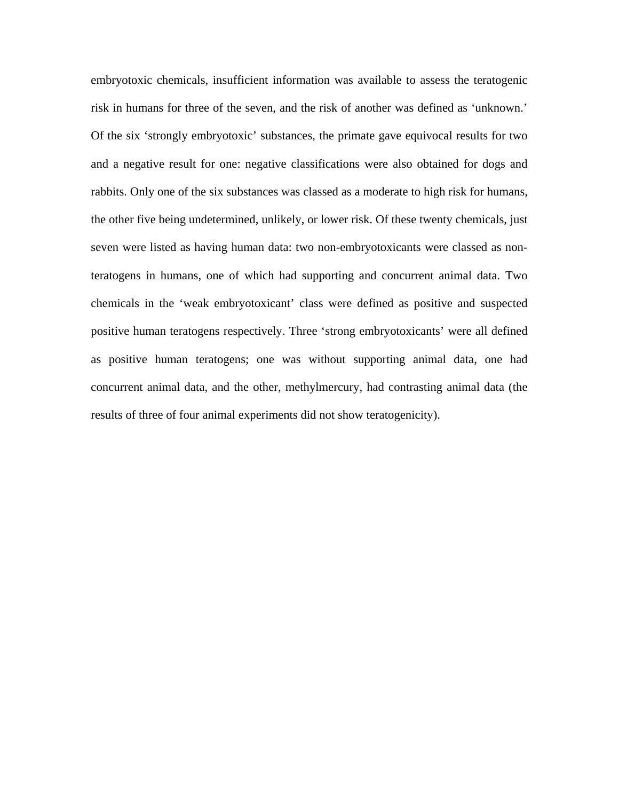embryotoxic chemicals, insufficient information was available to assess the teratogenic risk in humans for three of the seven, and the risk of another was defined as 'unknown.' Of the six 'strongly embryotoxic' substances, the primate gave equivocal results for two and a negative result for one: negative classifications were also obtained for dogs and rabbits. Only one of the six substances was classed as a moderate to high risk for humans, the other five being undetermined, unlikely, or lower risk. Of these twenty chemicals, just seven were listed as having human data: two non-embryotoxicants were classed as nonteratogens in humans, one of which had supporting and concurrent animal data. Two chemicals in the 'weak embryotoxicant' class were defined as positive and suspected positive human teratogens respectively. Three 'strong embryotoxicants' were all defined as positive human teratogens; one was without supporting animal data, one had concurrent animal data, and the other, methylmercury, had contrasting animal data (the results of three of four animal experiments did not show teratogenicity).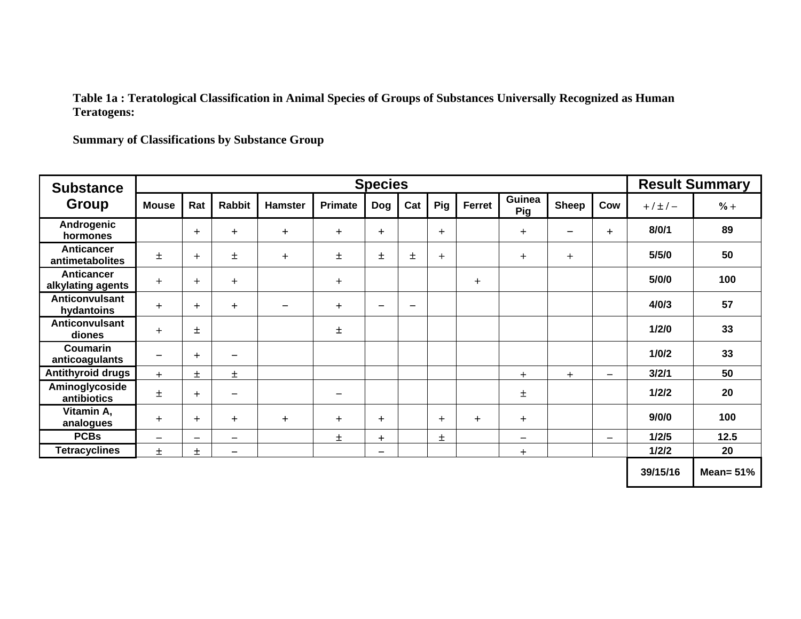#### **Table 1a : Teratological Classification in Animal Species of Groups of Substances Universally Recognized as Human Teratogens:**

**Summary of Classifications by Substance Group** 

| <b>Substance</b>                       | <b>Species</b>               |                          |                          |                          |                 |                          |                          |            |           |                 |              | <b>Result Summary</b>    |               |              |
|----------------------------------------|------------------------------|--------------------------|--------------------------|--------------------------|-----------------|--------------------------|--------------------------|------------|-----------|-----------------|--------------|--------------------------|---------------|--------------|
| Group                                  | <b>Mouse</b>                 | Rat                      | <b>Rabbit</b>            | <b>Hamster</b>           | <b>Primate</b>  | <b>Dog</b>               | Cat                      | <b>Pig</b> | Ferret    | Guinea<br>Pig   | <b>Sheep</b> | Cow                      | $+ / \pm / -$ | $% +$        |
| Androgenic<br>hormones                 |                              | $\ddot{}$                | $+$                      | $+$                      | $+$             | $+$                      |                          | $+$        |           | $+$             |              | $+$                      | 8/0/1         | 89           |
| Anticancer<br>antimetabolites          | $\pm$                        | $+$                      | $\pm$                    | $+$                      | 士               | $\pm$                    | $\pm$                    | $+$        |           | $\ddot{}$       | $+$          |                          | 5/5/0         | 50           |
| <b>Anticancer</b><br>alkylating agents | $\ddot{}$                    | $+$                      | $+$                      |                          | $\ddot{}$       |                          |                          |            | $\ddot{}$ |                 |              |                          | 5/0/0         | 100          |
| <b>Anticonvulsant</b><br>hydantoins    | $+$                          | $+$                      | $+$                      | $\overline{\phantom{0}}$ | $+$             | $\overline{\phantom{0}}$ | $\overline{\phantom{a}}$ |            |           |                 |              |                          | 4/0/3         | 57           |
| <b>Anticonvulsant</b><br>diones        | $+$                          | Ŧ                        |                          |                          | 士               |                          |                          |            |           |                 |              |                          | 1/2/0         | 33           |
| <b>Coumarin</b><br>anticoagulants      | $\qquad \qquad \blacksquare$ | $+$                      | $\qquad \qquad$          |                          |                 |                          |                          |            |           |                 |              |                          | 1/0/2         | 33           |
| <b>Antithyroid drugs</b>               | $+$                          | 土                        | $\pm$                    |                          |                 |                          |                          |            |           | $+$             | $+$          | -                        | 3/2/1         | 50           |
| Aminoglycoside<br>antibiotics          | 土                            | $+$                      | $\overline{\phantom{m}}$ |                          | $\qquad \qquad$ |                          |                          |            |           | Ŧ               |              |                          | 1/2/2         | 20           |
| Vitamin A,<br>analogues                | $+$                          | $\ddot{}$                | $+$                      | $+$                      | $+$             | $+$                      |                          | $+$        | $+$       | $+$             |              |                          | 9/0/0         | 100          |
| <b>PCBs</b>                            | $\qquad \qquad$              | $\overline{\phantom{m}}$ | $\qquad \qquad$          |                          | $\pm$           | $+$                      |                          | ±.         |           | $\qquad \qquad$ |              | $\overline{\phantom{0}}$ | 1/2/5         | $12.5$       |
| <b>Tetracyclines</b>                   | 土                            | ±.                       | $\qquad \qquad \qquad$   |                          |                 | —                        |                          |            |           | $\pm$           |              |                          | 1/2/2         | 20           |
|                                        |                              |                          |                          |                          |                 |                          |                          |            |           |                 |              |                          | 39/15/16      | Mean= $51\%$ |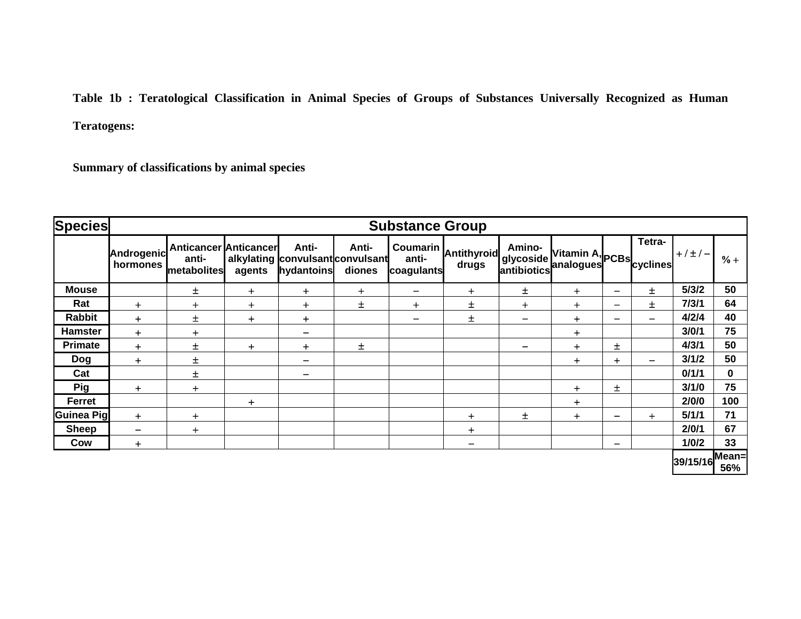**Table 1b : Teratological Classification in Animal Species of Groups of Substances Universally Recognized as Human Teratogens:** 

**Summary of classifications by animal species**

| <b>Species</b>    |                        |                                                      |           |                                                         |                 | <b>Substance Group</b>   |                               |                      |                                                   |                          |                              |                |          |
|-------------------|------------------------|------------------------------------------------------|-----------|---------------------------------------------------------|-----------------|--------------------------|-------------------------------|----------------------|---------------------------------------------------|--------------------------|------------------------------|----------------|----------|
|                   | Androgenic<br>hormones | <b>Anticancer Anticancer</b><br>anti-<br>metabolites | agents    | Anti-<br>alkylating convulsant convulsant<br>hydantoins | Anti-<br>diones | anti-<br>coagulants      | Coumarin Antithyroid<br>drugs | Amino-<br> glycoside | Vitamin A, PCBs cyclines<br>antibiotics analogues |                          | Tetra-                       | $+/±/-$        | $% +$    |
| <b>Mouse</b>      |                        | 士                                                    | $\ddot{}$ | $+$                                                     | $\ddot{}$       | -                        | $+$                           | 士                    | $\ddot{}$                                         | $\overline{\phantom{0}}$ | Ŧ.                           | 5/3/2          | 50       |
| Rat               | $\ddag$                | $+$                                                  | $+$       | $+$                                                     | $\pm$           | $\ddot{}$                | 士                             | $+$                  | $+$                                               | $\overline{\phantom{0}}$ | Ŧ.                           | 7/3/1          | 64       |
| <b>Rabbit</b>     | $\ddot{}$              | $\pm$                                                | $+$       | $+$                                                     |                 | $\overline{\phantom{0}}$ | $\pm$                         |                      | $+$                                               |                          | $\overline{\phantom{0}}$     | 4/2/4          | 40       |
| <b>Hamster</b>    | $+$                    | $+$                                                  |           | -                                                       |                 |                          |                               |                      | $\ddot{}$                                         |                          |                              | 3/0/1          | 75       |
| <b>Primate</b>    | $+$                    | 士                                                    | $+$       | $+$                                                     | 土               |                          |                               |                      | $\ddag$                                           | 土                        |                              | 4/3/1          | 50       |
| <b>Dog</b>        | $\ddot{}$              | 土                                                    |           | —                                                       |                 |                          |                               |                      | $+$                                               | $+$                      | $\qquad \qquad \blacksquare$ | 3/1/2          | 50       |
| Cat               |                        | 土                                                    |           | -                                                       |                 |                          |                               |                      |                                                   |                          |                              | 0/1/1          | $\bf{0}$ |
| <b>Pig</b>        | $+$                    | $+$                                                  |           |                                                         |                 |                          |                               |                      | $\ddag$                                           | 士                        |                              | 3/1/0          | 75       |
| Ferret            |                        |                                                      | $+$       |                                                         |                 |                          |                               |                      | $\pm$                                             |                          |                              | 2/0/0          | 100      |
| <b>Guinea Pig</b> | $+$                    | $+$                                                  |           |                                                         |                 |                          | $\div$                        | 士                    | $\ddot{}$                                         | $\qquad \qquad$          | $+$                          | 5/1/1          | 71       |
| <b>Sheep</b>      | —                      | $+$                                                  |           |                                                         |                 |                          | $+$                           |                      |                                                   |                          |                              | 2/0/1          | 67       |
| Cow               | $\ddot{}$              |                                                      |           |                                                         |                 |                          | —                             |                      |                                                   |                          |                              | 1/0/2          | 33       |
|                   |                        |                                                      |           |                                                         |                 |                          |                               |                      |                                                   |                          |                              | 39/15/16 Mean= | 56%      |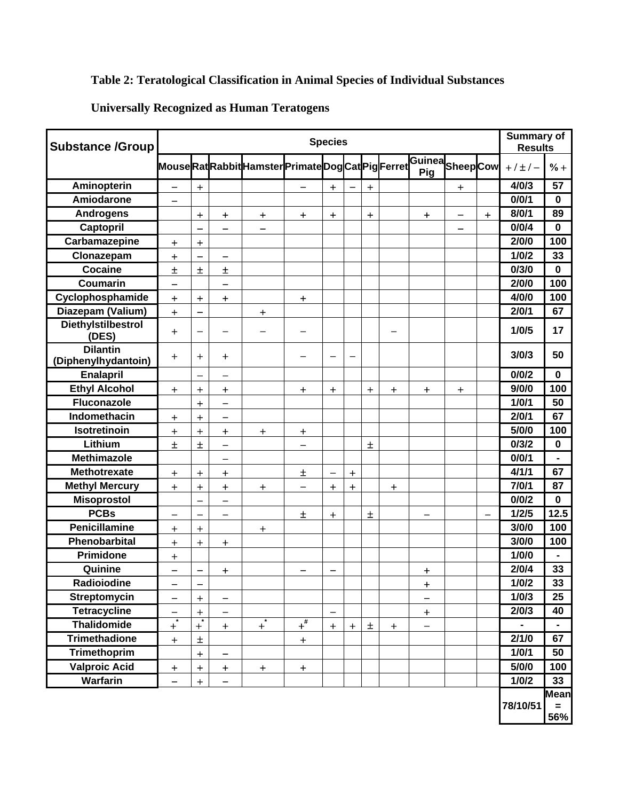## **Table 2: Teratological Classification in Animal Species of Individual Substances**

## **Universally Recognized as Human Teratogens**

| <b>Substance /Group</b>                |                          |                          |                              |                                                           |                          | <b>Species</b>                   |                                  |                   |           |                   |                                  |           | <b>Summary of</b><br><b>Results</b> |             |
|----------------------------------------|--------------------------|--------------------------|------------------------------|-----------------------------------------------------------|--------------------------|----------------------------------|----------------------------------|-------------------|-----------|-------------------|----------------------------------|-----------|-------------------------------------|-------------|
|                                        |                          |                          |                              | MouseRatRabbitHamsterPrimateDogCatPigFerretGuineaSheepCow |                          |                                  |                                  |                   |           | Pig               |                                  |           | $+ / + / -$                         | $% +$       |
| Aminopterin                            | $\overline{\phantom{0}}$ | $+$                      |                              |                                                           | $\overline{\phantom{0}}$ | $+$                              |                                  | $\ddot{}$         |           |                   | $\begin{array}{c} + \end{array}$ |           | 4/0/3                               | 57          |
| Amiodarone                             | —                        |                          |                              |                                                           |                          |                                  |                                  |                   |           |                   |                                  |           | 0/0/1                               | $\bf{0}$    |
| <b>Androgens</b>                       |                          | $\ddot{}$                | $\ddot{}$                    | $\ddot{}$                                                 | $\ddot{}$                | $+$                              |                                  | $\qquad \qquad +$ |           | $\ddot{}$         |                                  | $\ddot{}$ | 8/0/1                               | 89          |
| Captopril                              |                          | —                        | $\overline{\phantom{0}}$     | —                                                         |                          |                                  |                                  |                   |           |                   |                                  |           | 0/0/4                               | $\bf{0}$    |
| Carbamazepine                          | $+$                      | $\ddot{}$                |                              |                                                           |                          |                                  |                                  |                   |           |                   |                                  |           | 2/0/0                               | 100         |
| Clonazepam                             | $+$                      |                          | $\overline{\phantom{0}}$     |                                                           |                          |                                  |                                  |                   |           |                   |                                  |           | 1/0/2                               | 33          |
| <b>Cocaine</b>                         | $\pm$                    | $\pm$                    | $\pm$                        |                                                           |                          |                                  |                                  |                   |           |                   |                                  |           | 0/3/0                               | $\bf{0}$    |
| <b>Coumarin</b>                        |                          |                          |                              |                                                           |                          |                                  |                                  |                   |           |                   |                                  |           | 2/0/0                               | 100         |
| Cyclophosphamide                       | $\ddot{}$                | $\ddot{\phantom{1}}$     | $+$                          |                                                           | $\ddot{}$                |                                  |                                  |                   |           |                   |                                  |           | 4/0/0                               | 100         |
| Diazepam (Valium)                      | $\ddot{\phantom{1}}$     | —                        |                              | $\ddot{}$                                                 |                          |                                  |                                  |                   |           |                   |                                  |           | 2/0/1                               | 67          |
| <b>Diethylstilbestrol</b><br>(DES)     | $+$                      | $\overline{\phantom{0}}$ |                              |                                                           |                          |                                  |                                  |                   |           |                   |                                  |           | 1/0/5                               | 17          |
| <b>Dilantin</b><br>(Diphenylhydantoin) | $+$                      | $\ddot{}$                | $\div$                       |                                                           |                          |                                  |                                  |                   |           |                   |                                  |           | 3/0/3                               | 50          |
| <b>Enalapril</b>                       |                          | $\qquad \qquad -$        | —                            |                                                           |                          |                                  |                                  |                   |           |                   |                                  |           | 0/0/2                               | $\Omega$    |
| <b>Ethyl Alcohol</b>                   | $+$                      | $+$                      | $+$                          |                                                           | $+$                      | $+$                              |                                  | $+$               | $+$       | $+$               | $+$                              |           | 9/0/0                               | 100         |
| <b>Fluconazole</b>                     |                          | $+$                      | $\overline{\phantom{0}}$     |                                                           |                          |                                  |                                  |                   |           |                   |                                  |           | 1/0/1                               | 50          |
| Indomethacin                           | $\div$                   | $\ddot{}$                | $\overline{\phantom{0}}$     |                                                           |                          |                                  |                                  |                   |           |                   |                                  |           | 2/0/1                               | 67          |
| Isotretinoin                           | $\boldsymbol{+}$         | $+$                      | $+$                          | $+$                                                       | $\ddot{}$                |                                  |                                  |                   |           |                   |                                  |           | 5/0/0                               | 100         |
| Lithium                                | $\pm$                    | $\pm$                    | $\overline{\phantom{0}}$     |                                                           | $\overline{\phantom{0}}$ |                                  |                                  | Ŧ                 |           |                   |                                  |           | 0/3/2                               | $\mathbf 0$ |
| <b>Methimazole</b>                     |                          |                          | $\qquad \qquad \blacksquare$ |                                                           |                          |                                  |                                  |                   |           |                   |                                  |           | 0/0/1                               |             |
| <b>Methotrexate</b>                    | $\boldsymbol{+}$         | $\ddot{}$                | $+$                          |                                                           | 土                        | $\qquad \qquad$                  | $\begin{array}{c} + \end{array}$ |                   |           |                   |                                  |           | 4/1/1                               | 67          |
| <b>Methyl Mercury</b>                  | $+$                      | $\ddot{}$                | $\ddot{}$                    | $+$                                                       | $\qquad \qquad -$        | $+$                              | $\ddot{}$                        |                   | $\ddot{}$ |                   |                                  |           | 7/0/1                               | 87          |
| <b>Misoprostol</b>                     |                          | —                        | $\overline{\phantom{0}}$     |                                                           |                          |                                  |                                  |                   |           |                   |                                  |           | 0/0/2                               | $\bf{0}$    |
| <b>PCBs</b>                            | $\overline{\phantom{0}}$ | $\overline{\phantom{0}}$ | $\overline{\phantom{0}}$     |                                                           | 土                        | $\begin{array}{c} + \end{array}$ |                                  | $\pm$             |           |                   |                                  | —         | 1/2/5                               | 12.5        |
| Penicillamine                          | $\ddot{}$                | $+$                      |                              | $+$                                                       |                          |                                  |                                  |                   |           |                   |                                  |           | 3/0/0                               | 100         |
| Phenobarbital                          | $\ddot{}$                | $\ddot{}$                | $+$                          |                                                           |                          |                                  |                                  |                   |           |                   |                                  |           | 3/0/0                               | 100         |
| <b>Primidone</b>                       | $\ddot{}$                |                          |                              |                                                           |                          |                                  |                                  |                   |           |                   |                                  |           | 1/0/0                               |             |
| Quinine                                | —                        |                          | $+$                          |                                                           | $\overline{\phantom{m}}$ |                                  |                                  |                   |           | $\ddot{}$         |                                  |           | 2/0/4                               | 33          |
| Radioiodine                            | $\overline{\phantom{0}}$ | $\overline{\phantom{0}}$ |                              |                                                           |                          |                                  |                                  |                   |           | $\ddot{}$         |                                  |           | 1/0/2                               | 33          |
| Streptomycin                           | $\overline{\phantom{0}}$ | $\ddot{+}$               | —                            |                                                           |                          |                                  |                                  |                   |           | —                 |                                  |           | 1/0/3                               | 25          |
| <b>Tetracycline</b>                    | -                        | $\ddot{}$                | -                            |                                                           |                          |                                  |                                  |                   |           | $+$               |                                  |           | 2/0/3                               | 40          |
| Thalidomide                            | $\ddot{}$                | $+$ <sup>*</sup>         | $\ddot{}$                    | $+$ <sup><math>-</math></sup>                             | $+$                      | $+$                              | $+$                              | $\pm$             | $+$       | $\qquad \qquad -$ |                                  |           | $\qquad \qquad \blacksquare$        |             |
| <b>Trimethadione</b>                   | $\ddot{\phantom{1}}$     | $\pm$                    |                              |                                                           | $\qquad \qquad +$        |                                  |                                  |                   |           |                   |                                  |           | 2/1/0                               | 67          |
| Trimethoprim                           |                          | $\ddot{+}$               | -                            |                                                           |                          |                                  |                                  |                   |           |                   |                                  |           | 1/0/1                               | 50          |
| <b>Valproic Acid</b>                   | $+$                      | $+$                      | $+$                          | $+$                                                       | $\boldsymbol{+}$         |                                  |                                  |                   |           |                   |                                  |           | 5/0/0                               | 100         |
| Warfarin                               | $\overline{\phantom{0}}$ | $\ddot{}$                |                              |                                                           |                          |                                  |                                  |                   |           |                   |                                  |           | 1/0/2                               | 33          |
|                                        |                          |                          |                              |                                                           |                          |                                  |                                  |                   |           |                   |                                  |           |                                     | Mean        |
|                                        |                          |                          |                              |                                                           |                          |                                  |                                  |                   |           |                   |                                  |           | 78/10/51                            | $=$         |
|                                        |                          |                          |                              |                                                           |                          |                                  |                                  |                   |           |                   |                                  |           |                                     | 56%         |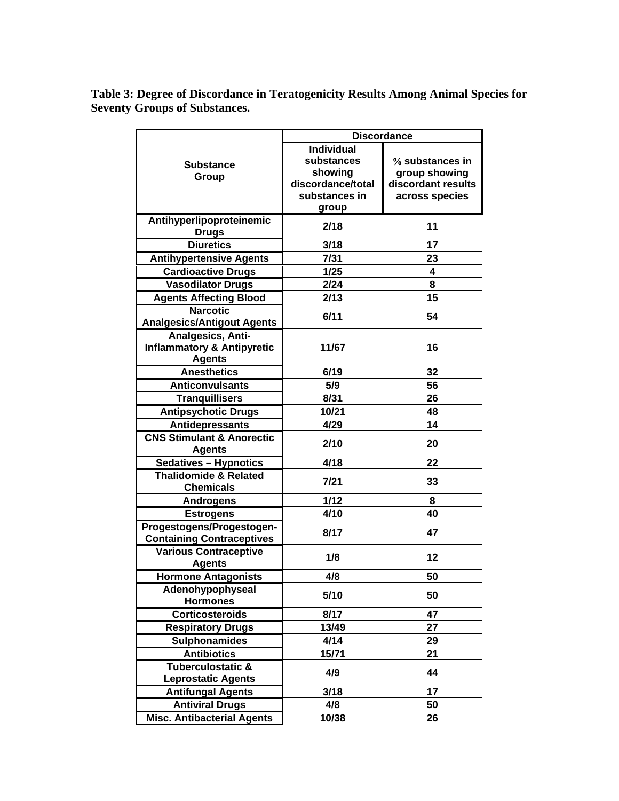**Table 3: Degree of Discordance in Teratogenicity Results Among Animal Species for Seventy Groups of Substances.**

|                                           | <b>Discordance</b> |                    |  |  |  |  |  |  |
|-------------------------------------------|--------------------|--------------------|--|--|--|--|--|--|
|                                           | <b>Individual</b>  |                    |  |  |  |  |  |  |
| <b>Substance</b>                          | substances         | % substances in    |  |  |  |  |  |  |
| Group                                     | showing            | group showing      |  |  |  |  |  |  |
|                                           | discordance/total  | discordant results |  |  |  |  |  |  |
|                                           | substances in      | across species     |  |  |  |  |  |  |
|                                           | group              |                    |  |  |  |  |  |  |
| Antihyperlipoproteinemic                  | 2/18               | 11                 |  |  |  |  |  |  |
| <b>Drugs</b>                              |                    |                    |  |  |  |  |  |  |
| <b>Diuretics</b>                          | 3/18               | 17                 |  |  |  |  |  |  |
| <b>Antihypertensive Agents</b>            | 7/31               | 23                 |  |  |  |  |  |  |
| <b>Cardioactive Drugs</b>                 | 1/25               | 4                  |  |  |  |  |  |  |
| <b>Vasodilator Drugs</b>                  | 2/24               | 8                  |  |  |  |  |  |  |
| <b>Agents Affecting Blood</b>             | 2/13               | 15                 |  |  |  |  |  |  |
| <b>Narcotic</b>                           | 6/11               | 54                 |  |  |  |  |  |  |
| <b>Analgesics/Antigout Agents</b>         |                    |                    |  |  |  |  |  |  |
| Analgesics, Anti-                         |                    |                    |  |  |  |  |  |  |
| <b>Inflammatory &amp; Antipyretic</b>     | 11/67              | 16                 |  |  |  |  |  |  |
| <b>Agents</b>                             |                    |                    |  |  |  |  |  |  |
| <b>Anesthetics</b>                        | 6/19               | 32                 |  |  |  |  |  |  |
| <b>Anticonvulsants</b>                    | 5/9                | 56                 |  |  |  |  |  |  |
| <b>Tranquillisers</b>                     | 8/31               | 26                 |  |  |  |  |  |  |
| <b>Antipsychotic Drugs</b>                | 10/21              | 48                 |  |  |  |  |  |  |
| Antidepressants                           | 4/29               | 14                 |  |  |  |  |  |  |
| <b>CNS Stimulant &amp; Anorectic</b>      | 2/10               | 20                 |  |  |  |  |  |  |
| <b>Agents</b>                             |                    |                    |  |  |  |  |  |  |
| Sedatives - Hypnotics                     | 4/18               | 22                 |  |  |  |  |  |  |
| <b>Thalidomide &amp; Related</b>          | 7/21               | 33                 |  |  |  |  |  |  |
| <b>Chemicals</b>                          |                    |                    |  |  |  |  |  |  |
| <b>Androgens</b>                          | 1/12               | 8                  |  |  |  |  |  |  |
| <b>Estrogens</b>                          | 4/10               | 40                 |  |  |  |  |  |  |
| Progestogens/Progestogen-                 | 8/17               | 47                 |  |  |  |  |  |  |
| <b>Containing Contraceptives</b>          |                    |                    |  |  |  |  |  |  |
| <b>Various Contraceptive</b>              | 1/8                | 12                 |  |  |  |  |  |  |
| <b>Agents</b>                             |                    |                    |  |  |  |  |  |  |
| <b>Hormone Antagonists</b>                | 4/8                | 50                 |  |  |  |  |  |  |
| Adenohypophyseal                          | 5/10               | 50                 |  |  |  |  |  |  |
| <b>Hormones</b><br><b>Corticosteroids</b> | 8/17               | 47                 |  |  |  |  |  |  |
|                                           |                    |                    |  |  |  |  |  |  |
| <b>Respiratory Drugs</b>                  | 13/49              | 27                 |  |  |  |  |  |  |
| <b>Sulphonamides</b>                      | 4/14               | 29                 |  |  |  |  |  |  |
| <b>Antibiotics</b><br>Tuberculostatic &   | 15/71              | 21                 |  |  |  |  |  |  |
| <b>Leprostatic Agents</b>                 | 4/9                | 44                 |  |  |  |  |  |  |
| <b>Antifungal Agents</b>                  | 3/18               | 17                 |  |  |  |  |  |  |
| <b>Antiviral Drugs</b>                    | 4/8                | 50                 |  |  |  |  |  |  |
| Misc. Antibacterial Agents                |                    | 26                 |  |  |  |  |  |  |
|                                           | 10/38              |                    |  |  |  |  |  |  |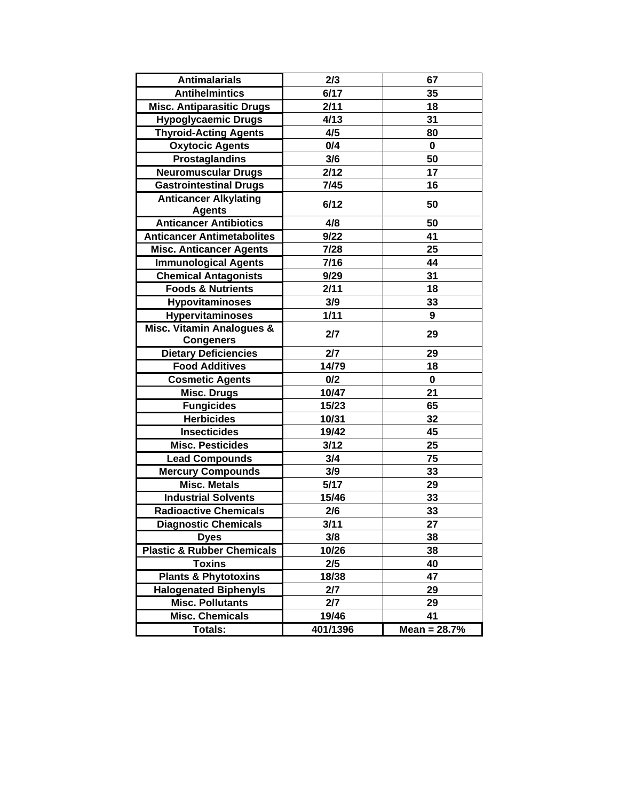| <b>Antimalarials</b>                  | 2/3      | 67             |
|---------------------------------------|----------|----------------|
| <b>Antihelmintics</b>                 | 6/17     | 35             |
| <b>Misc. Antiparasitic Drugs</b>      | 2/11     | 18             |
| <b>Hypoglycaemic Drugs</b>            | 4/13     | 31             |
| <b>Thyroid-Acting Agents</b>          | 4/5      | 80             |
| <b>Oxytocic Agents</b>                | 0/4      | 0              |
| <b>Prostaglandins</b>                 | 3/6      | 50             |
| <b>Neuromuscular Drugs</b>            | 2/12     | 17             |
| <b>Gastrointestinal Drugs</b>         | 7/45     | 16             |
| <b>Anticancer Alkylating</b>          | 6/12     | 50             |
| <b>Agents</b>                         |          |                |
| <b>Anticancer Antibiotics</b>         | 4/8      | 50             |
| <b>Anticancer Antimetabolites</b>     | 9/22     | 41             |
| <b>Misc. Anticancer Agents</b>        | 7/28     | 25             |
| <b>Immunological Agents</b>           | 7/16     | 44             |
| <b>Chemical Antagonists</b>           | 9/29     | 31             |
| <b>Foods &amp; Nutrients</b>          | 2/11     | 18             |
| <b>Hypovitaminoses</b>                | 3/9      | 33             |
| <b>Hypervitaminoses</b>               | 1/11     | 9              |
| Misc. Vitamin Analogues &             | 2/7      | 29             |
| <b>Congeners</b>                      |          |                |
| <b>Dietary Deficiencies</b>           | 2/7      | 29             |
| <b>Food Additives</b>                 | 14/79    | 18             |
| <b>Cosmetic Agents</b>                | 0/2      | 0              |
| <b>Misc. Drugs</b>                    | 10/47    | 21             |
| <b>Fungicides</b>                     | 15/23    | 65             |
| <b>Herbicides</b>                     | 10/31    | 32             |
| <b>Insecticides</b>                   | 19/42    | 45             |
| <b>Misc. Pesticides</b>               | 3/12     | 25             |
| <b>Lead Compounds</b>                 | 3/4      | 75             |
| <b>Mercury Compounds</b>              | 3/9      | 33             |
| <b>Misc. Metals</b>                   | 5/17     | 29             |
| <b>Industrial Solvents</b>            | 15/46    | 33             |
| <b>Radioactive Chemicals</b>          | 2/6      | 33             |
| <b>Diagnostic Chemicals</b>           | 3/11     | 27             |
| <b>Dyes</b>                           | 3/8      | 38             |
| <b>Plastic &amp; Rubber Chemicals</b> | 10/26    | 38             |
| <b>Toxins</b>                         | 2/5      | 40             |
| <b>Plants &amp; Phytotoxins</b>       | 18/38    | 47             |
| <b>Halogenated Biphenyls</b>          | 2/7      | 29             |
| <b>Misc. Pollutants</b>               | 2/7      | 29             |
| <b>Misc. Chemicals</b>                | 19/46    | 41             |
| <b>Totals:</b>                        | 401/1396 | Mean = $28.7%$ |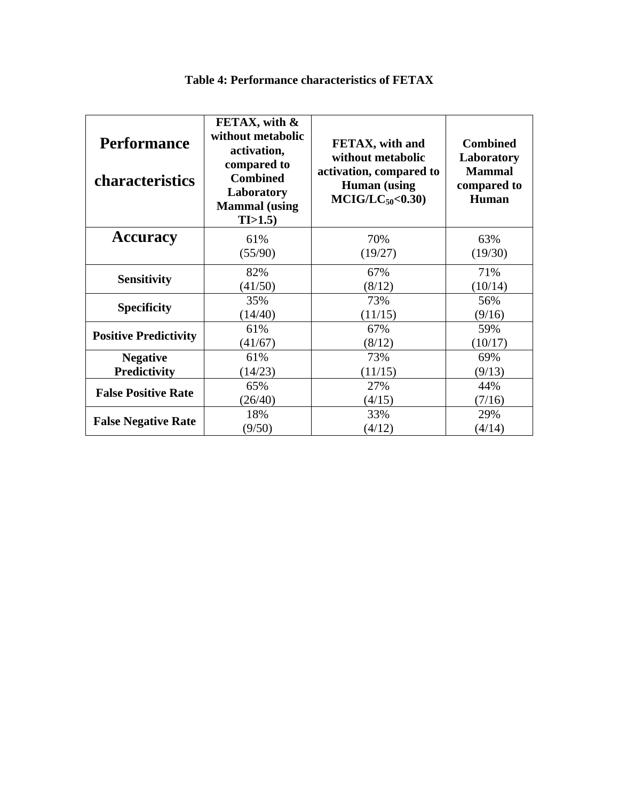| <b>Performance</b><br><b>characteristics</b> | FETAX, with &<br>without metabolic<br>activation,<br>compared to<br><b>Combined</b><br>Laboratory<br><b>Mammal</b> (using<br>TI>1.5 | FETAX, with and<br>without metabolic<br>activation, compared to<br><b>Human</b> (using<br>$MCIG/LC_{50} < 0.30$ | <b>Combined</b><br>Laboratory<br><b>Mammal</b><br>compared to<br>Human |
|----------------------------------------------|-------------------------------------------------------------------------------------------------------------------------------------|-----------------------------------------------------------------------------------------------------------------|------------------------------------------------------------------------|
| <b>Accuracy</b>                              | 61%                                                                                                                                 | 70%                                                                                                             | 63%                                                                    |
|                                              | (55/90)                                                                                                                             | (19/27)                                                                                                         | (19/30)                                                                |
| <b>Sensitivity</b>                           | 82%                                                                                                                                 | 67%                                                                                                             | 71%                                                                    |
|                                              | (41/50)                                                                                                                             | (8/12)                                                                                                          | (10/14)                                                                |
| <b>Specificity</b>                           | 35%                                                                                                                                 | 73%                                                                                                             | 56%                                                                    |
|                                              | (14/40)                                                                                                                             | (11/15)                                                                                                         | (9/16)                                                                 |
| <b>Positive Predictivity</b>                 | 61%                                                                                                                                 | 67%                                                                                                             | 59%                                                                    |
|                                              | (41/67)                                                                                                                             | (8/12)                                                                                                          | (10/17)                                                                |
| <b>Negative</b>                              | 61%                                                                                                                                 | 73%                                                                                                             | 69%                                                                    |
| <b>Predictivity</b>                          | (14/23)                                                                                                                             | (11/15)                                                                                                         | (9/13)                                                                 |
| <b>False Positive Rate</b>                   | 65%                                                                                                                                 | 27%                                                                                                             | 44%                                                                    |
|                                              | (26/40)                                                                                                                             | (4/15)                                                                                                          | (7/16)                                                                 |
| <b>False Negative Rate</b>                   | 18%                                                                                                                                 | 33%                                                                                                             | 29%                                                                    |
|                                              | (9/50)                                                                                                                              | (4/12)                                                                                                          | (4/14)                                                                 |

#### **Table 4: Performance characteristics of FETAX**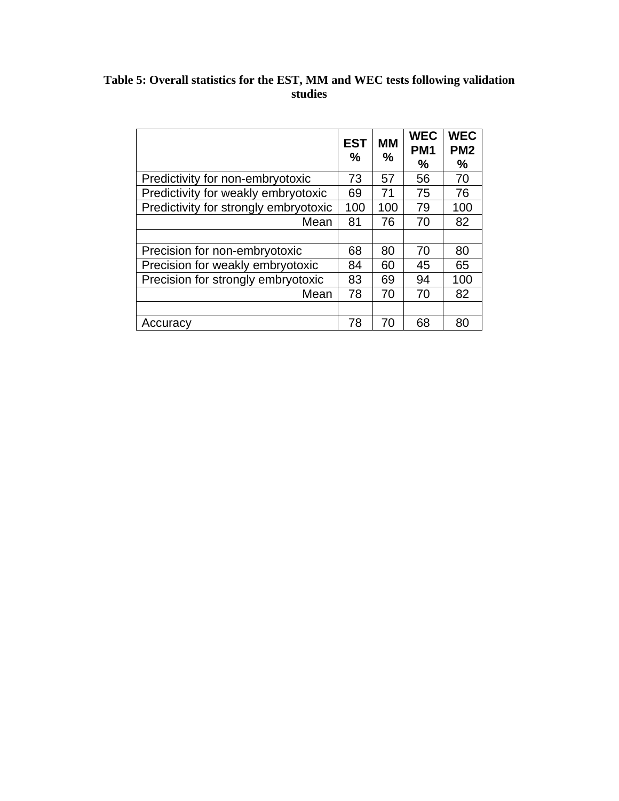#### **Table 5: Overall statistics for the EST, MM and WEC tests following validation studies**

|                                       | <b>EST</b><br>$\frac{0}{0}$ | <b>MM</b><br>% | <b>WEC</b><br>PM <sub>1</sub><br>$\frac{0}{0}$ | <b>WEC</b><br>PM <sub>2</sub><br>$\frac{0}{0}$ |
|---------------------------------------|-----------------------------|----------------|------------------------------------------------|------------------------------------------------|
| Predictivity for non-embryotoxic      | 73                          | 57             | 56                                             | 70                                             |
| Predictivity for weakly embryotoxic   | 69                          | 71             | 75                                             | 76                                             |
| Predictivity for strongly embryotoxic | 100                         | 100            | 79                                             | 100                                            |
| Mean                                  | 81                          | 76             | 70                                             | 82                                             |
|                                       |                             |                |                                                |                                                |
| Precision for non-embryotoxic         | 68                          | 80             | 70                                             | 80                                             |
| Precision for weakly embryotoxic      | 84                          | 60             | 45                                             | 65                                             |
| Precision for strongly embryotoxic    | 83                          | 69             | 94                                             | 100                                            |
| Mean                                  | 78                          | 70             | 70                                             | 82                                             |
|                                       |                             |                |                                                |                                                |
| Accuracy                              | 78                          | 70             | 68                                             | 80                                             |